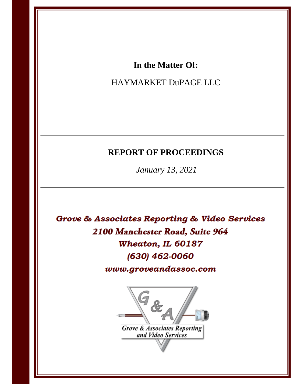# In the Matter Of:

# HAYMARKET DuPAGE LLC

# **REPORT OF PROCEEDINGS**

January 13, 2021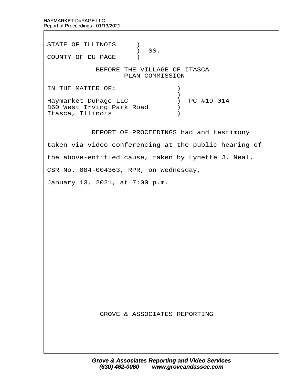STATE OF ILLINOIS )  $\big)$  SS. COUNTY OF DU PAGE ) BEFORE THE VILLAGE OF ITASCA PLAN COMMISSION IN THE MATTER OF:  $\qquad \qquad$  )  $\hspace{0.5cm}$   $\hspace{0.5cm}$   $\hspace{0.5cm}$   $\hspace{0.5cm}$   $\hspace{0.5cm}$   $\hspace{0.5cm}$   $\hspace{0.5cm}$   $\hspace{0.5cm}$   $\hspace{0.5cm}$   $\hspace{0.5cm}$   $\hspace{0.5cm}$   $\hspace{0.5cm}$   $\hspace{0.5cm}$   $\hspace{0.5cm}$   $\hspace{0.5cm}$   $\hspace{0.5cm}$   $\hspace{0.5cm}$   $\hspace{0.5cm}$   $\hspace{$ Haymarket DuPage LLC  $\qquad \qquad$  ) PC #19-014 860 West Irving Park Road  $\qquad$ Itasca, Illinois (1998) REPORT OF PROCEEDINGS had and testimony

taken via video conferencing at the public hearing of

the above-entitled cause, taken by Lynette J. Neal,

CSR No. 084-004363, RPR, on Wednesday,

January 13, 2021, at 7:00 p.m.

GROVE & ASSOCIATES REPORTING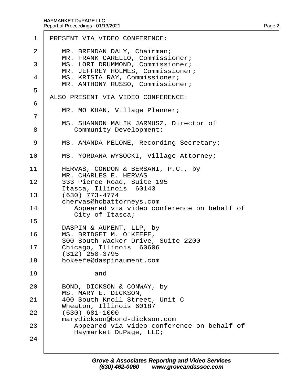| 1              | PRESENT VIA VIDEO CONFERENCE:                                                             |
|----------------|-------------------------------------------------------------------------------------------|
| 2              | MR. BRENDAN DALY, Chairman;<br>MR. FRANK CARELLO, Commissioner;                           |
| 3              | MS. LORI DRUMMOND, Commissioner;<br>MR. JEFFREY HOLMES, Commissioner;                     |
| 4              | MS. KRISTA RAY, Commissioner;<br>MR. ANTHONY RUSSO, Commissioner;                         |
| 5              | ALSO PRESENT VIA VIDEO CONFERENCE:                                                        |
| 6              |                                                                                           |
| $\overline{7}$ | MR. MO KHAN, Village Planner;                                                             |
| 8              | MS. SHANNON MALIK JARMUSZ, Director of<br><b>Community Development:</b>                   |
| 9              | MS. AMANDA MELONE, Recording Secretary;                                                   |
| 10             | MS. YORDANA WYSOCKI, Village Attorney;                                                    |
| 11             | HERVAS, CONDON & BERSANI, P.C., by<br>MR. CHARLES E. HERVAS                               |
| 12             | 333 Pierce Road, Suite 195<br>Itasca, Illinois 60143                                      |
| 13             | (630) 773-4774                                                                            |
| 14             | chervas@hcbattorneys.com<br>Appeared via video conference on behalf of<br>City of Itasca; |
| 15             |                                                                                           |
| 16             | DASPIN & AUMENT, LLP, by<br>MS. BRIDGET M. O'KEEFE,<br>300 South Wacker Drive, Suite 2200 |
| 17             | Chicago, Illinois 60606<br>$(312)$ 258-3795                                               |
| 18             | bokeefe@daspinaument.com                                                                  |
| 19             | and                                                                                       |
| 20             | BOND, DICKSON & CONWAY, by                                                                |
| 21             | MS. MARY E. DICKSON,<br>400 South Knoll Street, Unit C                                    |
| 22             | Wheaton, Illinois 60187<br>$(630) 681 - 1000$                                             |
|                | marydickson@bond-dickson.com                                                              |
| 23             | Appeared via video conference on behalf of<br>Haymarket DuPage, LLC;                      |
| 24             |                                                                                           |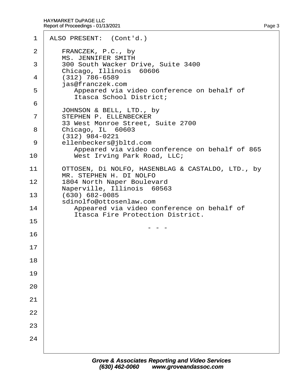| 1  | ALSO PRESENT: (Cont'd.)                                                                   |
|----|-------------------------------------------------------------------------------------------|
| 2  | FRANCZEK, P.C., by<br><b>MS. JENNIFER SMITH</b>                                           |
| 3  | 300 South Wacker Drive, Suite 3400                                                        |
| 4  | Chicago, Illinois 60606<br>(312) 786-6589                                                 |
| 5  | jas@franczek.com<br>Appeared via video conference on behalf of<br>Itasca School District; |
| 6  | JOHNSON & BELL, LTD., by                                                                  |
| 7  | STEPHEN P. ELLENBECKER<br>33 West Monroe Street, Suite 2700                               |
| 8  | Chicago, IL 60603<br>(312) 984-0221                                                       |
| 9  | ellenbeckers@jbltd.com<br>Appeared via video conference on behalf of 865                  |
| 10 | West Irving Park Road, LLC;                                                               |
| 11 | OTTOSEN, Di NOLFO, HASENBLAG & CASTALDO, LTD., by<br>MR. STEPHEN H. DI NOLFO              |
| 12 | 1804 North Naper Boulevard                                                                |
| 13 | Naperville, Illinois 60563<br>(630) 682-0085                                              |
| 14 | sdinolfo@ottosenlaw.com<br>Appeared via video conference on behalf of                     |
| 15 | <b>Itasca Fire Protection District.</b>                                                   |
| 16 |                                                                                           |
| 17 |                                                                                           |
| 18 |                                                                                           |
| 19 |                                                                                           |
| 20 |                                                                                           |
| 21 |                                                                                           |
| 22 |                                                                                           |
| 23 |                                                                                           |
| 24 |                                                                                           |
|    |                                                                                           |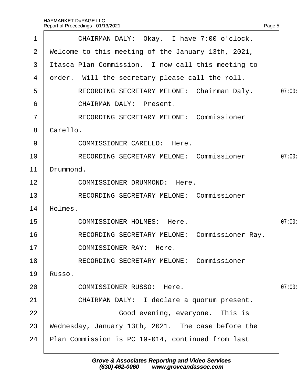| 1              | CHAIRMAN DALY: Okay. I have 7:00 o'clock.          |        |
|----------------|----------------------------------------------------|--------|
| $\overline{2}$ | Welcome to this meeting of the January 13th, 2021, |        |
| 3              | Itasca Plan Commission. I now call this meeting to |        |
| 4              | order. Will the secretary please call the roll.    |        |
| 5              | RECORDING SECRETARY MELONE: Chairman Daly.         | 07:00: |
| 6              | <b>CHAIRMAN DALY: Present.</b>                     |        |
| $\overline{7}$ | <b>RECORDING SECRETARY MELONE: Commissioner</b>    |        |
| 8              | Carello.                                           |        |
| 9              | <b>COMMISSIONER CARELLO: Here.</b>                 |        |
| 10             | <b>RECORDING SECRETARY MELONE: Commissioner</b>    | 07:00: |
| 11             | Drummond.                                          |        |
| 12             | <b>COMMISSIONER DRUMMOND: Here.</b>                |        |
| 13             | <b>RECORDING SECRETARY MELONE: Commissioner</b>    |        |
| 14             | Holmes.                                            |        |
| 15             | <b>COMMISSIONER HOLMES: Here.</b>                  | 07:00: |
| 16             | RECORDING SECRETARY MELONE: Commissioner Ray.      |        |
| 17             | <b>COMMISSIONER RAY: Here.</b>                     |        |
| 18             | <b>RECORDING SECRETARY MELONE: Commissioner</b>    |        |
| 19             | Russo.                                             |        |
| 20             | <b>COMMISSIONER RUSSO: Here.</b>                   | 07:00: |
| 21             | CHAIRMAN DALY: I declare a quorum present.         |        |
| 22             | Good evening, everyone. This is                    |        |
| 23             | Wednesday, January 13th, 2021. The case before the |        |
| 24             | Plan Commission is PC 19-014, continued from last  |        |
|                |                                                    |        |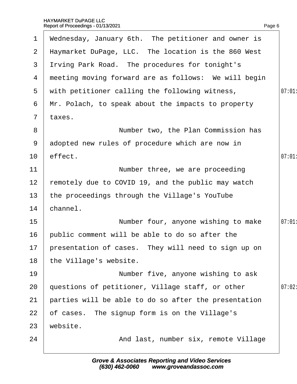| $\mathbf 1$     | Wednesday, January 6th. The petitioner and owner is    |       |
|-----------------|--------------------------------------------------------|-------|
|                 | 2 Haymarket DuPage, LLC. The location is the 860 West  |       |
|                 | 3 Itving Park Road. The procedures for tonight's       |       |
|                 | 4 meeting moving forward are as follows: We will begin |       |
|                 | 5 with petitioner calling the following witness,       | 07:01 |
| 6               | Mr. Polach, to speak about the impacts to property     |       |
| $7\overline{ }$ | taxes.                                                 |       |
| 8               | Number two, the Plan Commission has                    |       |
| 9               | adopted new rules of procedure which are now in        |       |
| 10 <sup>1</sup> | effect.                                                | 07:01 |
| 11              | Number three, we are proceeding                        |       |
| 12 <sub>2</sub> | remotely due to COVID 19, and the public may watch     |       |
| 13 <sup>°</sup> | the proceedings through the Village's YouTube          |       |
| 14              | channel.                                               |       |
| 15              | Number four, anyone wishing to make                    | 07:01 |
| 16              | public comment will be able to do so after the         |       |
|                 | 17 presentation of cases. They will need to sign up on |       |
| 18              | the Village's website.                                 |       |
| 19              | Number five, anyone wishing to ask                     |       |
| 20              | questions of petitioner, Village staff, or other       | 07:02 |
| 21              | parties will be able to do so after the presentation   |       |
| 22              | of cases. The signup form is on the Village's          |       |
| 23              | website.                                               |       |
| 24              | And last, number six, remote Village                   |       |
|                 |                                                        |       |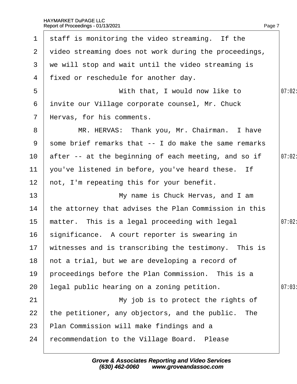| $\mathbf 1$     | staff is monitoring the video streaming. If the         |        |
|-----------------|---------------------------------------------------------|--------|
|                 | 2 video streaming does not work during the proceedings, |        |
| 3               | we will stop and wait until the video streaming is      |        |
|                 | 4 fixed or reschedule for another day.                  |        |
| 5               | With that, I would now like to                          | 07:02  |
| 6               | invite our Village corporate counsel, Mr. Chuck         |        |
| $\mathbf{7}$    | Hervas, for his comments.                               |        |
| 8               | MR. HERVAS: Thank you, Mr. Chairman. I have             |        |
| 9               | some brief remarks that -- I do make the same remarks   |        |
| 10              | after -- at the beginning of each meeting, and so if    | 07:02  |
| 11              | you've listened in before, you've heard these. If       |        |
| 12 <sub>2</sub> | not, I'm repeating this for your benefit.               |        |
| 13              | My name is Chuck Hervas, and I am                       |        |
| 14              | the attorney that advises the Plan Commission in this   |        |
| 15 <sub>1</sub> | matter. This is a legal proceeding with legal           | 07:02: |
| 16              | significance. A court reporter is swearing in           |        |
|                 | 17 witnesses and is transcribing the testimony. This is |        |
| 18              | hot a trial, but we are developing a record of          |        |
| 19              | proceedings before the Plan Commission. This is a       |        |
| 20              | legal public hearing on a zoning petition.              | 07:03  |
| 21              | My job is to protect the rights of                      |        |
| 22              | the petitioner, any objectors, and the public. The      |        |
| 23              | Plan Commission will make findings and a                |        |
| 24              | recommendation to the Village Board. Please             |        |
|                 |                                                         |        |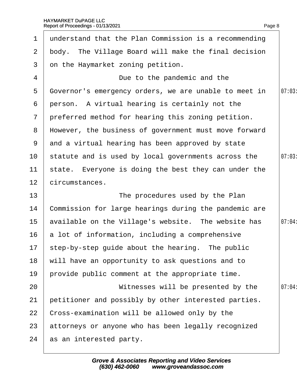| $\mathbf 1$     | understand that the Plan Commission is a recommending |        |
|-----------------|-------------------------------------------------------|--------|
| $\overline{2}$  | body. The Village Board will make the final decision  |        |
| 3               | on the Haymarket zoning petition.                     |        |
| 4               | Due to the pandemic and the                           |        |
| 5               | Governor's emergency orders, we are unable to meet in | 07:03  |
| 6               | person. A virtual hearing is certainly not the        |        |
| $\overline{7}$  | preferred method for hearing this zoning petition.    |        |
| 8               | However, the business of government must move forward |        |
| 9               | and a virtual hearing has been approved by state      |        |
| 10 <sup>°</sup> | statute and is used by local governments across the   | 07:03  |
| 11              | state. Everyone is doing the best they can under the  |        |
| 12 <sub>2</sub> | circumstances.                                        |        |
| 13              | The procedures used by the Plan                       |        |
| 14              | Commission for large hearings during the pandemic are |        |
| 15 <sub>2</sub> | available on the Village's website. The website has   | 07:04: |
| 16              | a lot of information, including a comprehensive       |        |
|                 | 17 step-by-step guide about the hearing. The public   |        |
| 18              | will have an opportunity to ask questions and to      |        |
| 19              | provide public comment at the appropriate time.       |        |
| 20              | Witnesses will be presented by the                    | 07:04: |
| 21              | petitioner and possibly by other interested parties.  |        |
| 22              | Cross-examination will be allowed only by the         |        |
| 23              | attorneys or anyone who has been legally recognized   |        |
| 24              | as an interested party.                               |        |
|                 |                                                       |        |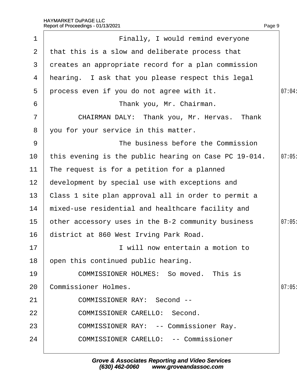|                 | Report of Proceedings - 01/13/2021                    | Page 9 |
|-----------------|-------------------------------------------------------|--------|
| $\mathbf 1$     | Finally, I would remind everyone                      |        |
| $\overline{2}$  | that this is a slow and deliberate process that       |        |
| 3               | dreates an appropriate record for a plan commission   |        |
| 4               | hearing. I ask that you please respect this legal     |        |
| 5               | process even if you do not agree with it.             | 07:04: |
| 6               | Thank you, Mr. Chairman.                              |        |
| $\overline{7}$  | CHAIRMAN DALY: Thank you, Mr. Hervas. Thank           |        |
| 8               | you for your service in this matter.                  |        |
| 9               | The business before the Commission                    |        |
| 10              | this evening is the public hearing on Case PC 19-014. | 07:05  |
| 11              | The request is for a petition for a planned           |        |
| 12 <sub>2</sub> | development by special use with exceptions and        |        |
| 13              | Class 1 site plan approval all in order to permit a   |        |
| 14              | mixed-use residential and healthcare facility and     |        |
| 15              | other accessory uses in the B-2 community business    | 07:05  |
| 16              | district at 860 West Irving Park Road.                |        |
| 17              | I will now entertain a motion to                      |        |
| 18              | open this continued public hearing.                   |        |
| 19              | COMMISSIONER HOLMES: So moved. This is                |        |
| 20              | <b>Commissioner Holmes.</b>                           | 07:05  |
| 21              | <b>COMMISSIONER RAY: Second --</b>                    |        |
| 22              | <b>COMMISSIONER CARELLO: Second.</b>                  |        |
| 23              | <b>COMMISSIONER RAY: -- Commissioner Ray.</b>         |        |
| 24              | <b>COMMISSIONER CARELLO: -- Commissioner</b>          |        |
|                 |                                                       |        |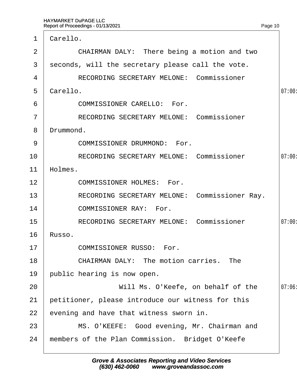| 1              | Carello.                                          |        |
|----------------|---------------------------------------------------|--------|
| 2              | CHAIRMAN DALY: There being a motion and two       |        |
| 3              | seconds, will the secretary please call the vote. |        |
| 4              | <b>RECORDING SECRETARY MELONE: Commissioner</b>   |        |
| 5              | Carello.                                          | 07:00: |
| 6              | <b>COMMISSIONER CARELLO: For.</b>                 |        |
| $\overline{7}$ | <b>RECORDING SECRETARY MELONE: Commissioner</b>   |        |
| 8              | Drummond.                                         |        |
| 9              | <b>COMMISSIONER DRUMMOND: For.</b>                |        |
| 10             | <b>RECORDING SECRETARY MELONE: Commissioner</b>   | 07:00  |
| 11             | Holmes.                                           |        |
| 12             | <b>COMMISSIONER HOLMES: For.</b>                  |        |
| 13             | RECORDING SECRETARY MELONE: Commissioner Ray.     |        |
| 14             | <b>COMMISSIONER RAY: For.</b>                     |        |
| 15             | <b>RECORDING SECRETARY MELONE: Commissioner</b>   | 07:00: |
| 16             | Russo.                                            |        |
| 17             | <b>COMMISSIONER RUSSO: For.</b>                   |        |
| 18             | <b>CHAIRMAN DALY: The motion carries. The</b>     |        |
| 19             | public hearing is now open.                       |        |
| 20             | Will Ms. O'Keefe, on behalf of the                | 07:06: |
| 21             | petitioner, please introduce our witness for this |        |
| 22             | evening and have that witness sworn in.           |        |
| 23             | MS. O'KEEFE: Good evening, Mr. Chairman and       |        |
| 24             | members of the Plan Commission. Bridget O'Keefe   |        |
|                |                                                   |        |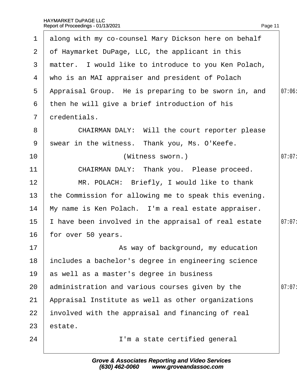| $\mathbf 1$    | along with my co-counsel Mary Dickson here on behalf  |        |
|----------------|-------------------------------------------------------|--------|
| 2 <sup>1</sup> | of Haymarket DuPage, LLC, the applicant in this       |        |
| 3              | matter. I would like to introduce to you Ken Polach,  |        |
| 4              | who is an MAI appraiser and president of Polach       |        |
| 5              | Appraisal Group. He is preparing to be sworn in, and  | 07:06: |
| 6              | then he will give a brief introduction of his         |        |
| $\overline{7}$ | dredentials.                                          |        |
| 8              | CHAIRMAN DALY: Will the court reporter please         |        |
| 9              | swear in the witness. Thank you, Ms. O'Keefe.         |        |
| 10             | (Witness sworn.)                                      | 07:07: |
| 11             | CHAIRMAN DALY: Thank you. Please proceed.             |        |
| 12             | MR. POLACH: Briefly, I would like to thank            |        |
| 13             | the Commission for allowing me to speak this evening. |        |
| 14             | My name is Ken Polach. I'm a real estate appraiser.   |        |
| 15             | have been involved in the appraisal of real estate    | 07:07: |
| 16             | for over 50 years.                                    |        |
| 17             | As way of background, my education                    |        |
| 18             | includes a bachelor's degree in engineering science   |        |
| 19             | as well as a master's degree in business              |        |
| 20             | administration and various courses given by the       | 07:07: |
| 21             | Appraisal Institute as well as other organizations    |        |
| 22             | involved with the appraisal and financing of real     |        |
| 23             | estate.                                               |        |
| 24             | I'm a state certified general                         |        |
|                |                                                       |        |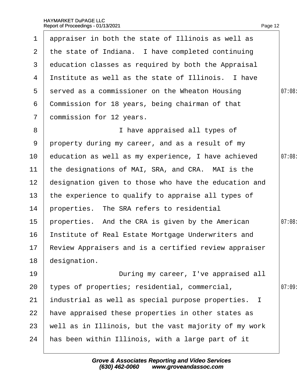| $\mathbf 1$     | appraiser in both the state of Illinois as well as       |        |
|-----------------|----------------------------------------------------------|--------|
| 2 <sup>1</sup>  | the state of Indiana. I have completed continuing        |        |
| 3               | education classes as required by both the Appraisal      |        |
| 4               | Institute as well as the state of Illinois. I have       |        |
| 5               | served as a commissioner on the Wheaton Housing          | 07:08: |
| 6               | Commission for 18 years, being chairman of that          |        |
| $\overline{7}$  | dommission for 12 years.                                 |        |
| 8               | I have appraised all types of                            |        |
| 9               | property during my career, and as a result of my         |        |
| 10              | education as well as my experience, I have achieved      | 07:08  |
| 11              | the designations of MAI, SRA, and CRA. MAI is the        |        |
| 12 <sub>2</sub> | designation given to those who have the education and    |        |
| 13 <sup>2</sup> | the experience to qualify to appraise all types of       |        |
| 14              | properties. The SRA refers to residential                |        |
| 15              | properties. And the CRA is given by the American         | 07:08: |
| 16              | Institute of Real Estate Mortgage Underwriters and       |        |
|                 | 17 Review Appraisers and is a certified review appraiser |        |
| 18              | designation.                                             |        |
| 19              | During my career, I've appraised all                     |        |
| 20              | types of properties; residential, commercial,            | 07:09  |
| 21              | industrial as well as special purpose properties. I      |        |
| 22              | have appraised these properties in other states as       |        |
| 23              | well as in Illinois, but the vast majority of my work    |        |
| 24              | has been within Illinois, with a large part of it        |        |
|                 |                                                          |        |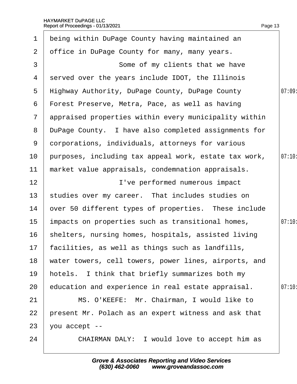| 1               | being within DuPage County having maintained an       |        |
|-----------------|-------------------------------------------------------|--------|
| $\overline{2}$  | office in DuPage County for many, many years.         |        |
| 3               | Some of my clients that we have                       |        |
| 4               | served over the years include IDOT, the Illinois      |        |
| 5               | Highway Authority, DuPage County, DuPage County       | 07:09  |
| 6               | Forest Preserve, Metra, Pace, as well as having       |        |
| $\overline{7}$  | appraised properties within every municipality within |        |
| 8               | DuPage County. I have also completed assignments for  |        |
| 9               | dorporations, individuals, attorneys for various      |        |
| 10              | purposes, including tax appeal work, estate tax work, | 07:10  |
| $11$            | market value appraisals, condemnation appraisals.     |        |
| 12              | I've performed numerous impact                        |        |
| 13              | studies over my career. That includes studies on      |        |
| 14              | over 50 different types of properties. These include  |        |
| 15 <sub>2</sub> | impacts on properties such as transitional homes,     | 07:10: |
| 16              | shelters, nursing homes, hospitals, assisted living   |        |
|                 | 17 facilities, as well as things such as landfills,   |        |
| 18              | water towers, cell towers, power lines, airports, and |        |
| 19              | hotels. I think that briefly summarizes both my       |        |
| 20              | education and experience in real estate appraisal.    | 07:10: |
| 21              | MS. O'KEEFE: Mr. Chairman, I would like to            |        |
| 22              | present Mr. Polach as an expert witness and ask that  |        |
| 23              | you accept --                                         |        |
| 24              | CHAIRMAN DALY: I would love to accept him as          |        |
|                 |                                                       |        |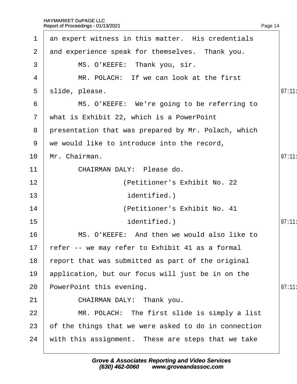| 1               | an expert witness in this matter. His credentials    |       |
|-----------------|------------------------------------------------------|-------|
| $\overline{2}$  | and experience speak for themselves. Thank you.      |       |
| 3               | MS. O'KEEFE: Thank you, sir.                         |       |
| 4               | MR. POLACH: If we can look at the first              |       |
| 5               | slide, please.                                       | 07:11 |
| 6               | MS. O'KEEFE: We're going to be referring to          |       |
| $\overline{7}$  | what is Exhibit 22, which is a PowerPoint            |       |
| 8               | presentation that was prepared by Mr. Polach, which  |       |
| 9               | we would like to introduce into the record,          |       |
| 10              | Mr. Chairman.                                        | 07:11 |
| 11              | CHAIRMAN DALY: Please do.                            |       |
| 12              | (Petitioner's Exhibit No. 22                         |       |
| 13              | identified.)                                         |       |
| 14              | (Petitioner's Exhibit No. 41                         |       |
| 15              | identified.)                                         | 07:11 |
| 16              | MS. O'KEEFE: And then we would also like to          |       |
| 17 <sub>2</sub> | fefer -- we may refer to Exhibit 41 as a formal      |       |
| 18              | report that was submitted as part of the original    |       |
| 19              | application, but our focus will just be in on the    |       |
| 20              | PowerPoint this evening.                             | 07:11 |
| 21              | CHAIRMAN DALY: Thank you.                            |       |
| 22              | MR. POLACH: The first slide is simply a list         |       |
| 23              | of the things that we were asked to do in connection |       |
| 24              | with this assignment. These are steps that we take   |       |
|                 |                                                      |       |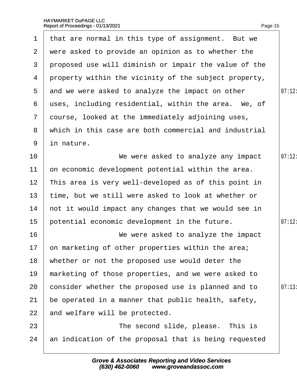| $\mathbf 1$     | that are normal in this type of assignment. But we    |        |
|-----------------|-------------------------------------------------------|--------|
|                 | 2 were asked to provide an opinion as to whether the  |        |
| 3               | proposed use will diminish or impair the value of the |        |
| 4               | property within the vicinity of the subject property, |        |
| 5               | and we were asked to analyze the impact on other      | 07:12: |
| 6               | uses, including residential, within the area. We, of  |        |
| $7\phantom{.}$  | dourse, looked at the immediately adjoining uses,     |        |
| 8               | which in this case are both commercial and industrial |        |
| 9               | in nature.                                            |        |
| 10              | We were asked to analyze any impact                   | 07:12: |
| 11              | on economic development potential within the area.    |        |
| 12 <sub>2</sub> | This area is very well-developed as of this point in  |        |
| 13 <sup>°</sup> | time, but we still were asked to look at whether or   |        |
| 14              | not it would impact any changes that we would see in  |        |
| 15              | potential economic development in the future.         | 07:12: |
| 16              | We were asked to analyze the impact                   |        |
|                 | 17 on marketing of other properties within the area;  |        |
| 18              | whether or not the proposed use would deter the       |        |
| 19              | marketing of those properties, and we were asked to   |        |
| 20              | consider whether the proposed use is planned and to   | 07:13  |
| 21              | be operated in a manner that public health, safety,   |        |
| 22              | and welfare will be protected.                        |        |
| 23              | The second slide, please. This is                     |        |
| 24              | an indication of the proposal that is being requested |        |
|                 |                                                       |        |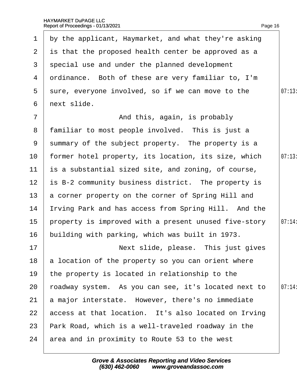| $\mathbf 1$     | by the applicant, Haymarket, and what they're asking  |        |
|-----------------|-------------------------------------------------------|--------|
|                 | 2 is that the proposed health center be approved as a |        |
| 3 <sup>1</sup>  | special use and under the planned development         |        |
|                 | 4 drdinance. Both of these are very familiar to, I'm  |        |
| 5               | sure, everyone involved, so if we can move to the     | 07:13  |
| 6               | next slide.                                           |        |
| $\overline{7}$  | And this, again, is probably                          |        |
|                 | 8 familiar to most people involved. This is just a    |        |
|                 | 9 summary of the subject property. The property is a  |        |
| 10 <sup>°</sup> | former hotel property, its location, its size, which  | 07:13  |
| 11              | is a substantial sized site, and zoning, of course,   |        |
| 12 <sub>2</sub> | is B-2 community business district. The property is   |        |
| 13 <sup>°</sup> | a corner property on the corner of Spring Hill and    |        |
| 14              | rving Park and has access from Spring Hill. And the   |        |
| 15              | property is improved with a present unused five-story | 07:14: |
| 16              | building with parking, which was built in 1973.       |        |
| 17              | Next slide, please. This just gives                   |        |
| 18              | a location of the property so you can orient where    |        |
| 19              | the property is located in relationship to the        |        |
| 20              | roadway system. As you can see, it's located next to  | 07:14  |
| 21              | a major interstate. However, there's no immediate     |        |
| 22              | access at that location. It's also located on Irving  |        |
| 23              | Park Road, which is a well-traveled roadway in the    |        |
| 24              | area and in proximity to Route 53 to the west         |        |
|                 |                                                       |        |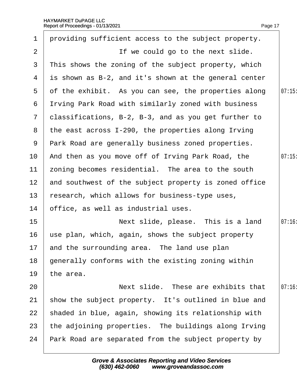|                 | Report of Proceedings - 01/13/2021                    | Page 17 |
|-----------------|-------------------------------------------------------|---------|
| $\mathbf 1$     | providing sufficient access to the subject property.  |         |
| 2               | If we could go to the next slide.                     |         |
| 3               | This shows the zoning of the subject property, which  |         |
| 4               | is shown as B-2, and it's shown at the general center |         |
| 5               | of the exhibit. As you can see, the properties along  | 07:15   |
| 6               | Itving Park Road with similarly zoned with business   |         |
| $7\overline{ }$ | classifications, B-2, B-3, and as you get further to  |         |
| 8               | the east across I-290, the properties along Irving    |         |
|                 | 9 Park Road are generally business zoned properties.  |         |
| 10 <sup>°</sup> | And then as you move off of Irving Park Road, the     | 07:15   |
| 11              | zoning becomes residential. The area to the south     |         |
| 12 <sub>2</sub> | and southwest of the subject property is zoned office |         |
| 13              | research, which allows for business-type uses,        |         |
| 14              | office, as well as industrial uses.                   |         |
| 15 <sub>1</sub> | Next slide, please. This is a land                    | 07:16   |
| 16              | use plan, which, again, shows the subject property    |         |
| 17              | and the surrounding area. The land use plan           |         |
| 18              | generally conforms with the existing zoning within    |         |
| 19              | the area.                                             |         |
| 20              | Next slide. These are exhibits that                   | 07:16   |
| 21              | show the subject property. It's outlined in blue and  |         |
| 22              | shaded in blue, again, showing its relationship with  |         |
| 23              | the adjoining properties. The buildings along Irving  |         |
| 24              | Park Road are separated from the subject property by  |         |
|                 |                                                       |         |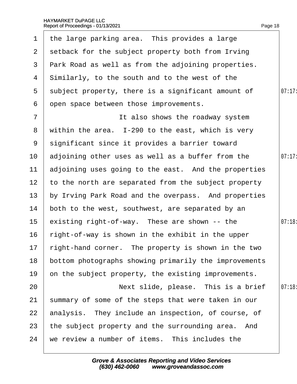| $\mathbf 1$     | the large parking area. This provides a large              |        |
|-----------------|------------------------------------------------------------|--------|
| 2 <sup>1</sup>  | setback for the subject property both from Irving          |        |
| 3               | <b>Park Road as well as from the adjoining properties.</b> |        |
| 4               | Similarly, to the south and to the west of the             |        |
| 5               | subject property, there is a significant amount of         | 07:17: |
| 6               | open space between those improvements.                     |        |
| $\overline{7}$  | It also shows the roadway system                           |        |
| 8               | within the area. I-290 to the east, which is very          |        |
| 9               | significant since it provides a barrier toward             |        |
| 10 <sub>1</sub> | adjoining other uses as well as a buffer from the          | 07:17  |
| 11              | adjoining uses going to the east. And the properties       |        |
| 12 <sub>2</sub> | to the north are separated from the subject property       |        |
| 13              | by Irving Park Road and the overpass. And properties       |        |
| 14              | both to the west, southwest, are separated by an           |        |
| 15 <sub>1</sub> | existing right-of-way. These are shown -- the              | 07:18  |
| 16              | right-of-way is shown in the exhibit in the upper          |        |
|                 | 17 right-hand corner. The property is shown in the two     |        |
| 18              | bottom photographs showing primarily the improvements      |        |
| 19              | on the subject property, the existing improvements.        |        |
| 20              | Next slide, please. This is a brief                        | 07:18  |
| 21              | summary of some of the steps that were taken in our        |        |
| 22              | analysis. They include an inspection, of course, of        |        |
| 23              | the subject property and the surrounding area. And         |        |
| 24              | we review a number of items. This includes the             |        |
|                 |                                                            |        |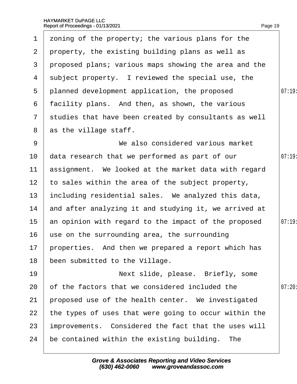| $\mathbf 1$     | zoning of the property; the various plans for the      |        |
|-----------------|--------------------------------------------------------|--------|
| $\mathbf{2}$    | property, the existing building plans as well as       |        |
| 3               | proposed plans; various maps showing the area and the  |        |
| 4               | subject property. I reviewed the special use, the      |        |
| 5               | planned development application, the proposed          | 07:19: |
| 6               | facility plans. And then, as shown, the various        |        |
| $\overline{7}$  | studies that have been created by consultants as well  |        |
| 8               | as the village staff.                                  |        |
| 9               | We also considered various market                      |        |
| 10 <sup>°</sup> | data research that we performed as part of our         | 07:19  |
| 11              | assignment. We looked at the market data with regard   |        |
| 12 <sub>2</sub> | to sales within the area of the subject property,      |        |
| 13              | including residential sales. We analyzed this data,    |        |
| 14              | and after analyzing it and studying it, we arrived at  |        |
| 15 <sub>2</sub> | an opinion with regard to the impact of the proposed   | 07:19  |
| 16              | use on the surrounding area, the surrounding           |        |
|                 | 17 properties. And then we prepared a report which has |        |
| 18              | been submitted to the Village.                         |        |
| 19              | Next slide, please. Briefly, some                      |        |
| 20              | of the factors that we considered included the         | 07:20: |
| 21              | proposed use of the health center. We investigated     |        |
| 22              | the types of uses that were going to occur within the  |        |
| 23              | improvements. Considered the fact that the uses will   |        |
| 24              | be contained within the existing building. The         |        |
|                 |                                                        |        |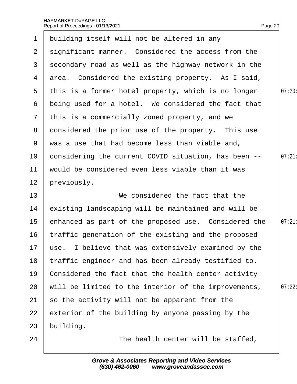| $\mathbf 1$    | building itself will not be altered in any             |        |
|----------------|--------------------------------------------------------|--------|
| $\overline{2}$ | significant manner. Considered the access from the     |        |
| 3              | secondary road as well as the highway network in the   |        |
| 4              | area. Considered the existing property. As I said,     |        |
| 5              | this is a former hotel property, which is no longer    | 07:20: |
| 6              | being used for a hotel. We considered the fact that    |        |
| $\mathbf{7}$   | this is a commercially zoned property, and we          |        |
| 8              | donsidered the prior use of the property. This use     |        |
| 9              | was a use that had become less than viable and,        |        |
| 10             | considering the current COVID situation, has been --   | 07:21  |
| 11             | would be considered even less viable than it was       |        |
| 12             | previously.                                            |        |
| 13             | We considered the fact that the                        |        |
| 14             | existing landscaping will be maintained and will be    |        |
| 15             | enhanced as part of the proposed use. Considered the   | 07:21  |
| 16             | traffic generation of the existing and the proposed    |        |
|                | 17 use. I believe that was extensively examined by the |        |
| 18             | traffic engineer and has been already testified to.    |        |
| 19             | Considered the fact that the health center activity    |        |
| 20             | will be limited to the interior of the improvements,   | 07:22  |
| 21             | so the activity will not be apparent from the          |        |
| 22             | exterior of the building by anyone passing by the      |        |
| 23             | building.                                              |        |
| 24             | The health center will be staffed,                     |        |
|                |                                                        |        |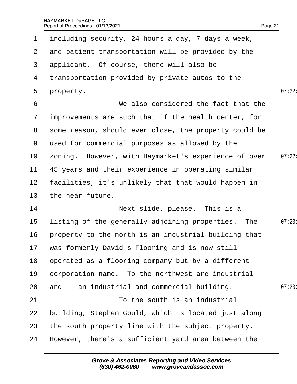| $\mathbf 1$     | including security, 24 hours a day, 7 days a week,      |        |
|-----------------|---------------------------------------------------------|--------|
| $\mathbf{2}$    | and patient transportation will be provided by the      |        |
| 3               | applicant. Of course, there will also be                |        |
| 4               | transportation provided by private autos to the         |        |
| $5^{\circ}$     | property.                                               | 07:22: |
| 6               | We also considered the fact that the                    |        |
| $\overline{7}$  | improvements are such that if the health center, for    |        |
|                 | 8 some reason, should ever close, the property could be |        |
| 9               | used for commercial purposes as allowed by the          |        |
| 10 <sup>°</sup> | zoning. However, with Haymarket's experience of over    | 07:22  |
| 11              | 45 years and their experience in operating similar      |        |
| 12 <sub>2</sub> | facilities, it's unlikely that that would happen in     |        |
| 13 <sup>°</sup> | the near future.                                        |        |
| 14              | Next slide, please. This is a                           |        |
| 15              | listing of the generally adjoining properties. The      | 07:23  |
| 16              | property to the north is an industrial building that    |        |
|                 | 17 was formerly David's Flooring and is now still       |        |
| 18              | operated as a flooring company but by a different       |        |
| 19              | corporation name. To the northwest are industrial       |        |
| 20              | and -- an industrial and commercial building.           | 07:23  |
| 21              | To the south is an industrial                           |        |
| 22              | building, Stephen Gould, which is located just along    |        |
| 23              | the south property line with the subject property.      |        |
| 24              | However, there's a sufficient yard area between the     |        |
|                 |                                                         |        |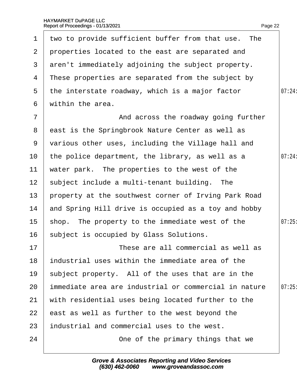| $\mathbf 1$     | two to provide sufficient buffer from that use. The   |        |
|-----------------|-------------------------------------------------------|--------|
| $\mathbf{2}$    | properties located to the east are separated and      |        |
| 3               | aren't immediately adjoining the subject property.    |        |
| 4               | These properties are separated from the subject by    |        |
| 5               | the interstate roadway, which is a major factor       | 07:24: |
| 6               | within the area.                                      |        |
| $\overline{7}$  | And across the roadway going further                  |        |
| 8               | east is the Springbrook Nature Center as well as      |        |
| 9               | various other uses, including the Village hall and    |        |
| 10              | the police department, the library, as well as a      | 07:24  |
| 11              | water park. The properties to the west of the         |        |
| 12 <sup>7</sup> | subject include a multi-tenant building. The          |        |
| 13 <sup>°</sup> | property at the southwest corner of Irving Park Road  |        |
| 14              | and Spring Hill drive is occupied as a toy and hobby  |        |
| 15              | shop. The property to the immediate west of the       | 07:25  |
|                 | 16 subject is occupied by Glass Solutions.            |        |
| 17              | These are all commercial as well as                   |        |
| 18              | industrial uses within the immediate area of the      |        |
| 19              | subject property. All of the uses that are in the     |        |
| 20              | immediate area are industrial or commercial in nature | 07:25  |
| 21              | with residential uses being located further to the    |        |
| 22              | east as well as further to the west beyond the        |        |
| 23              | industrial and commercial uses to the west.           |        |
| 24              | One of the primary things that we                     |        |
|                 |                                                       |        |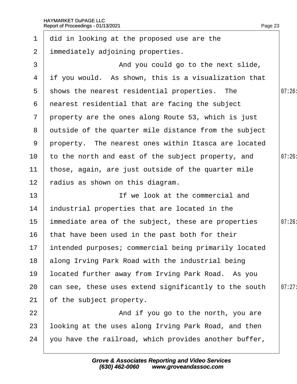| $\mathbf 1$     | did in looking at the proposed use are the               |       |
|-----------------|----------------------------------------------------------|-------|
| $\overline{2}$  | immediately adjoining properties.                        |       |
| 3               | And you could go to the next slide,                      |       |
| 4               | if you would. As shown, this is a visualization that     |       |
| 5               | shows the nearest residential properties. The            | 07:26 |
| 6               | nearest residential that are facing the subject          |       |
|                 | 7 property are the ones along Route 53, which is just    |       |
| 8               | dutside of the quarter mile distance from the subject    |       |
|                 | 9 property. The nearest ones within Itasca are located   |       |
| 10 <sub>1</sub> | to the north and east of the subject property, and       | 07:26 |
| 11              | those, again, are just outside of the quarter mile       |       |
| 12              | radius as shown on this diagram.                         |       |
| 13              | If we look at the commercial and                         |       |
| 14              | industrial properties that are located in the            |       |
| $15\,$          | immediate area of the subject, these are properties      | 07:26 |
| 16              | that have been used in the past both for their           |       |
|                 | 17 intended purposes; commercial being primarily located |       |
| 18              | along Irving Park Road with the industrial being         |       |
| 19              | located further away from Irving Park Road. As you       |       |
| 20              | can see, these uses extend significantly to the south    | 07:27 |
| 21              | of the subject property.                                 |       |
| 22              | And if you go to the north, you are                      |       |
| 23              | looking at the uses along Irving Park Road, and then     |       |
| 24              | you have the railroad, which provides another buffer,    |       |
|                 |                                                          |       |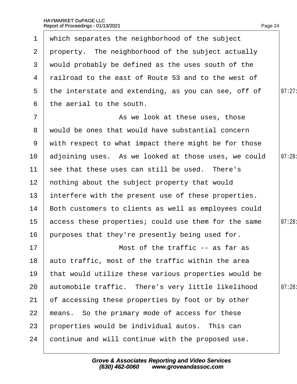| $\mathbf 1$      | which separates the neighborhood of the subject        |        |
|------------------|--------------------------------------------------------|--------|
| $\mathbf{2}$     | property. The neighborhood of the subject actually     |        |
| 3                | would probably be defined as the uses south of the     |        |
| 4                | railroad to the east of Route 53 and to the west of    |        |
| 5                | the interstate and extending, as you can see, off of   | 07:27: |
| 6                | the aerial to the south.                               |        |
| $\overline{7}$   | As we look at these uses, those                        |        |
|                  | 8 would be ones that would have substantial concern    |        |
|                  | 9 with respect to what impact there might be for those |        |
| 10               | adjoining uses. As we looked at those uses, we could   | 07:28  |
| 11               | see that these uses can still be used. There's         |        |
| 12 <sub>2</sub>  | nothing about the subject property that would          |        |
| 13               | interfere with the present use of these properties.    |        |
| 14               | Both customers to clients as well as employees could   |        |
| 15 <sup>15</sup> | access these properties; could use them for the same   | 07:28: |
| 16               | purposes that they're presently being used for.        |        |
| 17               | Most of the traffic -- as far as                       |        |
| 18               | auto traffic, most of the traffic within the area      |        |
| 19               | that would utilize these various properties would be   |        |
| 20               | automobile traffic. There's very little likelihood     | 07:28  |
| 21               | of accessing these properties by foot or by other      |        |
| 22               | means. So the primary mode of access for these         |        |
| 23               | properties would be individual autos. This can         |        |
| 24               | continue and will continue with the proposed use.      |        |
|                  |                                                        |        |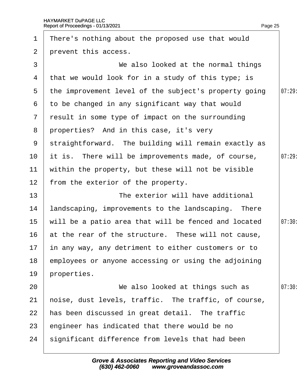| $\mathbf 1$     | There's nothing about the proposed use that would     |       |
|-----------------|-------------------------------------------------------|-------|
| $\overline{2}$  | prevent this access.                                  |       |
| 3               | We also looked at the normal things                   |       |
| 4               | that we would look for in a study of this type; is    |       |
| 5               | the improvement level of the subject's property going | 07:29 |
| 6               | to be changed in any significant way that would       |       |
|                 | 7 result in some type of impact on the surrounding    |       |
|                 | 8 properties? And in this case, it's very             |       |
| 9               | straightforward. The building will remain exactly as  |       |
| 10              | it is. There will be improvements made, of course,    | 07:29 |
| 11              | within the property, but these will not be visible    |       |
| 12 <sup>2</sup> | from the exterior of the property.                    |       |
| 13              | The exterior will have additional                     |       |
| 14              | landscaping, improvements to the landscaping. There   |       |
| 15              | will be a patio area that will be fenced and located  | 07:30 |
| 16              | at the rear of the structure. These will not cause,   |       |
| 17 <sub>2</sub> | in any way, any detriment to either customers or to   |       |
| 18              | employees or anyone accessing or using the adjoining  |       |
| 19              | properties.                                           |       |
| 20              | We also looked at things such as                      | 07:30 |
| 21              | hoise, dust levels, traffic. The traffic, of course,  |       |
| 22              | has been discussed in great detail. The traffic       |       |
| 23              | engineer has indicated that there would be no         |       |
| 24              | significant difference from levels that had been      |       |
|                 |                                                       |       |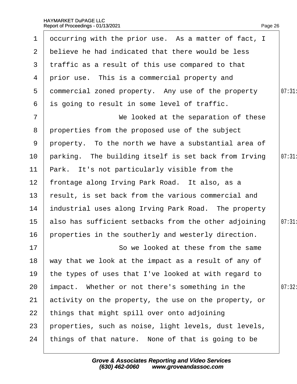| $\mathbf 1$     | occurring with the prior use. As a matter of fact, I  |        |
|-----------------|-------------------------------------------------------|--------|
| 2               | believe he had indicated that there would be less     |        |
| 3 <sup>1</sup>  | traffic as a result of this use compared to that      |        |
| 4               | prior use. This is a commercial property and          |        |
| 5               | dommercial zoned property. Any use of the property    | 07:31  |
| 6               | is going to result in some level of traffic.          |        |
| $\overline{7}$  | We looked at the separation of these                  |        |
| 8               | properties from the proposed use of the subject       |        |
| 9               | property. To the north we have a substantial area of  |        |
| 10              | parking. The building itself is set back from Irving  | 07:31  |
| 11              | Park. It's not particularly visible from the          |        |
| 12 <sub>2</sub> | frontage along Irving Park Road. It also, as a        |        |
| 13              | result, is set back from the various commercial and   |        |
| 14              | industrial uses along Irving Park Road. The property  |        |
| 15 <sub>2</sub> | also has sufficient setbacks from the other adjoining | 07:31  |
| 16              | properties in the southerly and westerly direction.   |        |
| 17              | So we looked at these from the same                   |        |
| 18              | way that we look at the impact as a result of any of  |        |
| 19              | the types of uses that I've looked at with regard to  |        |
| 20              | impact. Whether or not there's something in the       | 07:32: |
| 21              | activity on the property, the use on the property, or |        |
| 22              | things that might spill over onto adjoining           |        |
| 23              | properties, such as noise, light levels, dust levels, |        |
| 24              | things of that nature. None of that is going to be    |        |
|                 |                                                       |        |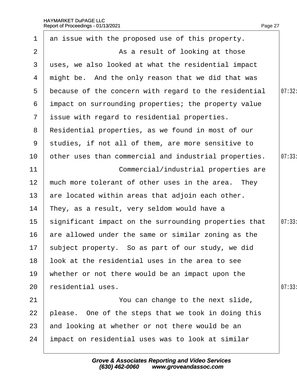|                | Report of Proceedings - 01/13/2021                    | Page 27 |
|----------------|-------------------------------------------------------|---------|
| $\mathbf 1$    | an issue with the proposed use of this property.      |         |
| $\overline{2}$ | As a result of looking at those                       |         |
| 3              | uses, we also looked at what the residential impact   |         |
| 4              | might be. And the only reason that we did that was    |         |
| 5              | because of the concern with regard to the residential | 07:32:  |
| 6              | impact on surrounding properties; the property value  |         |
| $\mathbf{7}$   | issue with regard to residential properties.          |         |
| 8              | Residential properties, as we found in most of our    |         |
| 9              | studies, if not all of them, are more sensitive to    |         |
| 10             | other uses than commercial and industrial properties. | 07:33   |
| 11             | Commercial/industrial properties are                  |         |
| 12             | much more tolerant of other uses in the area. They    |         |
| 13             | are located within areas that adjoin each other.      |         |
| 14             | They, as a result, very seldom would have a           |         |
| 15             | significant impact on the surrounding properties that | 07:33   |
| 16             | are allowed under the same or similar zoning as the   |         |
| 17             | subject property. So as part of our study, we did     |         |
| 18             | look at the residential uses in the area to see       |         |
| 19             | whether or not there would be an impact upon the      |         |
| 20             | residential uses.                                     | 07:33   |
| 21             | You can change to the next slide,                     |         |
| 22             | please. One of the steps that we took in doing this   |         |
| 23             | and looking at whether or not there would be an       |         |
| 24             | impact on residential uses was to look at similar     |         |
|                |                                                       |         |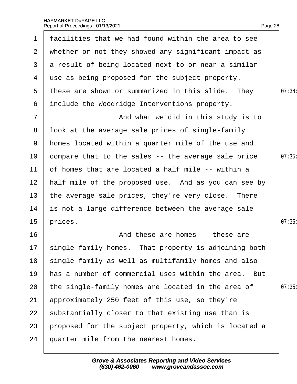| $\mathbf 1$     | facilities that we had found within the area to see     |        |
|-----------------|---------------------------------------------------------|--------|
| 2 <sup>1</sup>  | whether or not they showed any significant impact as    |        |
| 3               | a result of being located next to or near a similar     |        |
| 4               | use as being proposed for the subject property.         |        |
| 5               | These are shown or summarized in this slide. They       | 07:34: |
| 6               | include the Woodridge Interventions property.           |        |
| $\overline{7}$  | And what we did in this study is to                     |        |
| 8               | Ibok at the average sale prices of single-family        |        |
| 9               | homes located within a quarter mile of the use and      |        |
| 10              | compare that to the sales -- the average sale price     | 07:35  |
| 11              | of homes that are located a half mile -- within a       |        |
| 12 <sub>2</sub> | half mile of the proposed use. And as you can see by    |        |
| 13 <sup>°</sup> | the average sale prices, they're very close. There      |        |
| 14              | is not a large difference between the average sale      |        |
| 15              | prices.                                                 | 07:35  |
| 16              | And these are homes -- these are                        |        |
|                 | 17 single-family homes. That property is adjoining both |        |
| 18              | single-family as well as multifamily homes and also     |        |
| 19              | has a number of commercial uses within the area. But    |        |
| 20              | the single-family homes are located in the area of      | 07:35  |
| 21              | approximately 250 feet of this use, so they're          |        |
| 22              | substantially closer to that existing use than is       |        |
| 23              | proposed for the subject property, which is located a   |        |
| 24              | quarter mile from the nearest homes.                    |        |
|                 |                                                         |        |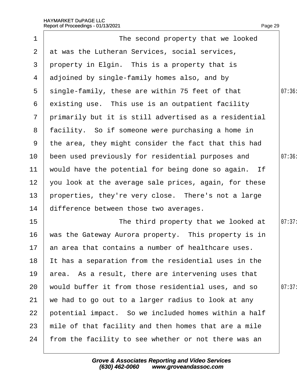|                 | Report of Proceedings - 01/13/2021                    | Page 29 |
|-----------------|-------------------------------------------------------|---------|
| 1               | The second property that we looked                    |         |
| 2 <sup>1</sup>  | at was the Lutheran Services, social services,        |         |
| 3               | property in Elgin. This is a property that is         |         |
| 4               | adjoined by single-family homes also, and by          |         |
| 5               | single-family, these are within 75 feet of that       | 07:36   |
| 6               | existing use. This use is an outpatient facility      |         |
| $7\overline{ }$ | primarily but it is still advertised as a residential |         |
| 8               | facility. So if someone were purchasing a home in     |         |
| 9               | the area, they might consider the fact that this had  |         |
| 10              | been used previously for residential purposes and     | 07:36   |
| 11              | would have the potential for being done so again. If  |         |
| 12 <sub>2</sub> | you look at the average sale prices, again, for these |         |
| 13 <sub>2</sub> | properties, they're very close. There's not a large   |         |
| 14              | difference between those two averages.                |         |
| 15              | The third property that we looked at                  | 07:37:  |
| 16              | was the Gateway Aurora property. This property is in  |         |
| 17              | an area that contains a number of healthcare uses.    |         |
| 18              | It has a separation from the residential uses in the  |         |
| 19              | area. As a result, there are intervening uses that    |         |
| 20              | would buffer it from those residential uses, and so   | 07:37:  |
| 21              | we had to go out to a larger radius to look at any    |         |
| 22              | potential impact. So we included homes within a half  |         |
| 23              | mile of that facility and then homes that are a mile  |         |
| 24              | from the facility to see whether or not there was an  |         |
|                 |                                                       |         |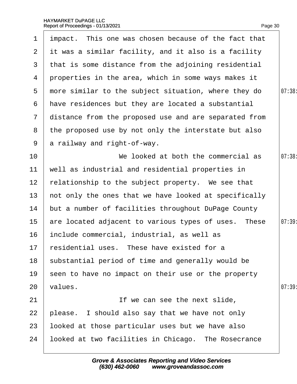| $\mathbf 1$    | impact. This one was chosen because of the fact that  |       |
|----------------|-------------------------------------------------------|-------|
| 2 <sup>1</sup> | it was a similar facility, and it also is a facility  |       |
| 3              | that is some distance from the adjoining residential  |       |
| 4              | properties in the area, which in some ways makes it   |       |
| 5              | more similar to the subject situation, where they do  | 07:38 |
| 6              | have residences but they are located a substantial    |       |
| $\mathcal{I}$  | distance from the proposed use and are separated from |       |
| 8              | the proposed use by not only the interstate but also  |       |
| 9              | a railway and right-of-way.                           |       |
| 10             | We looked at both the commercial as                   | 07:38 |
| 11             | well as industrial and residential properties in      |       |
| 12             | relationship to the subject property. We see that     |       |
| 13             | not only the ones that we have looked at specifically |       |
| 14             | but a number of facilities throughout DuPage County   |       |
| 15             | are located adjacent to various types of uses. These  | 07:39 |
| 16             | include commercial, industrial, as well as            |       |
|                | 17 residential uses. These have existed for a         |       |
| 18             | substantial period of time and generally would be     |       |
| 19             | seen to have no impact on their use or the property   |       |
| 20             | values.                                               | 07:39 |
| 21             | If we can see the next slide,                         |       |
| 22             | please. I should also say that we have not only       |       |
| 23             | looked at those particular uses but we have also      |       |
| 24             | looked at two facilities in Chicago. The Rosecrance   |       |
|                |                                                       |       |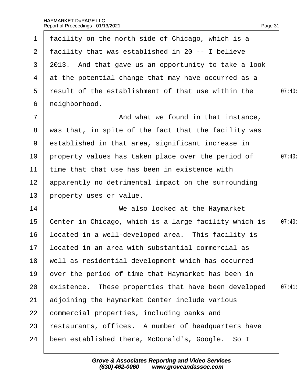| $\mathbf 1$     | facility on the north side of Chicago, which is a      |       |
|-----------------|--------------------------------------------------------|-------|
| $\overline{2}$  | facility that was established in 20 -- I believe       |       |
|                 | 3 2013. And that gave us an opportunity to take a look |       |
| 4               | at the potential change that may have occurred as a    |       |
| 5               | result of the establishment of that use within the     | 07:40 |
| 6               | neighborhood.                                          |       |
| $\overline{7}$  | And what we found in that instance,                    |       |
| 8               | was that, in spite of the fact that the facility was   |       |
| 9               | established in that area, significant increase in      |       |
| 10 <sub>1</sub> | property values has taken place over the period of     | 07:40 |
| 11              | time that that use has been in existence with          |       |
| 12 <sub>2</sub> | apparently no detrimental impact on the surrounding    |       |
| 13              | property uses or value.                                |       |
| 14              | We also looked at the Haymarket                        |       |
| $15\,$          | Center in Chicago, which is a large facility which is  | 07:40 |
| 16              | located in a well-developed area. This facility is     |       |
|                 | 17 located in an area with substantial commercial as   |       |
| 18              | well as residential development which has occurred     |       |
| 19              | over the period of time that Haymarket has been in     |       |
| 20              | existence. These properties that have been developed   | 07:41 |
| 21              | adjoining the Haymarket Center include various         |       |
| 22              | commercial properties, including banks and             |       |
| 23              | restaurants, offices. A number of headquarters have    |       |
| 24              | been established there, McDonald's, Google. So I       |       |
|                 |                                                        |       |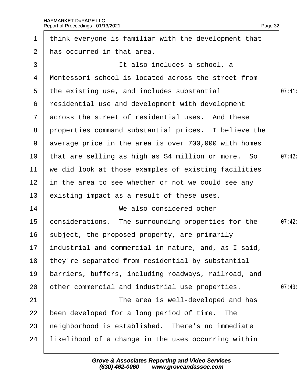|                 | 1 think everyone is familiar with the development that  |        |
|-----------------|---------------------------------------------------------|--------|
| $\overline{2}$  | has occurred in that area.                              |        |
| 3               | It also includes a school, a                            |        |
| 4               | Montessori school is located across the street from     |        |
| 5               | the existing use, and includes substantial              | 07:41  |
| 6               | residential use and development with development        |        |
|                 | 7 across the street of residential uses. And these      |        |
| 8               | properties command substantial prices. I believe the    |        |
|                 | 9 average price in the area is over 700,000 with homes  |        |
| 10              | that are selling as high as \$4 million or more. So     | 07:42: |
| 11              | we did look at those examples of existing facilities    |        |
| 12 <sub>2</sub> | in the area to see whether or not we could see any      |        |
| 13              | existing impact as a result of these uses.              |        |
| 14              | We also considered other                                |        |
| 15              | considerations. The surrounding properties for the      | 07:42: |
| 16              | subject, the proposed property, are primarily           |        |
|                 | 17 industrial and commercial in nature, and, as I said, |        |
| 18              | they're separated from residential by substantial       |        |
| 19              | barriers, buffers, including roadways, railroad, and    |        |
| 20              | other commercial and industrial use properties.         | 07:43  |
| 21              | The area is well-developed and has                      |        |
| 22              | been developed for a long period of time. The           |        |
| 23              | heighborhood is established. There's no immediate       |        |
| 24              | likelihood of a change in the uses occurring within     |        |
|                 |                                                         |        |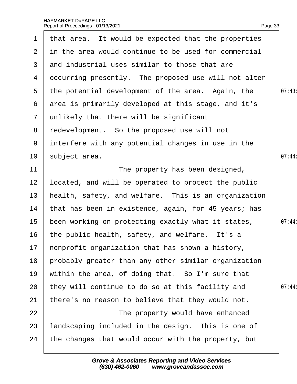| $\mathbf 1$    | that area. It would be expected that the properties  |        |
|----------------|------------------------------------------------------|--------|
| 2              | in the area would continue to be used for commercial |        |
| 3              | and industrial uses similar to those that are        |        |
| 4              | occurring presently. The proposed use will not alter |        |
| $5^{\circ}$    | the potential development of the area. Again, the    | 07:43  |
| 6              | area is primarily developed at this stage, and it's  |        |
| $\overline{7}$ | unlikely that there will be significant              |        |
| 8              | redevelopment. So the proposed use will not          |        |
| 9              | interfere with any potential changes in use in the   |        |
| 10             | subject area.                                        | 07:44  |
| 11             | The property has been designed,                      |        |
| 12             | located, and will be operated to protect the public  |        |
| 13             | health, safety, and welfare. This is an organization |        |
| 14             | that has been in existence, again, for 45 years; has |        |
| $15\,$         | been working on protecting exactly what it states,   | 07:44: |
| 16             | the public health, safety, and welfare. It's a       |        |
|                | 17 honprofit organization that has shown a history,  |        |
| 18             | probably greater than any other similar organization |        |
| 19             | within the area, of doing that. So I'm sure that     |        |
| 20             | they will continue to do so at this facility and     | 07:44  |
| 21             | there's no reason to believe that they would not.    |        |
| 22             | The property would have enhanced                     |        |
| 23             | andscaping included in the design. This is one of    |        |
| 24             | the changes that would occur with the property, but  |        |
|                |                                                      |        |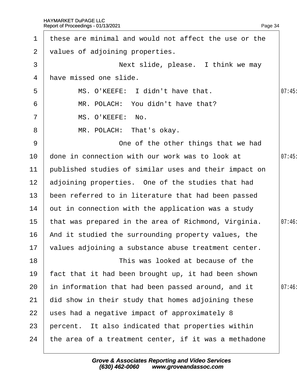| $\mathbf 1$     | these are minimal and would not affect the use or the   |       |
|-----------------|---------------------------------------------------------|-------|
| $\overline{2}$  | values of adjoining properties.                         |       |
| 3               | Next slide, please. I think we may                      |       |
| 4               | have missed one slide.                                  |       |
| 5               | MS. O'KEEFE: I didn't have that.                        | 07:45 |
| 6               | MR. POLACH: You didn't have that?                       |       |
| $\overline{7}$  | MS. O'KEEFE: No.                                        |       |
| 8               | MR. POLACH: That's okay.                                |       |
| 9               | One of the other things that we had                     |       |
| 10              | done in connection with our work was to look at         | 07:45 |
| 11              | published studies of similar uses and their impact on   |       |
| 12 <sub>2</sub> | adjoining properties. One of the studies that had       |       |
| 13              | been referred to in literature that had been passed     |       |
| 14              | but in connection with the application was a study      |       |
| $15\,$          | that was prepared in the area of Richmond, Virginia.    | 07:46 |
| 16              | And it studied the surrounding property values, the     |       |
|                 | 17 values adjoining a substance abuse treatment center. |       |
| 18              | This was looked at because of the                       |       |
| 19              | fact that it had been brought up, it had been shown     |       |
| 20              | in information that had been passed around, and it      | 07:46 |
| 21              | did show in their study that homes adjoining these      |       |
| 22              | uses had a negative impact of approximately 8           |       |
| 23              | percent. It also indicated that properties within       |       |
| 24              | the area of a treatment center, if it was a methadone   |       |
|                 |                                                         |       |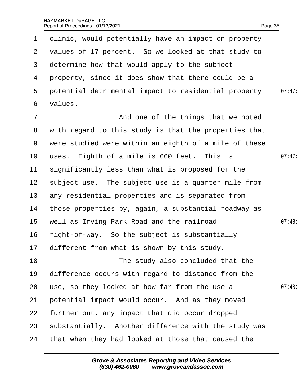| $\mathbf 1$     | dlinic, would potentially have an impact on property  |        |
|-----------------|-------------------------------------------------------|--------|
| $\mathbf{2}$    | values of 17 percent. So we looked at that study to   |        |
| 3               | determine how that would apply to the subject         |        |
| 4               | property, since it does show that there could be a    |        |
| $5^{\circ}$     | potential detrimental impact to residential property  | 07:47: |
| 6               | values.                                               |        |
| $\overline{7}$  | And one of the things that we noted                   |        |
| 8               | with regard to this study is that the properties that |        |
| 9               | were studied were within an eighth of a mile of these |        |
| 10              | uses. Eighth of a mile is 660 feet. This is           | 07:47: |
| 11              | significantly less than what is proposed for the      |        |
| 12 <sub>2</sub> | subject use. The subject use is a quarter mile from   |        |
| 13 <sup>°</sup> | any residential properties and is separated from      |        |
| 14              | those properties by, again, a substantial roadway as  |        |
| 15              | well as Irving Park Road and the railroad             | 07:48  |
| 16              | right-of-way. So the subject is substantially         |        |
|                 | 17 different from what is shown by this study.        |        |
| 18              | The study also concluded that the                     |        |
| 19              | difference occurs with regard to distance from the    |        |
| 20              | use, so they looked at how far from the use a         | 07:48  |
| 21              | potential impact would occur. And as they moved       |        |
| 22              | further out, any impact that did occur dropped        |        |
| 23              | substantially. Another difference with the study was  |        |
| 24              | that when they had looked at those that caused the    |        |
|                 |                                                       |        |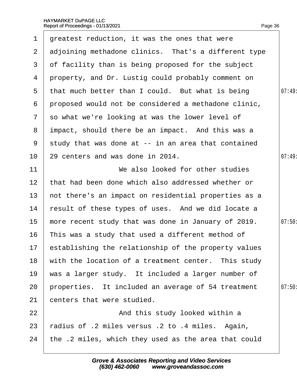| 1              | greatest reduction, it was the ones that were           |        |
|----------------|---------------------------------------------------------|--------|
| $\mathbf{2}$   | adjoining methadone clinics. That's a different type    |        |
| 3              | of facility than is being proposed for the subject      |        |
| 4              | property, and Dr. Lustig could probably comment on      |        |
| $5^{\circ}$    | that much better than I could. But what is being        | 07:49  |
| 6              | proposed would not be considered a methadone clinic,    |        |
| $\overline{7}$ | so what we're looking at was the lower level of         |        |
| 8              | impact, should there be an impact. And this was a       |        |
| 9              | study that was done at -- in an area that contained     |        |
| 10             | 29 centers and was done in 2014.                        | 07:49  |
| 11             | We also looked for other studies                        |        |
| 12             | that had been done which also addressed whether or      |        |
| 13             | not there's an impact on residential properties as a    |        |
| 14             | result of these types of uses. And we did locate a      |        |
| 15             | more recent study that was done in January of 2019.     | 07:50  |
| 16             | This was a study that used a different method of        |        |
|                | 17 establishing the relationship of the property values |        |
| 18             | with the location of a treatment center. This study     |        |
| 19             | was a larger study. It included a larger number of      |        |
| 20             | properties. It included an average of 54 treatment      | 07:50: |
| 21             | centers that were studied.                              |        |
| 22             | And this study looked within a                          |        |
| 23             | tadius of .2 miles versus .2 to .4 miles. Again,        |        |
| 24             | the .2 miles, which they used as the area that could    |        |
|                |                                                         |        |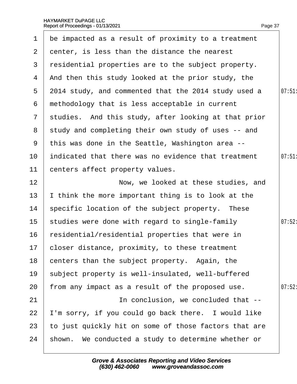| 1              | be impacted as a result of proximity to a treatment   |       |
|----------------|-------------------------------------------------------|-------|
| $\overline{2}$ | denter, is less than the distance the nearest         |       |
| 3              | residential properties are to the subject property.   |       |
| 4              | And then this study looked at the prior study, the    |       |
| 5              | 2014 study, and commented that the 2014 study used a  | 07:51 |
| 6              | methodology that is less acceptable in current        |       |
| $7\phantom{.}$ | studies. And this study, after looking at that prior  |       |
|                | 8 study and completing their own study of uses -- and |       |
| 9              | this was done in the Seattle, Washington area --      |       |
| 10             | indicated that there was no evidence that treatment   | 07:51 |
| 11             | centers affect property values.                       |       |
| 12             | Now, we looked at these studies, and                  |       |
| 13             | think the more important thing is to look at the      |       |
| 14             | specific location of the subject property. These      |       |
| 15             | studies were done with regard to single-family        | 07:52 |
| 16             | residential/residential properties that were in       |       |
|                | 17 closer distance, proximity, to these treatment     |       |
| 18             | centers than the subject property. Again, the         |       |
| 19             | subject property is well-insulated, well-buffered     |       |
| 20             | from any impact as a result of the proposed use.      | 07:52 |
| 21             | In conclusion, we concluded that --                   |       |
| 22             | 'm sorry, if you could go back there. I would like    |       |
| 23             | to just quickly hit on some of those factors that are |       |
| 24             | shown. We conducted a study to determine whether or   |       |
|                |                                                       |       |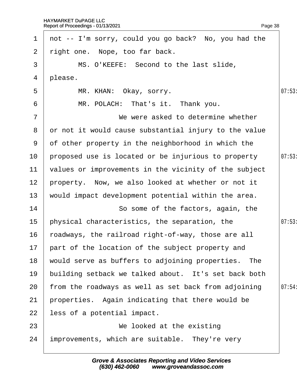| $\mathbf 1$     | not -- I'm sorry, could you go back? No, you had the  |        |
|-----------------|-------------------------------------------------------|--------|
| $\mathbf{2}$    | right one. Nope, too far back.                        |        |
| 3               | MS. O'KEEFE: Second to the last slide,                |        |
| 4               | please.                                               |        |
| 5               | MR. KHAN: Okay, sorry.                                | 07:53  |
| 6               | MR. POLACH: That's it. Thank you.                     |        |
| $\overline{7}$  | We were asked to determine whether                    |        |
| 8               | or not it would cause substantial injury to the value |        |
| 9               | of other property in the neighborhood in which the    |        |
| 10              | proposed use is located or be injurious to property   | 07:53  |
| 11              | values or improvements in the vicinity of the subject |        |
| 12 <sub>2</sub> | property. Now, we also looked at whether or not it    |        |
| 13              | would impact development potential within the area.   |        |
| 14              | So some of the factors, again, the                    |        |
| 15              | physical characteristics, the separation, the         | 07:53  |
| 16              | roadways, the railroad right-of-way, those are all    |        |
|                 | 17 part of the location of the subject property and   |        |
| 18              | would serve as buffers to adjoining properties. The   |        |
| 19              | building setback we talked about. It's set back both  |        |
| 20              | from the roadways as well as set back from adjoining  | 07:54: |
| 21              | properties. Again indicating that there would be      |        |
| 22              | less of a potential impact.                           |        |
| 23              | We looked at the existing                             |        |
| 24              | improvements, which are suitable. They're very        |        |
|                 |                                                       |        |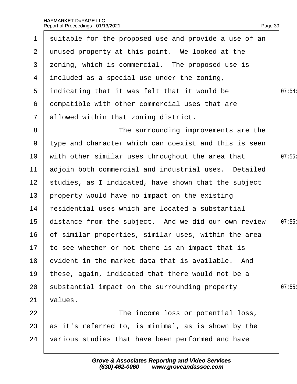| 1               | suitable for the proposed use and provide a use of an |        |
|-----------------|-------------------------------------------------------|--------|
| $\mathbf{2}$    | unused property at this point. We looked at the       |        |
| 3               | zoning, which is commercial. The proposed use is      |        |
| 4               | included as a special use under the zoning,           |        |
| 5               | indicating that it was felt that it would be          | 07:54: |
| 6               | dompatible with other commercial uses that are        |        |
| $\mathbf{7}$    | allowed within that zoning district.                  |        |
| 8               | The surrounding improvements are the                  |        |
| 9               | type and character which can coexist and this is seen |        |
| 10              | with other similar uses throughout the area that      | 07:55  |
| 11              | adjoin both commercial and industrial uses. Detailed  |        |
| 12 <sub>2</sub> | studies, as I indicated, have shown that the subject  |        |
| 13              | property would have no impact on the existing         |        |
| 14              | residential uses which are located a substantial      |        |
| 15              | distance from the subject. And we did our own review  | 07:55  |
| 16              | of similar properties, similar uses, within the area  |        |
|                 | 17 to see whether or not there is an impact that is   |        |
| 18              | evident in the market data that is available. And     |        |
| 19              | these, again, indicated that there would not be a     |        |
| 20              | substantial impact on the surrounding property        | 07:55  |
| 21              | values.                                               |        |
| 22              | The income loss or potential loss,                    |        |
| 23              | as it's referred to, is minimal, as is shown by the   |        |
| 24              | various studies that have been performed and have     |        |
|                 |                                                       |        |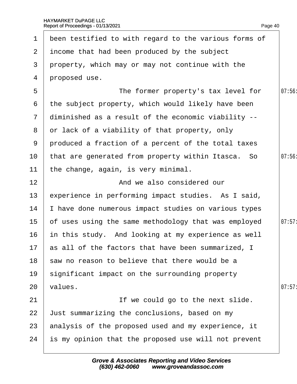| $\mathbf 1$  | been testified to with regard to the various forms of |        |
|--------------|-------------------------------------------------------|--------|
|              | 2 income that had been produced by the subject        |        |
| 3            | property, which may or may not continue with the      |        |
| 4            | proposed use.                                         |        |
| 5            | The former property's tax level for                   | 07:56  |
| 6            | the subject property, which would likely have been    |        |
| $\mathbf{7}$ | diminished as a result of the economic viability --   |        |
| 8            | or lack of a viability of that property, only         |        |
| 9            | produced a fraction of a percent of the total taxes   |        |
| 10           | that are generated from property within Itasca. So    | 07:56  |
| 11           | the change, again, is very minimal.                   |        |
| 12           | And we also considered our                            |        |
| 13           | experience in performing impact studies. As I said,   |        |
| 14           | have done numerous impact studies on various types    |        |
| 15           | of uses using the same methodology that was employed  | 07:57: |
| 16           | in this study. And looking at my experience as well   |        |
|              | 17 as all of the factors that have been summarized, I |        |
| 18           | saw no reason to believe that there would be a        |        |
| 19           | significant impact on the surrounding property        |        |
| 20           | values.                                               | 07:57  |
| 21           | If we could go to the next slide.                     |        |
| 22           | Just summarizing the conclusions, based on my         |        |
| 23           | analysis of the proposed used and my experience, it   |        |
| 24           | is my opinion that the proposed use will not prevent  |        |
|              |                                                       |        |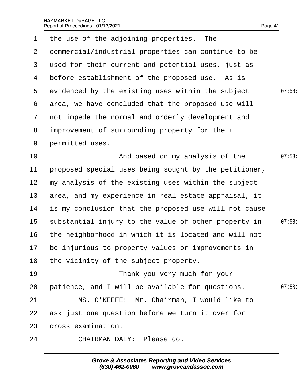| $\mathbf 1$           | the use of the adjoining properties. The              |        |
|-----------------------|-------------------------------------------------------|--------|
| $\mathbf{2}^{\prime}$ | dommercial/industrial properties can continue to be   |        |
| 3                     | used for their current and potential uses, just as    |        |
| 4                     | before establishment of the proposed use. As is       |        |
| 5                     | evidenced by the existing uses within the subject     | 07:58  |
| 6                     | area, we have concluded that the proposed use will    |        |
| $\overline{7}$        | not impede the normal and orderly development and     |        |
| 8                     | improvement of surrounding property for their         |        |
| 9                     | permitted uses.                                       |        |
| 10                    | And based on my analysis of the                       | 07:58  |
| 11                    | proposed special uses being sought by the petitioner, |        |
| 12 <sub>2</sub>       | my analysis of the existing uses within the subject   |        |
| 13                    | area, and my experience in real estate appraisal, it  |        |
| 14                    | is my conclusion that the proposed use will not cause |        |
| 15 <sub>1</sub>       | substantial injury to the value of other property in  | 07:58: |
| 16                    | the neighborhood in which it is located and will not  |        |
|                       | 17 be injurious to property values or improvements in |        |
| 18                    | the vicinity of the subject property.                 |        |
| 19                    | Thank you very much for your                          |        |
| 20                    | patience, and I will be available for questions.      | 07:58  |
| 21                    | MS. O'KEEFE: Mr. Chairman, I would like to            |        |
| 22                    | ask just one question before we turn it over for      |        |
| 23                    | cross examination.                                    |        |
| 24                    | CHAIRMAN DALY: Please do.                             |        |
|                       |                                                       |        |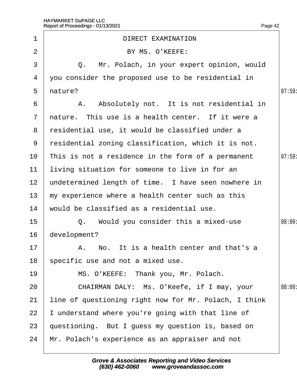|                 | HAYMARKET DuPAGE LLC<br>Report of Proceedings - 01/13/2021<br>Page 42 |        |
|-----------------|-----------------------------------------------------------------------|--------|
| 1               | <b>DIRECT EXAMINATION</b>                                             |        |
| $\overline{2}$  | BY MS. O'KEEFE:                                                       |        |
| 3               | Q. Mr. Polach, in your expert opinion, would                          |        |
| 4               | you consider the proposed use to be residential in                    |        |
| 5               | nature?                                                               | 07:59  |
| 6               | A. Absolutely not. It is not residential in                           |        |
| $\overline{7}$  | nature. This use is a health center. If it were a                     |        |
| 8               | residential use, it would be classified under a                       |        |
| 9               | residential zoning classification, which it is not.                   |        |
| 10              | This is not a residence in the form of a permanent                    | 07:59  |
| 11              | living situation for someone to live in for an                        |        |
| 12 <sub>2</sub> | undetermined length of time. I have seen nowhere in                   |        |
| 13              | my experience where a health center such as this                      |        |
| 14              | would be classified as a residential use.                             |        |
| 15              | Q. Would you consider this a mixed-use                                | 08:00: |
| 16              | development?                                                          |        |
| 17              | A. No. It is a health center and that's a                             |        |
| 18              | specific use and not a mixed use.                                     |        |
| 19              | MS. O'KEEFE: Thank you, Mr. Polach.                                   |        |
| 20              | CHAIRMAN DALY: Ms. O'Keefe, if I may, your                            | 08:00  |
| 21              | line of questioning right now for Mr. Polach, I think                 |        |
| 22              | understand where you're going with that line of                       |        |
| 23              | questioning. But I guess my question is, based on                     |        |
| 24              | Mr. Polach's experience as an appraiser and not                       |        |
|                 |                                                                       |        |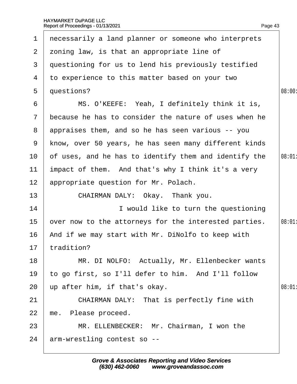| $\mathbf 1$           | necessarily a land planner or someone who interprets  |        |
|-----------------------|-------------------------------------------------------|--------|
| $\mathbf{2}^{\prime}$ | zoning law, is that an appropriate line of            |        |
| 3                     | questioning for us to lend his previously testified   |        |
| 4                     | to experience to this matter based on your two        |        |
| 5                     | questions?                                            | 08:00: |
| 6                     | MS. O'KEEFE: Yeah, I definitely think it is,          |        |
| $\mathcal{I}$         | because he has to consider the nature of uses when he |        |
| 8                     | appraises them, and so he has seen various -- you     |        |
| 9                     | know, over 50 years, he has seen many different kinds |        |
| 10                    | of uses, and he has to identify them and identify the | 08:01  |
| 11                    | impact of them. And that's why I think it's a very    |        |
| 12                    | appropriate question for Mr. Polach.                  |        |
| 13                    | CHAIRMAN DALY: Okay. Thank you.                       |        |
| 14                    | I would like to turn the questioning                  |        |
| 15                    | over now to the attorneys for the interested parties. | 08:01  |
| 16                    | And if we may start with Mr. DiNolfo to keep with     |        |
|                       | 17 tradition?                                         |        |
| 18                    | MR. DI NOLFO: Actually, Mr. Ellenbecker wants         |        |
| 19                    | to go first, so I'll defer to him. And I'll follow    |        |
| 20                    | up after him, if that's okay.                         | 08:01  |
| 21                    | <b>CHAIRMAN DALY: That is perfectly fine with</b>     |        |
| 22                    | me. Please proceed.                                   |        |
| 23                    | MR. ELLENBECKER: Mr. Chairman, I won the              |        |
| 24                    | arm-wrestling contest so --                           |        |
|                       |                                                       |        |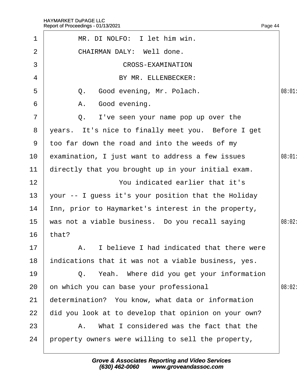| $\mathbf 1$    | MR. DI NOLFO: I let him win.                         |        |
|----------------|------------------------------------------------------|--------|
| 2              | <b>CHAIRMAN DALY: Well done.</b>                     |        |
| 3              | <b>CROSS-EXAMINATION</b>                             |        |
| 4              | BY MR. ELLENBECKER:                                  |        |
| 5              | Good evening, Mr. Polach.<br>Q.                      | 08:01  |
| 6              | A. Good evening.                                     |        |
| $\overline{7}$ | Q. I've seen your name pop up over the               |        |
| 8              | years. It's nice to finally meet you. Before I get   |        |
| 9              | too far down the road and into the weeds of my       |        |
| 10             | examination, I just want to address a few issues     | 08:01  |
| 11             | directly that you brought up in your initial exam.   |        |
| 12             | You indicated earlier that it's                      |        |
| 13             | your -- I guess it's your position that the Holiday  |        |
| 14             | Inn, prior to Haymarket's interest in the property,  |        |
| 15             | was not a viable business. Do you recall saying      | 08:02: |
| 16             | that?                                                |        |
|                | 17   A. I believe I had indicated that there were    |        |
| 18             | indications that it was not a viable business, yes.  |        |
| 19             | Q. Yeah. Where did you get your information          |        |
| 20             | on which you can base your professional              | 08:02: |
| 21             | determination? You know, what data or information    |        |
| 22             | did you look at to develop that opinion on your own? |        |
| 23             | A. What I considered was the fact that the           |        |
| 24             | property owners were willing to sell the property,   |        |
|                |                                                      |        |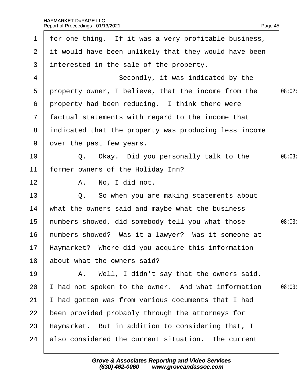| 1               | for one thing. If it was a very profitable business,  |        |
|-----------------|-------------------------------------------------------|--------|
| $\overline{2}$  | it would have been unlikely that they would have been |        |
| 3               | interested in the sale of the property.               |        |
| 4               | Secondly, it was indicated by the                     |        |
| 5               | property owner, I believe, that the income from the   | 08:02: |
| 6               | property had been reducing. I think there were        |        |
| $\mathcal{I}$   | factual statements with regard to the income that     |        |
| 8               | indicated that the property was producing less income |        |
| 9               | over the past few years.                              |        |
| 10              | Q. Okay. Did you personally talk to the               | 08:03  |
| 11              | former owners of the Holiday Inn?                     |        |
| 12 <sub>2</sub> | A. No, I did not.                                     |        |
| 13              | Q. So when you are making statements about            |        |
| 14              | what the owners said and maybe what the business      |        |
| 15              | humbers showed, did somebody tell you what those      | 08:03  |
| 16              | humbers showed? Was it a lawyer? Was it someone at    |        |
|                 | 17 Haymarket? Where did you acquire this information  |        |
| 18              | about what the owners said?                           |        |
| 19              | A. Well, I didn't say that the owners said.           |        |
| 20              | had not spoken to the owner. And what information     | 08:03  |
| 21              | had gotten was from various documents that I had      |        |
| 22              | been provided probably through the attorneys for      |        |
| 23              | Haymarket. But in addition to considering that, I     |        |
| 24              | also considered the current situation. The current    |        |
|                 |                                                       |        |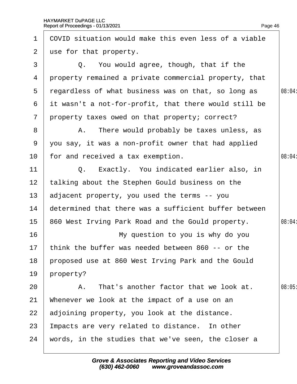| 1              | COVID situation would make this even less of a viable |        |
|----------------|-------------------------------------------------------|--------|
| $\overline{2}$ | use for that property.                                |        |
| 3              | Q. You would agree, though, that if the               |        |
| 4              | property remained a private commercial property, that |        |
| 5              | regardless of what business was on that, so long as   | 08:04: |
| 6              | it wasn't a not-for-profit, that there would still be |        |
| $\overline{7}$ | property taxes owed on that property; correct?        |        |
| 8              | A. There would probably be taxes unless, as           |        |
| 9              | you say, it was a non-profit owner that had applied   |        |
| 10             | for and received a tax exemption.                     | 08:04  |
| 11             | Q. Exactly. You indicated earlier also, in            |        |
| 12             | talking about the Stephen Gould business on the       |        |
| 13             | adjacent property, you used the terms -- you          |        |
| 14             | determined that there was a sufficient buffer between |        |
| 15             | 860 West Irving Park Road and the Gould property.     | 08:04: |
| 16             | My question to you is why do you                      |        |
|                | 17 think the buffer was needed between 860 -- or the  |        |
| 18             | proposed use at 860 West Irving Park and the Gould    |        |
| 19             | property?                                             |        |
| 20             | A. That's another factor that we look at.             | 08:05  |
| 21             | Whenever we look at the impact of a use on an         |        |
| 22             | adjoining property, you look at the distance.         |        |
| 23             | Impacts are very related to distance. In other        |        |
| 24             | words, in the studies that we've seen, the closer a   |        |
|                |                                                       |        |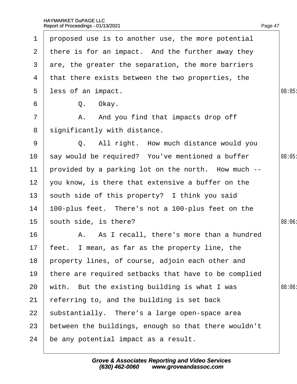| 1               | proposed use is to another use, the more potential   |       |
|-----------------|------------------------------------------------------|-------|
| $\mathbf{2}$    | there is for an impact. And the further away they    |       |
| 3               | are, the greater the separation, the more barriers   |       |
| 4               | that there exists between the two properties, the    |       |
| 5               | less of an impact.                                   | 08:05 |
| 6               | Q. Okay.                                             |       |
| 7               | A. And you find that impacts drop off                |       |
| 8               | significantly with distance.                         |       |
| 9               | Q. All right. How much distance would you            |       |
| 10              | say would be required? You've mentioned a buffer     | 08:05 |
| 11              | provided by a parking lot on the north. How much --  |       |
| 12 <sub>2</sub> | you know, is there that extensive a buffer on the    |       |
| 13              | south side of this property? I think you said        |       |
| 14              | 100-plus feet. There's not a 100-plus feet on the    |       |
| 15 <sub>1</sub> | south side, is there?                                | 08:06 |
| 16              | A. As I recall, there's more than a hundred          |       |
|                 | 17 feet. I mean, as far as the property line, the    |       |
| 18              | property lines, of course, adjoin each other and     |       |
| 19              | there are required setbacks that have to be complied |       |
| 20              | with. But the existing building is what I was        | 08:06 |
| 21              | referring to, and the building is set back           |       |
| 22              | substantially. There's a large open-space area       |       |
| 23              | between the buildings, enough so that there wouldn't |       |
| 24              | be any potential impact as a result.                 |       |
|                 |                                                      |       |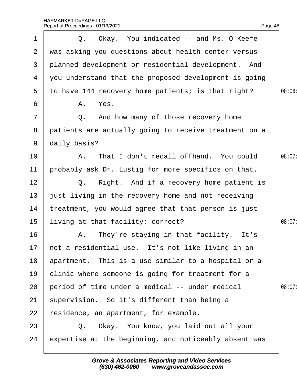| 1               | Q. Okay. You indicated -- and Ms. O'Keefe             |        |
|-----------------|-------------------------------------------------------|--------|
|                 | 2 was asking you questions about health center versus |        |
| 3               | planned development or residential development. And   |        |
| 4               | you understand that the proposed development is going |        |
| 5               | to have 144 recovery home patients; is that right?    | 08:06  |
| 6               | A. Yes.                                               |        |
| $\overline{7}$  | Q. And how many of those recovery home                |        |
| 8               | patients are actually going to receive treatment on a |        |
| 9               | daily basis?                                          |        |
| 10              | A. That I don't recall offhand. You could             | 08:07: |
| 11              | probably ask Dr. Lustig for more specifics on that.   |        |
| 12              | Q. Right. And if a recovery home patient is           |        |
| 13 <sub>2</sub> | just living in the recovery home and not receiving    |        |
| 14              | treatment, you would agree that that person is just   |        |
| 15 <sub>1</sub> | living at that facility; correct?                     | 08:07: |
| 16              | A. They're staying in that facility. It's             |        |
|                 | 17 hot a residential use. It's not like living in an  |        |
| 18              | apartment. This is a use similar to a hospital or a   |        |
| 19              | clinic where someone is going for treatment for a     |        |
| 20              | period of time under a medical -- under medical       | 08:07  |
| 21              | supervision. So it's different than being a           |        |
| 22              | residence, an apartment, for example.                 |        |
| 23              | Q. Okay. You know, you laid out all your              |        |
| 24              | expertise at the beginning, and noticeably absent was |        |
|                 |                                                       |        |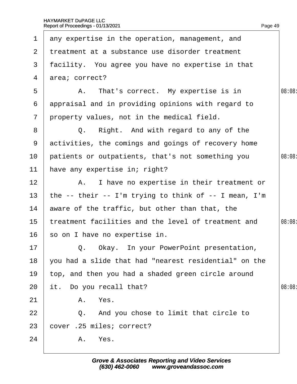| $\mathbf 1$     | any expertise in the operation, management, and       |        |
|-----------------|-------------------------------------------------------|--------|
| 2 <sup>1</sup>  | treatment at a substance use disorder treatment       |        |
| 3               | facility. You agree you have no expertise in that     |        |
| 4               | area; correct?                                        |        |
| 5               | A. That's correct. My expertise is in                 | 08:08  |
| 6               | appraisal and in providing opinions with regard to    |        |
| $\overline{7}$  | property values, not in the medical field.            |        |
| 8               | Q. Right. And with regard to any of the               |        |
| 9               | activities, the comings and goings of recovery home   |        |
| 10 <sup>°</sup> | patients or outpatients, that's not something you     | 08:08  |
| 11              | have any expertise in; right?                         |        |
| 12 <sub>2</sub> | A. I have no expertise in their treatment or          |        |
| 13              | the -- their -- I'm trying to think of -- I mean, I'm |        |
| 14              | aware of the traffic, but other than that, the        |        |
| 15              | treatment facilities and the level of treatment and   | 08:08: |
| 16              | so on I have no expertise in.                         |        |
| $17 \,$         | Q. Okay. In your PowerPoint presentation,             |        |
| 18              | you had a slide that had "nearest residential" on the |        |
| 19              | top, and then you had a shaded green circle around    |        |
| 20              | it. Do you recall that?                               | 08:08: |
| 21              | A. Yes.                                               |        |
| 22              | Q. And you chose to limit that circle to              |        |
| 23              | cover .25 miles; correct?                             |        |
| 24              | A. Yes.                                               |        |
|                 |                                                       |        |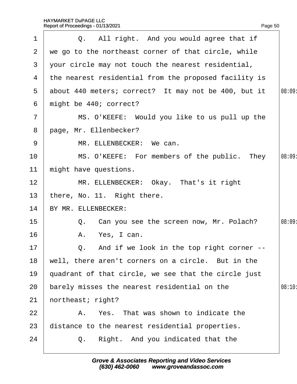| $\mathbf 1$     | Q. All right. And you would agree that if               |        |
|-----------------|---------------------------------------------------------|--------|
| 2               | we go to the northeast corner of that circle, while     |        |
| 3               | your circle may not touch the nearest residential,      |        |
|                 | 4 the nearest residential from the proposed facility is |        |
|                 | 5 about 440 meters; correct? It may not be 400, but it  | 08:09: |
| 6               | might be 440; correct?                                  |        |
| $\overline{7}$  | MS. O'KEEFE: Would you like to us pull up the           |        |
| 8               | page, Mr. Ellenbecker?                                  |        |
| 9               | MR. ELLENBECKER: We can.                                |        |
| 10              | MS. O'KEEFE: For members of the public. They            | 08:09  |
| 11              | might have questions.                                   |        |
| 12 <sub>2</sub> | MR. ELLENBECKER: Okay. That's it right                  |        |
| 13              | there, No. 11. Right there.                             |        |
| 14              | BY MR. ELLENBECKER:                                     |        |
| 15              | Q. Can you see the screen now, Mr. Polach?              | 08:09  |
| 16              | A. Yes, I can.                                          |        |
| 17              | Q. And if we look in the top right corner --            |        |
| 18              | well, there aren't corners on a circle. But in the      |        |
| 19              | quadrant of that circle, we see that the circle just    |        |
| 20              | barely misses the nearest residential on the            | 08:10: |
| 21              | hortheast; right?                                       |        |
| 22              | A. Yes. That was shown to indicate the                  |        |
| 23              | distance to the nearest residential properties.         |        |
| 24              | Q. Right. And you indicated that the                    |        |
|                 |                                                         |        |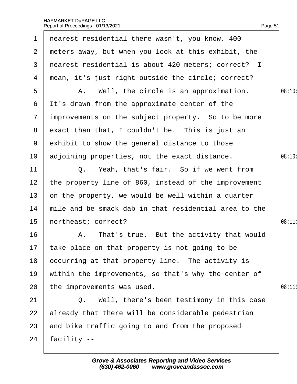| $\mathbf 1$       | nearest residential there wasn't, you know, 400       |        |
|-------------------|-------------------------------------------------------|--------|
| $\mathbf{2}$      | meters away, but when you look at this exhibit, the   |        |
| 3                 | nearest residential is about 420 meters; correct? I   |        |
| 4                 | mean, it's just right outside the circle; correct?    |        |
| 5                 | A. Well, the circle is an approximation.              | 08:10: |
| 6                 | It's drawn from the approximate center of the         |        |
| $7\overline{ }$   | improvements on the subject property. So to be more   |        |
| 8                 | exact than that, I couldn't be. This is just an       |        |
| 9                 | exhibit to show the general distance to those         |        |
| 10                | adjoining properties, not the exact distance.         | 08:10: |
| 11                | Q. Yeah, that's fair. So if we went from              |        |
| $12 \overline{ }$ | the property line of 860, instead of the improvement  |        |
| 13                | on the property, we would be well within a quarter    |        |
| 14                | mile and be smack dab in that residential area to the |        |
| 15                | hortheast; correct?                                   | 08:11  |
| 16                | A. That's true. But the activity that would           |        |
|                   | 17 take place on that property is not going to be     |        |
| 18                | occurring at that property line. The activity is      |        |
| 19                | within the improvements, so that's why the center of  |        |
| 20                | the improvements was used.                            | 08:11  |
| 21                | Q. Well, there's been testimony in this case          |        |
| 22                | already that there will be considerable pedestrian    |        |
| 23                | and bike traffic going to and from the proposed       |        |
| 24                | facility --                                           |        |
|                   |                                                       |        |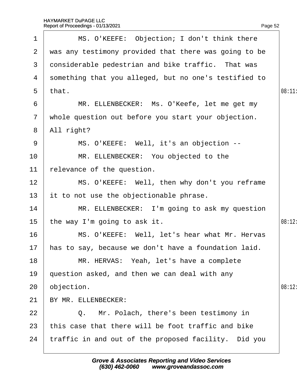| 1               | MS. O'KEEFE: Objection; I don't think there             |        |
|-----------------|---------------------------------------------------------|--------|
|                 | 2 was any testimony provided that there was going to be |        |
| 3               | donsiderable pedestrian and bike traffic. That was      |        |
|                 | 4 something that you alleged, but no one's testified to |        |
|                 | 5 that.                                                 | 08:11: |
| 6               | MR. ELLENBECKER: Ms. O'Keefe, let me get my             |        |
| $7\overline{ }$ | whole question out before you start your objection.     |        |
| 8               | All right?                                              |        |
| 9               | MS. O'KEEFE: Well, it's an objection --                 |        |
| 10              | MR. ELLENBECKER: You objected to the                    |        |
| 11              | relevance of the question.                              |        |
| 12              | MS. O'KEEFE: Well, then why don't you reframe           |        |
| 13              | it to not use the objectionable phrase.                 |        |
| 14              | MR. ELLENBECKER: I'm going to ask my question           |        |
| 15 <sub>1</sub> | the way I'm going to ask it.                            | 08:12: |
| 16              | MS. O'KEEFE: Well, let's hear what Mr. Hervas           |        |
|                 | 17 has to say, because we don't have a foundation laid  |        |
| 18              | MR. HERVAS: Yeah, let's have a complete                 |        |
| 19              | question asked, and then we can deal with any           |        |
| 20              | objection.                                              | 08:12: |
| 21              | BY MR. ELLENBECKER:                                     |        |
| 22              | Q. Mr. Polach, there's been testimony in                |        |
| 23              | this case that there will be foot traffic and bike      |        |
| 24              | traffic in and out of the proposed facility. Did you    |        |
|                 |                                                         |        |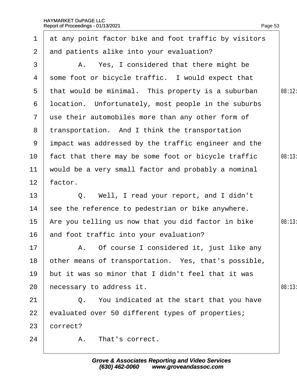1 at any point factor bike and foot traffic by visitors

| $\overline{2}$ | and patients alike into your evaluation?             |       |
|----------------|------------------------------------------------------|-------|
| 3              | A. Yes, I considered that there might be             |       |
| 4              | some foot or bicycle traffic. I would expect that    |       |
| 5              | that would be minimal. This property is a suburban   | 08:12 |
| 6              | Ipcation. Unfortunately, most people in the suburbs  |       |
| $\mathbf{7}$   | use their automobiles more than any other form of    |       |
| 8              | transportation. And I think the transportation       |       |
| 9              | impact was addressed by the traffic engineer and the |       |
| 10             | fact that there may be some foot or bicycle traffic  | 08:13 |
| 11             | would be a very small factor and probably a nominal  |       |
| 12             | factor.                                              |       |
| 13             | Q. Well, I read your report, and I didn't            |       |
| 14             | see the reference to pedestrian or bike anywhere.    |       |
| 15             | Are you telling us now that you did factor in bike   | 08:13 |
| 16             | and foot traffic into your evaluation?               |       |
| 17             | A. Of course I considered it, just like any          |       |
| 18             | other means of transportation. Yes, that's possible, |       |
| 19             | but it was so minor that I didn't feel that it was   |       |
| 20             | hecessary to address it.                             | 08:13 |
| 21             | Q. You indicated at the start that you have          |       |
| 22             | evaluated over 50 different types of properties;     |       |
| 23             | correct?                                             |       |
| 24             | That's correct.<br>Α.                                |       |
|                |                                                      |       |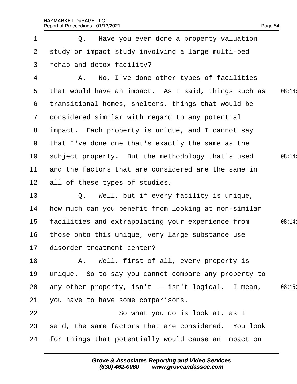1 | Q. Have you ever done a property valuation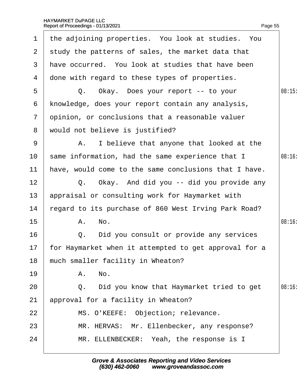| $\mathbf 1$    | the adjoining properties. You look at studies. You       |        |
|----------------|----------------------------------------------------------|--------|
| 2 <sup>1</sup> | study the patterns of sales, the market data that        |        |
| 3              | have occurred. You look at studies that have been        |        |
| 4              | done with regard to these types of properties.           |        |
| 5              | Q. Okay. Does your report -- to your                     | 08:15  |
| 6              | knowledge, does your report contain any analysis,        |        |
| $\overline{7}$ | opinion, or conclusions that a reasonable valuer         |        |
| 8              | would not believe is justified?                          |        |
| 9              | A. I believe that anyone that looked at the              |        |
| 10             | same information, had the same experience that I         | 08:16  |
| 11             | have, would come to the same conclusions that I have.    |        |
| 12             | Q. Okay. And did you -- did you provide any              |        |
| 13             | appraisal or consulting work for Haymarket with          |        |
| 14             | regard to its purchase of 860 West Irving Park Road?     |        |
| 15             | A. No.                                                   | 08:16  |
| 16             | Did you consult or provide any services<br>Q.            |        |
|                | 17 for Haymarket when it attempted to get approval for a |        |
| 18             | much smaller facility in Wheaton?                        |        |
| 19             | A. No.                                                   |        |
| 20             | Did you know that Haymarket tried to get<br>Q.           | 08:16: |
| 21             | approval for a facility in Wheaton?                      |        |
| 22             | MS. O'KEEFE: Objection; relevance.                       |        |
| 23             | MR. HERVAS: Mr. Ellenbecker, any response?               |        |
| 24             | MR. ELLENBECKER: Yeah, the response is I                 |        |
|                |                                                          |        |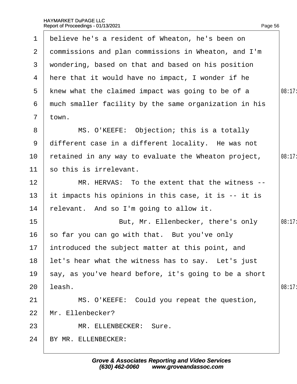| $\mathbf 1$     | believe he's a resident of Wheaton, he's been on      |        |
|-----------------|-------------------------------------------------------|--------|
| $\mathbf{2}$    | dommissions and plan commissions in Wheaton, and I'm  |        |
| 3               | wondering, based on that and based on his position    |        |
| 4               | Here that it would have no impact, I wonder if he     |        |
| 5               | knew what the claimed impact was going to be of a     | 08:17: |
| 6               | much smaller facility by the same organization in his |        |
| $7\overline{ }$ | town.                                                 |        |
| 8               | MS. O'KEEFE: Objection; this is a totally             |        |
| 9               | different case in a different locality. He was not    |        |
| 10              | retained in any way to evaluate the Wheaton project,  | 08:17: |
| 11              | so this is irrelevant.                                |        |
| 12              | MR. HERVAS: To the extent that the witness --         |        |
| 13              | It impacts his opinions in this case, it is -- it is  |        |
| 14              | felevant. And so I'm going to allow it.               |        |
| 15              | But, Mr. Ellenbecker, there's only                    | 08:17: |
| 16              | so far you can go with that. But you've only          |        |
|                 | 17 introduced the subject matter at this point, and   |        |
| 18              | let's hear what the witness has to say. Let's just    |        |
| 19              | say, as you've heard before, it's going to be a short |        |
| 20              | leash.                                                | 08:17: |
| 21              | MS. O'KEEFE: Could you repeat the question,           |        |
| 22              | Mr. Ellenbecker?                                      |        |
| 23              | MR. ELLENBECKER: Sure.                                |        |
| 24              | BY MR. ELLENBECKER:                                   |        |
|                 |                                                       |        |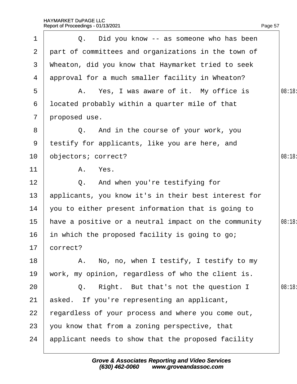$1 \mid Q$ . Did you know -- as someone who has been

2 part of committees and organizations in the town of

| 3              | Wheaton, did you know that Haymarket tried to seek    |       |  |  |  |
|----------------|-------------------------------------------------------|-------|--|--|--|
| 4              | approval for a much smaller facility in Wheaton?      |       |  |  |  |
| 5              | A. Yes, I was aware of it. My office is               | 08:18 |  |  |  |
| 6              | Ipcated probably within a quarter mile of that        |       |  |  |  |
| $\overline{7}$ | proposed use.                                         |       |  |  |  |
| 8              | Q. And in the course of your work, you                |       |  |  |  |
| 9              | testify for applicants, like you are here, and        |       |  |  |  |
| 10             | objectors; correct?                                   | 08:18 |  |  |  |
| 11             | A. Yes.                                               |       |  |  |  |
| 12             | Q. And when you're testifying for                     |       |  |  |  |
| 13             | applicants, you know it's in their best interest for  |       |  |  |  |
| 14             | you to either present information that is going to    |       |  |  |  |
| 15             | have a positive or a neutral impact on the community  | 08:18 |  |  |  |
| 16             | in which the proposed facility is going to go;        |       |  |  |  |
| 17             | correct?                                              |       |  |  |  |
| 18             | A. No, no, when I testify, I testify to my            |       |  |  |  |
|                | 19 work, my opinion, regardless of who the client is. |       |  |  |  |
| 20             | Right. But that's not the question I<br>Q.            | 08:18 |  |  |  |
| 21             | asked. If you're representing an applicant,           |       |  |  |  |
| 22             | regardless of your process and where you come out,    |       |  |  |  |
| 23             | you know that from a zoning perspective, that         |       |  |  |  |
| 24             | applicant needs to show that the proposed facility    |       |  |  |  |
|                |                                                       |       |  |  |  |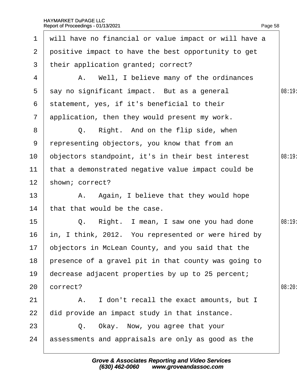| $\mathbf 1$     | will have no financial or value impact or will have a |       |
|-----------------|-------------------------------------------------------|-------|
| $\overline{2}$  | positive impact to have the best opportunity to get   |       |
| 3               | their application granted; correct?                   |       |
| 4               | A. Well, I believe many of the ordinances             |       |
| $5^{\circ}$     | say no significant impact. But as a general           | 08:19 |
| 6               | statement, yes, if it's beneficial to their           |       |
| $\overline{7}$  | application, then they would present my work.         |       |
| 8               | Q. Right. And on the flip side, when                  |       |
| 9               | representing objectors, you know that from an         |       |
| 10              | objectors standpoint, it's in their best interest     | 08:19 |
| 11              | that a demonstrated negative value impact could be    |       |
| 12 <sub>2</sub> | shown; correct?                                       |       |
| 13              | A. Again, I believe that they would hope              |       |
| 14              | that that would be the case.                          |       |
| 15              | Q. Right. I mean, I saw one you had done              | 08:19 |
| 16              | in, I think, 2012. You represented or were hired by   |       |
|                 | 17 bbjectors in McLean County, and you said that the  |       |
| 18              | presence of a gravel pit in that county was going to  |       |
| 19              | decrease adjacent properties by up to 25 percent;     |       |
| 20              | correct?                                              | 08:20 |
| 21              | A. I don't recall the exact amounts, but I            |       |
| 22              | did provide an impact study in that instance.         |       |
| 23              | Q. Okay. Now, you agree that your                     |       |
| 24              | assessments and appraisals are only as good as the    |       |
|                 |                                                       |       |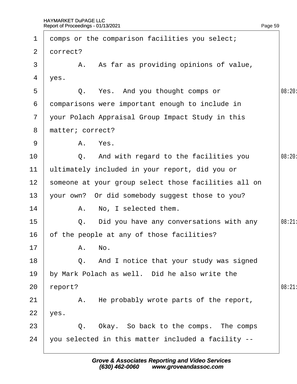| $\mathbf 1$     | domps or the comparison facilities you select;       |        |
|-----------------|------------------------------------------------------|--------|
| 2 <sup>1</sup>  | dorrect?                                             |        |
| 3               | A. As far as providing opinions of value,            |        |
| 4               | yes.                                                 |        |
| 5               | Q. Yes. And you thought comps or                     | 08:20: |
| 6               | domparisons were important enough to include in      |        |
| $\mathbf{7}$    | your Polach Appraisal Group Impact Study in this     |        |
| 8               | matter; correct?                                     |        |
| 9               | A. Yes.                                              |        |
| 10              | Q. And with regard to the facilities you             | 08:20  |
| 11              | ultimately included in your report, did you or       |        |
| 12 <sub>2</sub> | someone at your group select those facilities all on |        |
| 13              | your own? Or did somebody suggest those to you?      |        |
| 14              | A. No, I selected them.                              |        |
| 15              | Q. Did you have any conversations with any           | 08:21  |
| 16              | of the people at any of those facilities?            |        |
| 17              | A. No.                                               |        |
| 18              | Q. And I notice that your study was signed           |        |
| 19              | by Mark Polach as well. Did he also write the        |        |
| 20              | report?                                              | 08:21  |
| 21              | A. He probably wrote parts of the report,            |        |
| 22              | yes.                                                 |        |
| 23              | Q. Okay. So back to the comps. The comps             |        |
| 24              | you selected in this matter included a facility --   |        |
|                 |                                                      |        |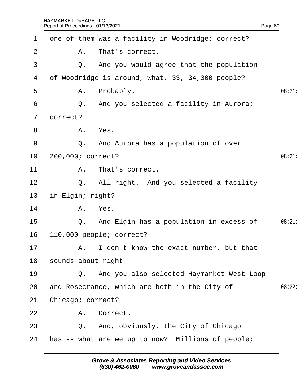$1$  qne of them was a facility in Woodridge; correct?

| 2              | Α.                       | That's correct.                                   |       |  |  |
|----------------|--------------------------|---------------------------------------------------|-------|--|--|
| 3              |                          | Q. And you would agree that the population        |       |  |  |
| 4              |                          | of Woodridge is around, what, 33, 34,000 people?  |       |  |  |
| 5              |                          | A. Probably.                                      | 08:21 |  |  |
| 6              |                          | Q. And you selected a facility in Aurora;         |       |  |  |
| $\overline{7}$ | dorrect?                 |                                                   |       |  |  |
| 8              |                          | A. Yes.                                           |       |  |  |
| 9              |                          | Q. And Aurora has a population of over            |       |  |  |
| 10             |                          | 200,000; correct?                                 | 08:21 |  |  |
| 11             |                          | A. That's correct.                                |       |  |  |
| 12             |                          | Q. All right. And you selected a facility         |       |  |  |
| 13             | in Elgin; right?         |                                                   |       |  |  |
| 14             |                          | A. Yes.                                           |       |  |  |
| 15             |                          | Q. And Elgin has a population in excess of        | 08:21 |  |  |
| 16             | 110,000 people; correct? |                                                   |       |  |  |
| 17             |                          | A. I don't know the exact number, but that        |       |  |  |
| 18             |                          | sounds about right.                               |       |  |  |
| 19             |                          | Q. And you also selected Haymarket West Loop      |       |  |  |
| 20             |                          | and Rosecrance, which are both in the City of     | 08:22 |  |  |
| 21             | Chicago; correct?        |                                                   |       |  |  |
| 22             |                          | A. Correct.                                       |       |  |  |
| 23             |                          | Q. And, obviously, the City of Chicago            |       |  |  |
| 24             |                          | has -- what are we up to now? Millions of people; |       |  |  |
|                |                          |                                                   |       |  |  |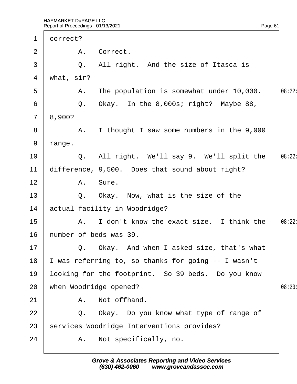$\sqrt{ }$ 

| $\mathbf{1}$    | dorrect?                                           |       |
|-----------------|----------------------------------------------------|-------|
| 2               | A. Correct.                                        |       |
| 3               | Q. All right. And the size of Itasca is            |       |
| 4               | what, sir?                                         |       |
| 5               | A. The population is somewhat under 10,000.        | 08:22 |
| 6               | Q. Okay. In the 8,000s; right? Maybe 88,           |       |
| $7\overline{ }$ | 8,900?                                             |       |
| 8               | A. I thought I saw some numbers in the 9,000       |       |
| 9               | range.                                             |       |
| 10              | Q. All right. We'll say 9. We'll split the         | 08:22 |
| 11              | difference, 9,500. Does that sound about right?    |       |
| 12 <sub>2</sub> | A. Sure.                                           |       |
| 13              | Q. Okay. Now, what is the size of the              |       |
| 14              | actual facility in Woodridge?                      |       |
| 15              | A. I don't know the exact size. I think the        | 08:22 |
| 16              | humber of beds was 39.                             |       |
| 17              | Q. Okay. And when I asked size, that's what        |       |
| 18              | was referring to, so thanks for going -- I wasn't  |       |
| 19              | looking for the footprint. So 39 beds. Do you know |       |
| 20              | when Woodridge opened?                             | 08:23 |
| 21              | A. Not offhand.                                    |       |
| 22              | Q. Okay. Do you know what type of range of         |       |
| 23              | services Woodridge Interventions provides?         |       |
| 24              | A. Not specifically, no.                           |       |
|                 |                                                    |       |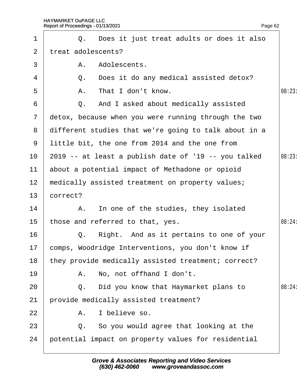| $\mathbf 1$     |          | Q. Does it just treat adults or does it also            |        |
|-----------------|----------|---------------------------------------------------------|--------|
| $\overline{2}$  |          | treat adolescents?                                      |        |
| 3               | А.       | Adolescents.                                            |        |
| 4               |          | Q. Does it do any medical assisted detox?               |        |
| 5               |          | A. That I don't know.                                   | 08:23  |
| 6               |          | Q. And I asked about medically assisted                 |        |
| $7\overline{ }$ |          | detox, because when you were running through the two    |        |
|                 |          | 8 different studies that we're going to talk about in a |        |
| 9               |          | little bit, the one from 2014 and the one from          |        |
|                 |          | 10 2019 -- at least a publish date of '19 -- you talked | 08:23  |
| 11              |          | about a potential impact of Methadone or opioid         |        |
| 12              |          | medically assisted treatment on property values;        |        |
| 13              | correct? |                                                         |        |
| 14              |          | A. In one of the studies, they isolated                 |        |
| 15 <sub>1</sub> |          | those and referred to that, yes.                        | 08:24: |
| 16              |          | Q. Right. And as it pertains to one of your             |        |
| 17              |          | comps, Woodridge Interventions, you don't know if       |        |
| 18              |          | they provide medically assisted treatment; correct?     |        |
| 19              |          | A. No, not offhand I don't.                             |        |
| 20              |          | Q. Did you know that Haymarket plans to                 | 08:24: |
| 21              |          | provide medically assisted treatment?                   |        |
| 22              |          | A. I believe so.                                        |        |
| 23              |          | Q. So you would agree that looking at the               |        |
| 24              |          | potential impact on property values for residential     |        |
|                 |          |                                                         |        |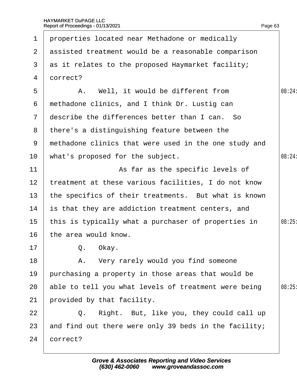| $\mathbf 1$     | properties located near Methadone or medically        |        |
|-----------------|-------------------------------------------------------|--------|
| $\overline{2}$  | assisted treatment would be a reasonable comparison   |        |
| 3               | as it relates to the proposed Haymarket facility;     |        |
| 4               | dorrect?                                              |        |
| 5               | A. Well, it would be different from                   | 08:24: |
| 6               | methadone clinics, and I think Dr. Lustig can         |        |
| $\mathbf{7}$    | describe the differences better than I can. So        |        |
| 8               | there's a distinguishing feature between the          |        |
| 9               | methadone clinics that were used in the one study and |        |
| 10              | what's proposed for the subject.                      | 08:24: |
| 11              | As far as the specific levels of                      |        |
| 12              | treatment at these various facilities, I do not know  |        |
| 13 <sup>°</sup> | the specifics of their treatments. But what is known  |        |
| 14              | is that they are addiction treatment centers, and     |        |
| 15              | this is typically what a purchaser of properties in   | 08:25  |
| 16              | the area would know.                                  |        |
| 17              | Q. Okay.                                              |        |
| 18              | A. Very rarely would you find someone                 |        |
| 19              | purchasing a property in those areas that would be    |        |
| 20              | able to tell you what levels of treatment were being  | 08:25  |
| 21              | provided by that facility.                            |        |
| 22              | Q. Right. But, like you, they could call up           |        |
| 23              | and find out there were only 39 beds in the facility; |        |
| 24              | correct?                                              |        |
|                 |                                                       |        |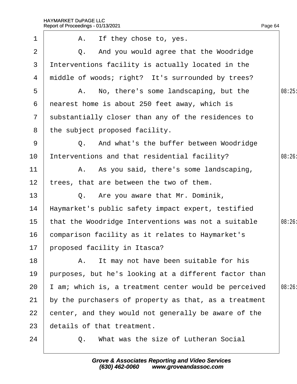|                | Report of Proceedings - 01/13/2021                    | Page 64 |
|----------------|-------------------------------------------------------|---------|
| 1              | A. If they chose to, yes.                             |         |
| $\overline{2}$ | Q. And you would agree that the Woodridge             |         |
| 3              | Interventions facility is actually located in the     |         |
| 4              | middle of woods; right? It's surrounded by trees?     |         |
| 5              | A. No, there's some landscaping, but the              | 08:25   |
| 6              | nearest home is about 250 feet away, which is         |         |
| $7\phantom{.}$ | substantially closer than any of the residences to    |         |
| 8              | the subject proposed facility.                        |         |
| 9              | Q. And what's the buffer between Woodridge            |         |
| 10             | Interventions and that residential facility?          | 08:26:  |
| 11             | A. As you said, there's some landscaping,             |         |
| 12             | trees, that are between the two of them.              |         |
| 13             | Q. Are you aware that Mr. Dominik,                    |         |
| 14             | Haymarket's public safety impact expert, testified    |         |
| 15             | that the Woodridge Interventions was not a suitable   | 08:26:  |
| 16             | comparison facility as it relates to Haymarket's      |         |
| 17             | proposed facility in Itasca?                          |         |
| 18             | A. It may not have been suitable for his              |         |
| 19             | purposes, but he's looking at a different factor than |         |
| 20             | am; which is, a treatment center would be perceived   | 08:26:  |
| 21             | by the purchasers of property as that, as a treatment |         |
| 22             | center, and they would not generally be aware of the  |         |
| 23             | details of that treatment.                            |         |
| 24             | Q. What was the size of Lutheran Social               |         |
|                |                                                       |         |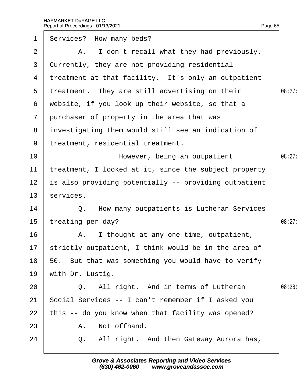| $\mathbf 1$     | Services? How many beds?                                |        |
|-----------------|---------------------------------------------------------|--------|
| 2               | A. I don't recall what they had previously.             |        |
| 3               | Currently, they are not providing residential           |        |
| 4               | treatment at that facility. It's only an outpatient     |        |
| 5               | treatment. They are still advertising on their          | 08:27: |
| 6               | website, if you look up their website, so that a        |        |
| $\mathbf{7}$    | purchaser of property in the area that was              |        |
| 8               | investigating them would still see an indication of     |        |
| 9               | treatment, residential treatment.                       |        |
| 10              | However, being an outpatient                            | 08:27  |
| 11              | treatment, I looked at it, since the subject property   |        |
| 12 <sub>2</sub> | is also providing potentially -- providing outpatient   |        |
| 13              | services.                                               |        |
| 14              | Q. How many outpatients is Lutheran Services            |        |
| 15              | treating per day?                                       | 08:27: |
| 16              | A. I thought at any one time, outpatient,               |        |
|                 | 17 strictly outpatient, I think would be in the area of |        |
| 18              | 50. But that was something you would have to verify     |        |
| 19              | with Dr. Lustig.                                        |        |
| 20              | Q. All right. And in terms of Lutheran                  | 08:28: |
| 21              | Social Services -- I can't remember if I asked you      |        |
| 22              | this -- do you know when that facility was opened?      |        |
| 23              | A. Not offhand.                                         |        |
| 24              | Q. All right. And then Gateway Aurora has,              |        |
|                 |                                                         |        |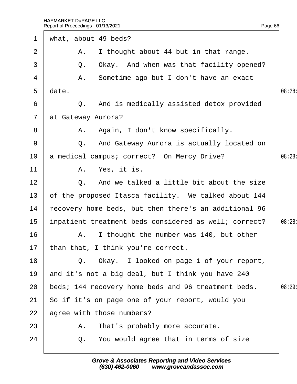| $\mathbf 1$    | what, about 49 beds?                                  |        |
|----------------|-------------------------------------------------------|--------|
| $\overline{2}$ | A. I thought about 44 but in that range.              |        |
| 3              | Q. Okay. And when was that facility opened?           |        |
| 4              | A. Sometime ago but I don't have an exact             |        |
| 5              | date.                                                 | 08:28: |
| 6              | Q. And is medically assisted detox provided           |        |
| $\overline{7}$ | at Gateway Aurora?                                    |        |
| 8              | A. Again, I don't know specifically.                  |        |
| 9              | Q. And Gateway Aurora is actually located on          |        |
| 10             | a medical campus; correct? On Mercy Drive?            | 08:28: |
| 11             | A. Yes, it is.                                        |        |
| 12             | Q. And we talked a little bit about the size          |        |
| 13             | of the proposed Itasca facility. We talked about 144  |        |
| 14             | fecovery home beds, but then there's an additional 96 |        |
| 15             | inpatient treatment beds considered as well; correct? | 08:28: |
| 16             | A. I thought the number was 140, but other            |        |
|                | 17 than that, I think you're correct.                 |        |
| 18             | Q. Okay. I looked on page 1 of your report,           |        |
| 19             | and it's not a big deal, but I think you have 240     |        |
| 20             | beds; 144 recovery home beds and 96 treatment beds.   | 08:29  |
| 21             | So if it's on page one of your report, would you      |        |
| 22             | agree with those numbers?                             |        |
| 23             | A. That's probably more accurate.                     |        |
| 24             | Q. You would agree that in terms of size              |        |
|                |                                                       |        |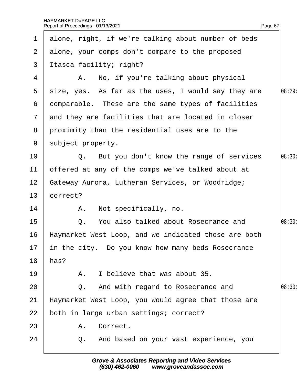|                 | 1 alone, right, if we're talking about number of beds |        |
|-----------------|-------------------------------------------------------|--------|
| $\mathbf{2}$    | alone, your comps don't compare to the proposed       |        |
| 3               | Itasca facility; right?                               |        |
| 4               | A. No, if you're talking about physical               |        |
| 5               | size, yes. As far as the uses, I would say they are   | 08:29: |
| 6               | domparable. These are the same types of facilities    |        |
| $7\overline{ }$ | and they are facilities that are located in closer    |        |
|                 | 8 proximity than the residential uses are to the      |        |
| 9               | subject property.                                     |        |
| 10              | Q. But you don't know the range of services           | 08:30: |
| 11              | offered at any of the comps we've talked about at     |        |
| 12 <sub>2</sub> | Gateway Aurora, Lutheran Services, or Woodridge;      |        |
| 13              | correct?                                              |        |
| 14              | A. Not specifically, no.                              |        |
| 15              | Q. You also talked about Rosecrance and               | 08:30: |
| 16              | Haymarket West Loop, and we indicated those are both  |        |
| 17 <sup>1</sup> | in the city. Do you know how many beds Rosecrance     |        |
| 18              | has?                                                  |        |
| 19              | I believe that was about 35.<br>Α.                    |        |
| 20              | Q. And with regard to Rosecrance and                  | 08:30: |
| 21              | Haymarket West Loop, you would agree that those are   |        |
| 22              | both in large urban settings; correct?                |        |
| 23              | A. Correct.                                           |        |
| 24              | Q. And based on your vast experience, you             |        |
|                 |                                                       |        |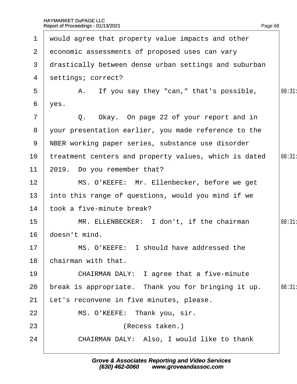|                 | 1 would agree that property value impacts and other   |       |
|-----------------|-------------------------------------------------------|-------|
| $\mathbf{2}$    | economic assessments of proposed uses can vary        |       |
| 3 <sup>1</sup>  | drastically between dense urban settings and suburban |       |
| 4               | settings; correct?                                    |       |
| 5               | A. If you say they "can," that's possible,            | 08:31 |
| 6               | yes.                                                  |       |
| $\overline{7}$  | Q. Okay. On page 22 of your report and in             |       |
| 8               | your presentation earlier, you made reference to the  |       |
|                 | 9 NBER working paper series, substance use disorder   |       |
| 10              | treatment centers and property values, which is dated | 08:31 |
| 11              | 2019. Do you remember that?                           |       |
| 12 <sub>2</sub> | MS. O'KEEFE: Mr. Ellenbecker, before we get           |       |
| 13              | into this range of questions, would you mind if we    |       |
| 14              | took a five-minute break?                             |       |
| 15              | MR. ELLENBECKER: I don't, if the chairman             | 08:31 |
| 16              | doesn't mind.                                         |       |
| 17              | MS. O'KEEFE: I should have addressed the              |       |
| 18              | chairman with that.                                   |       |
| 19              | CHAIRMAN DALY: I agree that a five-minute             |       |
| 20              | break is appropriate. Thank you for bringing it up.   | 08:31 |
| 21              | et's reconvene in five minutes, please.               |       |
| 22              | MS. O'KEEFE: Thank you, sir.                          |       |
| 23              | (Recess taken.)                                       |       |
| 24              | CHAIRMAN DALY: Also, I would like to thank            |       |
|                 |                                                       |       |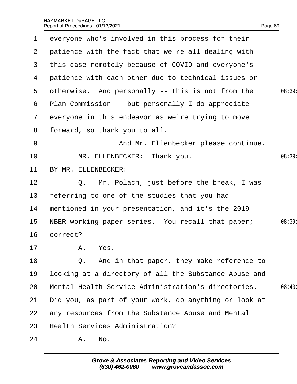| $\mathbf 1$    | everyone who's involved in this process for their        |        |
|----------------|----------------------------------------------------------|--------|
| 2 <sup>1</sup> | patience with the fact that we're all dealing with       |        |
| 3              | this case remotely because of COVID and everyone's       |        |
| 4              | patience with each other due to technical issues or      |        |
| 5              | otherwise. And personally -- this is not from the        | 08:39  |
| 6              | <b>Plan Commission -- but personally I do appreciate</b> |        |
| $\mathbf{7}$   | everyone in this endeavor as we're trying to move        |        |
| 8              | forward, so thank you to all.                            |        |
| 9              | And Mr. Ellenbecker please continue.                     |        |
| 10             | MR. ELLENBECKER: Thank you.                              | 08:39  |
| 11             | BY MR. ELLENBECKER:                                      |        |
| 12             | Q. Mr. Polach, just before the break, I was              |        |
| 13             | referring to one of the studies that you had             |        |
| 14             | mentioned in your presentation, and it's the 2019        |        |
| 15             | NBER working paper series. You recall that paper;        | 08:39: |
| 16             | correct?                                                 |        |
| 17             | A. Yes.                                                  |        |
| 18             | Q. And in that paper, they make reference to             |        |
| 19             | looking at a directory of all the Substance Abuse and    |        |
| 20             | Mental Health Service Administration's directories.      | 08:40: |
| 21             | Did you, as part of your work, do anything or look at    |        |
| 22             | any resources from the Substance Abuse and Mental        |        |
| 23             | <b>Health Services Administration?</b>                   |        |
| 24             | A. No.                                                   |        |
|                |                                                          |        |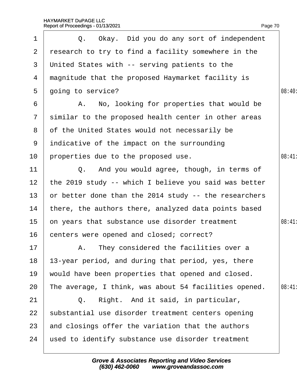| 1               | Q. Okay. Did you do any sort of independent           |       |
|-----------------|-------------------------------------------------------|-------|
| $\overline{2}$  | research to try to find a facility somewhere in the   |       |
| 3               | United States with -- serving patients to the         |       |
| 4               | magnitude that the proposed Haymarket facility is     |       |
| 5               | going to service?                                     | 08:40 |
| 6               | A. No, looking for properties that would be           |       |
| $\mathbf{7}$    | similar to the proposed health center in other areas  |       |
| 8               | of the United States would not necessarily be         |       |
| 9               | indicative of the impact on the surrounding           |       |
| 10              | properties due to the proposed use.                   | 08:41 |
| 11              | Q. And you would agree, though, in terms of           |       |
| 12 <sub>2</sub> | the 2019 study -- which I believe you said was better |       |
| 13 <sup>°</sup> | or better done than the 2014 study -- the researchers |       |
| 14              | there, the authors there, analyzed data points based  |       |
| 15              | on years that substance use disorder treatment        | 08:41 |
| 16              | centers were opened and closed; correct?              |       |
| 17              | A. They considered the facilities over a              |       |
| 18              | 13-year period, and during that period, yes, there    |       |
| 19              | would have been properties that opened and closed.    |       |
| 20              | The average, I think, was about 54 facilities opened. | 08:41 |
| 21              | Q. Right. And it said, in particular,                 |       |
| 22              | substantial use disorder treatment centers opening    |       |
| 23              | and closings offer the variation that the authors     |       |
| 24              | used to identify substance use disorder treatment     |       |
|                 |                                                       |       |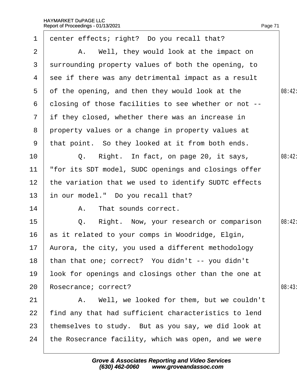| $\mathbf 1$     | denter effects; right? Do you recall that?            |        |
|-----------------|-------------------------------------------------------|--------|
| 2               | A. Well, they would look at the impact on             |        |
| $\mathbf{3}$    | surrounding property values of both the opening, to   |        |
|                 | 4 see if there was any detrimental impact as a result |        |
| 5               | of the opening, and then they would look at the       | 08:42: |
| 6               | dlosing of those facilities to see whether or not --  |        |
|                 | 7 if they closed, whether there was an increase in    |        |
|                 | 8 property values or a change in property values at   |        |
| 9               | that point. So they looked at it from both ends.      |        |
| 10              | Q. Right. In fact, on page 20, it says,               | 08:42: |
| 11              | for its SDT model, SUDC openings and closings offer   |        |
| 12 <sub>2</sub> | the variation that we used to identify SUDTC effects  |        |
| 13              | in our model." Do you recall that?                    |        |
| 14              | A. That sounds correct.                               |        |
| 15              | Q. Right. Now, your research or comparison            | 08:42: |
| 16              | as it related to your comps in Woodridge, Elgin,      |        |
|                 | 17 Aurora, the city, you used a different methodology |        |
| 18              | than that one; correct? You didn't -- you didn't      |        |
| 19              | look for openings and closings other than the one at  |        |
| 20              | Rosecrance; correct?                                  | 08:43  |
| 21              | A. Well, we looked for them, but we couldn't          |        |
| 22              | find any that had sufficient characteristics to lend  |        |
| 23              | themselves to study. But as you say, we did look at   |        |
| 24              | the Rosecrance facility, which was open, and we were  |        |
|                 |                                                       |        |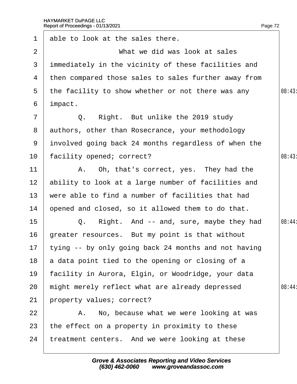| $\mathbf 1$     | able to look at the sales there.                        |        |
|-----------------|---------------------------------------------------------|--------|
| $\overline{2}$  | What we did was look at sales                           |        |
| 3               | immediately in the vicinity of these facilities and     |        |
|                 | 4 then compared those sales to sales further away from  |        |
| 5               | the facility to show whether or not there was any       | 08:43  |
| 6               | impact.                                                 |        |
| $\overline{7}$  | Q. Right. But unlike the 2019 study                     |        |
|                 | 8 authors, other than Rosecrance, your methodology      |        |
|                 | 9 involved going back 24 months regardless of when the  |        |
| 10 <sub>1</sub> | facility opened; correct?                               | 08:43  |
| 11              | A. Oh, that's correct, yes. They had the                |        |
| 12 <sub>2</sub> | ability to look at a large number of facilities and     |        |
| 13 <sup>°</sup> | were able to find a number of facilities that had       |        |
| 14              | opened and closed, so it allowed them to do that.       |        |
| 15 <sub>1</sub> | Q. Right. And -- and, sure, maybe they had              | 08:44: |
| 16              | greater resources. But my point is that without         |        |
|                 | 17 tying -- by only going back 24 months and not having |        |
| 18              | a data point tied to the opening or closing of a        |        |
| 19              | facility in Aurora, Elgin, or Woodridge, your data      |        |
| 20              | might merely reflect what are already depressed         | 08:44: |
| 21              | property values; correct?                               |        |
| 22              | A. No, because what we were looking at was              |        |
| 23              | the effect on a property in proximity to these          |        |
| 24              | treatment centers. And we were looking at these         |        |
|                 |                                                         |        |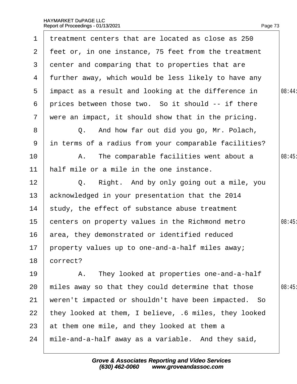| 1               | treatment centers that are located as close as 250    |        |
|-----------------|-------------------------------------------------------|--------|
| $\mathbf{2}$    | feet or, in one instance, 75 feet from the treatment  |        |
| $\mathbf{3}$    | denter and comparing that to properties that are      |        |
| 4               | further away, which would be less likely to have any  |        |
| 5               | impact as a result and looking at the difference in   | 08:44: |
| 6               | prices between those two. So it should -- if there    |        |
| $\overline{7}$  | were an impact, it should show that in the pricing.   |        |
| 8               | Q. And how far out did you go, Mr. Polach,            |        |
| 9               | in terms of a radius from your comparable facilities? |        |
| 10 <sup>°</sup> | A. The comparable facilities went about a             | 08:45  |
| 11              | half mile or a mile in the one instance.              |        |
| 12              | Q. Right. And by only going out a mile, you           |        |
| 13              | acknowledged in your presentation that the 2014       |        |
| 14              | study, the effect of substance abuse treatment        |        |
| 15              | centers on property values in the Richmond metro      | 08:45  |
| 16              | area, they demonstrated or identified reduced         |        |
|                 | 17 property values up to one-and-a-half miles away;   |        |
| 18              | correct?                                              |        |
| 19              | A. They looked at properties one-and-a-half           |        |
| 20              | miles away so that they could determine that those    | 08:45  |
| 21              | weren't impacted or shouldn't have been impacted. So  |        |
| 22              | they looked at them, I believe, 6 miles, they looked  |        |
| 23              | at them one mile, and they looked at them a           |        |
| 24              | mile-and-a-half away as a variable. And they said,    |        |
|                 |                                                       |        |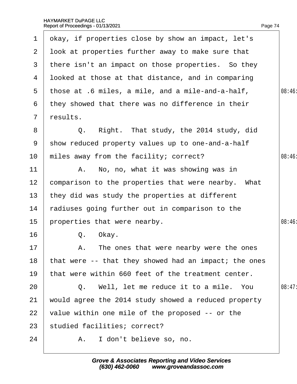$\Gamma$ 

 $\overline{\phantom{a}}$ 

| 1                     | okay, if properties close by show an impact, let's    |        |
|-----------------------|-------------------------------------------------------|--------|
| $\mathbf{2}^{\prime}$ | look at properties further away to make sure that     |        |
| 3                     | there isn't an impact on those properties. So they    |        |
| 4                     | Ipoked at those at that distance, and in comparing    |        |
| $5^{\circ}$           | those at .6 miles, a mile, and a mile-and-a-half,     | 08:46  |
| 6                     | they showed that there was no difference in their     |        |
| $7\overline{ }$       | results.                                              |        |
| 8                     | Q. Right. That study, the 2014 study, did             |        |
| 9                     | show reduced property values up to one-and-a-half     |        |
| 10                    | miles away from the facility; correct?                | 08:46  |
| 11                    | A. No, no, what it was showing was in                 |        |
| 12                    | comparison to the properties that were nearby. What   |        |
| 13                    | they did was study the properties at different        |        |
| 14                    | radiuses going further out in comparison to the       |        |
| 15                    | properties that were nearby.                          | 08:46  |
| 16                    | Q. Okay.                                              |        |
| 17                    | A. The ones that were nearby were the ones            |        |
| 18                    | that were -- that they showed had an impact; the ones |        |
| 19                    | that were within 660 feet of the treatment center.    |        |
| 20                    | Q. Well, let me reduce it to a mile. You              | 08:47: |
| 21                    | would agree the 2014 study showed a reduced property  |        |
| 22                    | value within one mile of the proposed -- or the       |        |
| 23                    | studied facilities; correct?                          |        |
| 24                    | A. I don't believe so, no.                            |        |
|                       |                                                       |        |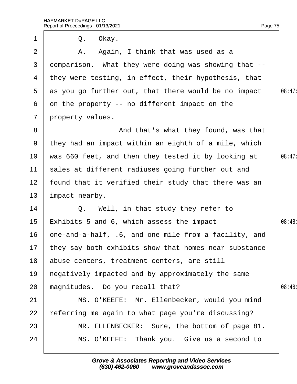| 1               | Q. Okay.                                                 |       |
|-----------------|----------------------------------------------------------|-------|
| 2               | A. Again, I think that was used as a                     |       |
| 3               | domparison. What they were doing was showing that --     |       |
| 4               | they were testing, in effect, their hypothesis, that     |       |
| $5^{\circ}$     | as you go further out, that there would be no impact     | 08:47 |
| 6               | on the property -- no different impact on the            |       |
| $\overline{7}$  | property values.                                         |       |
| 8               | And that's what they found, was that                     |       |
| 9               | they had an impact within an eighth of a mile, which     |       |
| 10              | was 660 feet, and then they tested it by looking at      | 08:47 |
| 11              | sales at different radiuses going further out and        |       |
| 12 <sub>2</sub> | found that it verified their study that there was an     |       |
| 13              | impact nearby.                                           |       |
| 14              | Q. Well, in that study they refer to                     |       |
| 15              | Exhibits 5 and 6, which assess the impact                | 08:48 |
| 16              | one-and-a-half, .6, and one mile from a facility, and    |       |
|                 | 17 they say both exhibits show that homes near substance |       |
| 18              | abuse centers, treatment centers, are still              |       |
| 19              | hegatively impacted and by approximately the same        |       |
| 20              | magnitudes. Do you recall that?                          | 08:48 |
| 21              | MS. O'KEEFE: Mr. Ellenbecker, would you mind             |       |
| 22              | eferring me again to what page you're discussing?        |       |
| 23              | MR. ELLENBECKER: Sure, the bottom of page 81.            |       |
| 24              | MS. O'KEEFE: Thank you. Give us a second to              |       |
|                 |                                                          |       |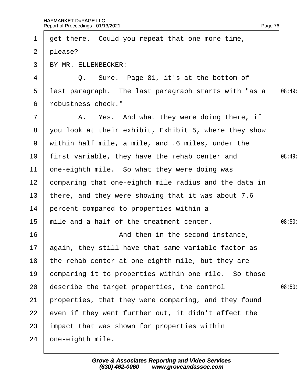| $\mathbf 1$     | get there. Could you repeat that one more time,       |        |
|-----------------|-------------------------------------------------------|--------|
| $\overline{2}$  | please?                                               |        |
| 3 <sup>1</sup>  | BY MR. ELLENBECKER:                                   |        |
| 4               | Q. Sure. Page 81, it's at the bottom of               |        |
| 5               | last paragraph. The last paragraph starts with "as a  | 08:49  |
| 6               | robustness check."                                    |        |
| 7               | A. Yes. And what they were doing there, if            |        |
| 8               | you look at their exhibit, Exhibit 5, where they show |        |
| 9               | within half mile, a mile, and .6 miles, under the     |        |
| 10              | first variable, they have the rehab center and        | 08:49  |
| 11              | one-eighth mile. So what they were doing was          |        |
| 12 <sub>2</sub> | comparing that one-eighth mile radius and the data in |        |
| 13 <sub>2</sub> | there, and they were showing that it was about 7.6    |        |
| 14              | percent compared to properties within a               |        |
| 15              | mile-and-a-half of the treatment center.              | 08:50  |
| 16              | And then in the second instance,                      |        |
| 17              | again, they still have that same variable factor as   |        |
| 18              | the rehab center at one-eighth mile, but they are     |        |
| 19              | comparing it to properties within one mile. So those  |        |
| 20              | describe the target properties, the control           | 08:50: |
| 21              | properties, that they were comparing, and they found  |        |
| 22              | even if they went further out, it didn't affect the   |        |
| 23              | impact that was shown for properties within           |        |
| 24              | one-eighth mile.                                      |        |
|                 |                                                       |        |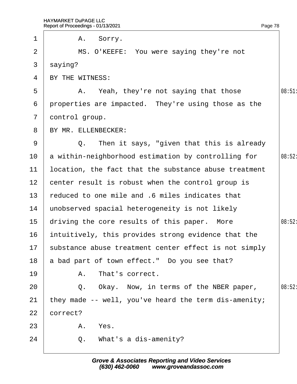|                 | Report of Proceedings - 01/13/2021<br>Page 78         |        |
|-----------------|-------------------------------------------------------|--------|
| $\mathbf 1$     | A. Sorry.                                             |        |
| $\overline{2}$  | MS. O'KEEFE: You were saying they're not              |        |
| 3               | saying?                                               |        |
| 4               | BY THE WITNESS:                                       |        |
| 5               | A. Yeah, they're not saying that those                | 08:51  |
| 6               | properties are impacted. They're using those as the   |        |
| $\overline{7}$  | dontrol group.                                        |        |
| 8               | BY MR. ELLENBECKER:                                   |        |
| 9               | Q. Then it says, "given that this is already          |        |
| 10              | a within-neighborhood estimation by controlling for   | 08:52: |
| 11              | location, the fact that the substance abuse treatment |        |
| 12 <sub>2</sub> | center result is robust when the control group is     |        |
| 13              | reduced to one mile and .6 miles indicates that       |        |
| 14              | unobserved spacial heterogeneity is not likely        |        |
| 15              | driving the core results of this paper. More          | 08:52: |
| 16              | intuitively, this provides strong evidence that the   |        |
| 17              | substance abuse treatment center effect is not simply |        |
| 18              | a bad part of town effect." Do you see that?          |        |
| 19              | A. That's correct.                                    |        |
| 20              | Q. Okay. Now, in terms of the NBER paper,             | 08:52: |
| 21              | they made -- well, you've heard the term dis-amenity; |        |
| 22              | correct?                                              |        |
| 23              | A. Yes.                                               |        |
| 24              | Q. What's a dis-amenity?                              |        |
|                 |                                                       |        |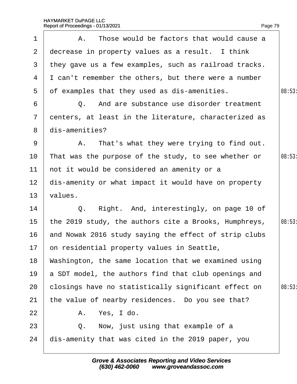1 | A. Those would be factors that would cause a

Page 79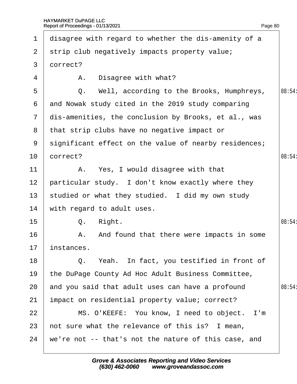| $\mathbf 1$     | disagree with regard to whether the dis-amenity of a   |        |
|-----------------|--------------------------------------------------------|--------|
|                 | 2 strip club negatively impacts property value;        |        |
| 3 <sup>1</sup>  | dorrect?                                               |        |
| 4               | A. Disagree with what?                                 |        |
| 5               | Q. Well, according to the Brooks, Humphreys,           | 08:54  |
| 6               | and Nowak study cited in the 2019 study comparing      |        |
|                 | 7 dis-amenities, the conclusion by Brooks, et al., was |        |
|                 | 8 that strip clubs have no negative impact or          |        |
| 9               | significant effect on the value of nearby residences;  |        |
| 10 <sup>°</sup> | correct?                                               | 08:54: |
| 11              | A. Yes, I would disagree with that                     |        |
| 12 <sub>2</sub> | particular study. I don't know exactly where they      |        |
| 13 <sup>°</sup> | studied or what they studied. I did my own study       |        |
| 14              | with regard to adult uses.                             |        |
| 15 <sub>1</sub> | Q. Right.                                              | 08:54: |
| 16              | A. And found that there were impacts in some           |        |
|                 | 17 instances.                                          |        |
| 18              | Q. Yeah. In fact, you testified in front of            |        |
| 19              | the DuPage County Ad Hoc Adult Business Committee,     |        |
| 20              | and you said that adult uses can have a profound       | 08:54: |
| 21              | impact on residential property value; correct?         |        |
| 22              | MS. O'KEEFE: You know, I need to object. I'm           |        |
| 23              | not sure what the relevance of this is? I mean,        |        |
| 24              | we're not -- that's not the nature of this case, and   |        |
|                 |                                                        |        |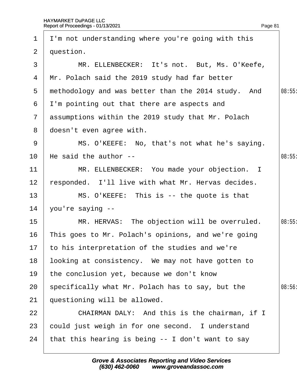|                 | 1 I'm not understanding where you're going with this |       |
|-----------------|------------------------------------------------------|-------|
| $\mathbf{2}$    | question.                                            |       |
| 3               | MR. ELLENBECKER: It's not. But, Ms. O'Keefe,         |       |
| 4               | Mr. Polach said the 2019 study had far better        |       |
| 5               | methodology and was better than the 2014 study. And  | 08:55 |
| 6               | I'm pointing out that there are aspects and          |       |
|                 | 7 assumptions within the 2019 study that Mr. Polach  |       |
| 8               | doesn't even agree with.                             |       |
| 9               | MS. O'KEEFE: No, that's not what he's saying.        |       |
| 10              | He said the author --                                | 08:55 |
| 11              | MR. ELLENBECKER: You made your objection. I          |       |
| 12              | responded. I'll live with what Mr. Hervas decides.   |       |
| 13              | MS. O'KEEFE: This is -- the quote is that            |       |
| 14              | you're saying --                                     |       |
| 15 <sub>1</sub> | MR. HERVAS: The objection will be overruled.         | 08:55 |
| 16              | This goes to Mr. Polach's opinions, and we're going  |       |
|                 | 17 to his interpretation of the studies and we're    |       |
| 18              | looking at consistency. We may not have gotten to    |       |
| 19              | the conclusion yet, because we don't know            |       |
| 20              | specifically what Mr. Polach has to say, but the     | 08:56 |
| 21              | questioning will be allowed.                         |       |
| 22              | CHAIRMAN DALY: And this is the chairman, if I        |       |
| 23              | could just weigh in for one second. I understand     |       |
| 24              | that this hearing is being -- I don't want to say    |       |
|                 |                                                      |       |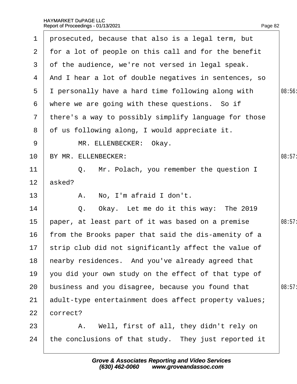| $\mathbf 1$     | prosecuted, because that also is a legal term, but      |        |
|-----------------|---------------------------------------------------------|--------|
| $\mathbf{2}$    | for a lot of people on this call and for the benefit    |        |
| 3               | of the audience, we're not versed in legal speak.       |        |
| 4               | And I hear a lot of double negatives in sentences, so   |        |
| 5               | I personally have a hard time following along with      | 08:56  |
| 6               | where we are going with these questions. So if          |        |
| $7\phantom{.}$  | there's a way to possibly simplify language for those   |        |
| 8               | of us following along, I would appreciate it.           |        |
| 9               | MR. ELLENBECKER: Okay.                                  |        |
| 10 <sup>°</sup> | BY MR. ELLENBECKER:                                     | 08:57: |
| 11              | Q. Mr. Polach, you remember the question I              |        |
| 12 <sup>2</sup> | asked?                                                  |        |
| 13              | A. No, I'm afraid I don't.                              |        |
| 14              | Q. Okay. Let me do it this way: The 2019                |        |
| 15              | paper, at least part of it was based on a premise       | 08:57: |
| 16              | from the Brooks paper that said the dis-amenity of a    |        |
|                 | 17 strip club did not significantly affect the value of |        |
| 18              | hearby residences. And you've already agreed that       |        |
| 19              | you did your own study on the effect of that type of    |        |
| 20              | business and you disagree, because you found that       | 08:57: |
| 21              | adult-type entertainment does affect property values;   |        |
| 22              | correct?                                                |        |
| 23              | A. Well, first of all, they didn't rely on              |        |
| 24              | the conclusions of that study. They just reported it    |        |
|                 |                                                         |        |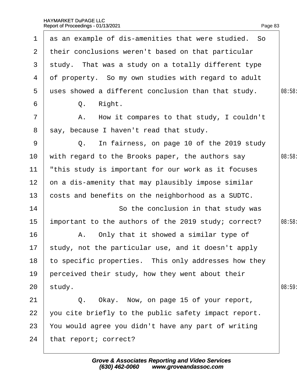|                 | Report of Proceedings - 01/13/2021                   | Page 83 |
|-----------------|------------------------------------------------------|---------|
| $\mathbf 1$     | as an example of dis-amenities that were studied. So |         |
| $\overline{2}$  | their conclusions weren't based on that particular   |         |
| 3               | study. That was a study on a totally different type  |         |
| 4               | of property. So my own studies with regard to adult  |         |
| 5               | uses showed a different conclusion than that study.  | 08:58   |
| 6               | Q. Right.                                            |         |
| 7               | A. How it compares to that study, I couldn't         |         |
| 8               | say, because I haven't read that study.              |         |
| 9               | Q. In fairness, on page 10 of the 2019 study         |         |
| 10              | with regard to the Brooks paper, the authors say     | 08:58   |
| 11              | this study is important for our work as it focuses   |         |
| 12 <sub>2</sub> | on a dis-amenity that may plausibly impose similar   |         |
| 13              | costs and benefits on the neighborhood as a SUDTC.   |         |
| 14              | So the conclusion in that study was                  |         |
| 15              | important to the authors of the 2019 study; correct? | 08:58   |
| 16              | A. Only that it showed a similar type of             |         |
| 17              | study, not the particular use, and it doesn't apply  |         |
| 18              | to specific properties. This only addresses how they |         |
| 19              | perceived their study, how they went about their     |         |
| 20              | study.                                               | 08:59   |
| 21              | Q. Okay. Now, on page 15 of your report,             |         |
| 22              | you cite briefly to the public safety impact report. |         |
| 23              | You would agree you didn't have any part of writing  |         |
| 24              | that report; correct?                                |         |
|                 |                                                      |         |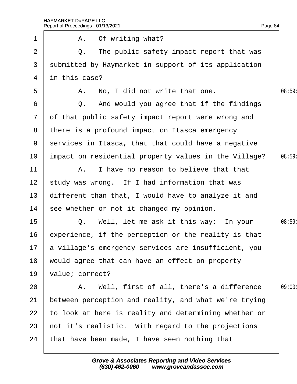| $\mathbf 1$     | A. Of writing what?                                     |        |
|-----------------|---------------------------------------------------------|--------|
| $\overline{2}$  | Q. The public safety impact report that was             |        |
| 3               | submitted by Haymarket in support of its application    |        |
| 4               | in this case?                                           |        |
| 5               | A. No, I did not write that one.                        | 08:59  |
| 6               | Q. And would you agree that if the findings             |        |
| $7\overline{ }$ | of that public safety impact report were wrong and      |        |
| 8               | there is a profound impact on Itasca emergency          |        |
| 9               | services in Itasca, that that could have a negative     |        |
| 10              | impact on residential property values in the Village?   | 08:59  |
| 11              | A. I have no reason to believe that that                |        |
| 12 <sup>7</sup> | study was wrong. If I had information that was          |        |
| 13 <sup>°</sup> | different than that, I would have to analyze it and     |        |
| 14              | see whether or not it changed my opinion.               |        |
| 15              | Q. Well, let me ask it this way: In your                | 08:59: |
| 16              | experience, if the perception or the reality is that    |        |
|                 | 17 a village's emergency services are insufficient, you |        |
| 18              | would agree that can have an effect on property         |        |
| 19              | value; correct?                                         |        |
| 20              | A. Well, first of all, there's a difference             | 09:00  |
| 21              | between perception and reality, and what we're trying   |        |
| 22              | to look at here is reality and determining whether or   |        |
| 23              | not it's realistic. With regard to the projections      |        |
| 24              | that have been made, I have seen nothing that           |        |
|                 |                                                         |        |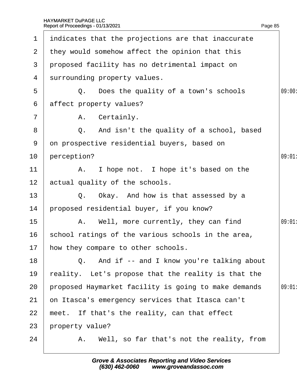7

|                 | 1 indicates that the projections are that inaccurate |        |
|-----------------|------------------------------------------------------|--------|
|                 | 2 they would somehow affect the opinion that this    |        |
| 3               | proposed facility has no detrimental impact on       |        |
| 4               | surrounding property values.                         |        |
| 5               | Q. Does the quality of a town's schools              | 09:00: |
| 6               | affect property values?                              |        |
| $\overline{7}$  | A. Certainly.                                        |        |
| 8               | Q. And isn't the quality of a school, based          |        |
| 9               | on prospective residential buyers, based on          |        |
| 10 <sup>°</sup> | perception?                                          | 09:01  |
| 11              | A. I hope not. I hope it's based on the              |        |
| 12 <sup>2</sup> | actual quality of the schools.                       |        |
| 13              | Q. Okay. And how is that assessed by a               |        |
| 14              | proposed residential buyer, if you know?             |        |
| 15              | A. Well, more currently, they can find               | 09:01  |
| 16              | school ratings of the various schools in the area,   |        |
| 17 <sub>2</sub> | how they compare to other schools.                   |        |
| 18              | Q. And if -- and I know you're talking about         |        |
| 19              | reality. Let's propose that the reality is that the  |        |
| 20              | proposed Haymarket facility is going to make demands | 09:01  |
| 21              | on Itasca's emergency services that Itasca can't     |        |
| 22              | meet. If that's the reality, can that effect         |        |
| 23              | property value?                                      |        |
| 24              | A. Well, so far that's not the reality, from         |        |
|                 |                                                      |        |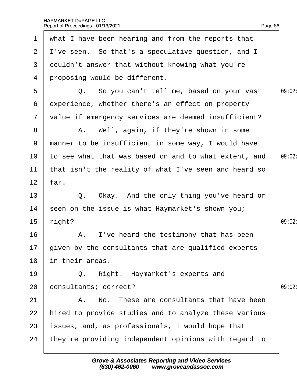| $\mathbf 1$    | what I have been hearing and from the reports that     |        |
|----------------|--------------------------------------------------------|--------|
| $\mathbf{2}$   | I've seen. So that's a speculative question, and I     |        |
| 3              | douldn't answer that without knowing what you're       |        |
| 4              | proposing would be different.                          |        |
| 5              | Q. So you can't tell me, based on your vast            | 09:02: |
| 6              | experience, whether there's an effect on property      |        |
| $\overline{7}$ | value if emergency services are deemed insufficient?   |        |
| 8              | A. Well, again, if they're shown in some               |        |
| 9              | manner to be insufficient in some way, I would have    |        |
| 10             | to see what that was based on and to what extent, and  | 09:02: |
| 11             | that isn't the reality of what I've seen and heard so  |        |
| 12             | far.                                                   |        |
| 13             | Q. Okay. And the only thing you've heard or            |        |
| 14             | seen on the issue is what Haymarket's shown you;       |        |
| 15             | right?                                                 | 09:02: |
| 16             | A. I've heard the testimony that has been              |        |
|                | 17 given by the consultants that are qualified experts |        |
| 18             | in their areas.                                        |        |
| 19             | Q. Right. Haymarket's experts and                      |        |
| 20             | consultants; correct?                                  | 09:02: |
| 21             | A. No. These are consultants that have been            |        |
| 22             | hired to provide studies and to analyze these various  |        |
| 23             | issues, and, as professionals, I would hope that       |        |
| 24             | they're providing independent opinions with regard to  |        |
|                |                                                        |        |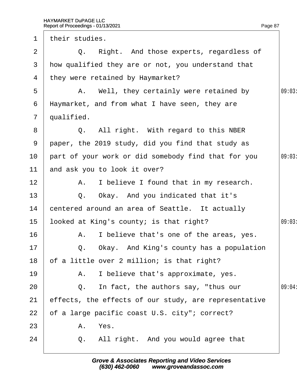| I O | JOOKED at King's county; is that right?                                                               |
|-----|-------------------------------------------------------------------------------------------------------|
| 16  | A. I believe that's one of the areas, yes.                                                            |
| 17  | Q. Okay. And King's county has a population                                                           |
| 18  | of a little over 2 million; is that right?                                                            |
| 19  | A. I believe that's approximate, yes.                                                                 |
| 20  | Q. In fact, the authors say, "thus our                                                                |
| 21  | effects, the effects of our study, are representative                                                 |
| 22  | of a large pacific coast U.S. city"; correct?                                                         |
| 23  | A. Yes.                                                                                               |
| 24  | Q. All right. And you would agree that                                                                |
|     |                                                                                                       |
|     | <b>Grove &amp; Associates Reporting and Video Services</b><br>www.groveandassoc.com<br>(630) 462-0060 |
|     |                                                                                                       |
|     |                                                                                                       |
|     |                                                                                                       |
|     |                                                                                                       |

| $\mathbf 1$     | their studies.                                        |        |
|-----------------|-------------------------------------------------------|--------|
| 2               | Q. Right. And those experts, regardless of            |        |
| 3               | how qualified they are or not, you understand that    |        |
| 4               | they were retained by Haymarket?                      |        |
| 5               | A. Well, they certainly were retained by              | 09:03  |
| 6               | Haymarket, and from what I have seen, they are        |        |
| $\overline{7}$  | qualified.                                            |        |
| 8               | Q. All right. With regard to this NBER                |        |
| 9               | paper, the 2019 study, did you find that study as     |        |
| 10              | part of your work or did somebody find that for you   | 09:03  |
| 11              | and ask you to look it over?                          |        |
| 12 <sub>2</sub> | A. I believe I found that in my research.             |        |
| 13              | Q. Okay. And you indicated that it's                  |        |
| 14              | centered around an area of Seattle. It actually       |        |
| 15              | looked at King's county; is that right?               | 09:03  |
| 16              | A. I believe that's one of the areas, yes.            |        |
| 17              | Q. Okay. And King's county has a population           |        |
| 18              | of a little over 2 million; is that right?            |        |
| 19              | A. I believe that's approximate, yes.                 |        |
| 20              | Q. In fact, the authors say, "thus our                | 09:04: |
| 21              | effects, the effects of our study, are representative |        |
| 22              | of a large pacific coast U.S. city"; correct?         |        |
| 23              | A. Yes.                                               |        |

Page 87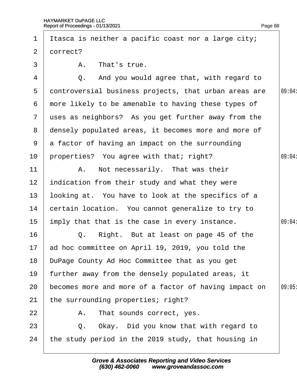| 1             | Itasca is neither a pacific coast nor a large city;   |        |
|---------------|-------------------------------------------------------|--------|
| 2             | dorrect?                                              |        |
| 3             | A. That's true.                                       |        |
| 4             | Q. And you would agree that, with regard to           |        |
| 5             | dontroversial business projects, that urban areas are | 09:04: |
| 6             | more likely to be amenable to having these types of   |        |
| $\mathcal{I}$ | uses as neighbors? As you get further away from the   |        |
| 8             | densely populated areas, it becomes more and more of  |        |
| 9             | a factor of having an impact on the surrounding       |        |
| 10            | properties? You agree with that; right?               | 09:04: |
| 11            | A. Not necessarily. That was their                    |        |
| 12            | indication from their study and what they were        |        |
| 13            | looking at. You have to look at the specifics of a    |        |
| 14            | certain location. You cannot generalize to try to     |        |
| 15            | imply that that is the case in every instance.        | 09:04  |
| 16            | Right. But at least on page 45 of the<br>Q.           |        |
|               | 17 ad hoc committee on April 19, 2019, you told the   |        |
| 18            | DuPage County Ad Hoc Committee that as you get        |        |
| 19            | further away from the densely populated areas, it     |        |
| 20            | becomes more and more of a factor of having impact on | 09:05  |
| 21            | the surrounding properties; right?                    |        |
| 22            | That sounds correct, yes.<br>Α.                       |        |
| 23            | Okay. Did you know that with regard to<br>Q.          |        |
| 24            | the study period in the 2019 study, that housing in   |        |
|               |                                                       |        |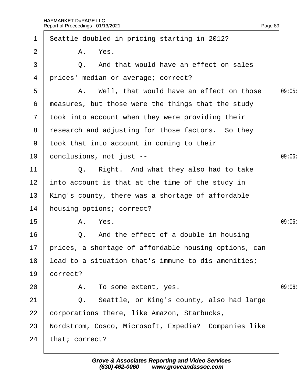| $\mathbf 1$     | Seattle doubled in pricing starting in 2012?          |       |
|-----------------|-------------------------------------------------------|-------|
| $\overline{2}$  | A. Yes.                                               |       |
| 3               | Q. And that would have an effect on sales             |       |
| 4               | prices' median or average; correct?                   |       |
| 5               | A. Well, that would have an effect on those           | 09:05 |
| 6               | measures, but those were the things that the study    |       |
|                 | 7 took into account when they were providing their    |       |
| 8               | research and adjusting for those factors. So they     |       |
|                 | 9 took that into account in coming to their           |       |
| 10              | conclusions, not just --                              | 09:06 |
| 11              | Q. Right. And what they also had to take              |       |
| 12 <sub>2</sub> | into account is that at the time of the study in      |       |
| 13              | King's county, there was a shortage of affordable     |       |
| 14              | housing options; correct?                             |       |
| 15              | A. Yes.                                               | 09:06 |
| 16              | Q. And the effect of a double in housing              |       |
| 17              | prices, a shortage of affordable housing options, can |       |
| 18              | lead to a situation that's immune to dis-amenities;   |       |
| 19              | correct?                                              |       |
| 20              | A. To some extent, yes.                               | 09:06 |
| 21              | Q. Seattle, or King's county, also had large          |       |
| 22              | corporations there, like Amazon, Starbucks,           |       |
| 23              | Nordstrom, Cosco, Microsoft, Expedia? Companies like  |       |
| 24              | that; correct?                                        |       |
|                 |                                                       |       |

Page 89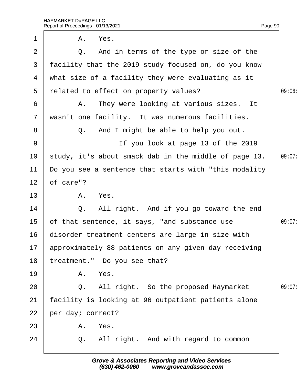| 1            |           | A. Yes.                                                 |        |
|--------------|-----------|---------------------------------------------------------|--------|
| 2            |           | Q. And in terms of the type or size of the              |        |
| 3            |           | facility that the 2019 study focused on, do you know    |        |
| 4            |           | what size of a facility they were evaluating as it      |        |
| 5            |           | related to effect on property values?                   | 09:06: |
| 6            |           | A. They were looking at various sizes. It               |        |
| $\mathbf{7}$ |           | wasn't one facility. It was numerous facilities.        |        |
| 8            |           | Q. And I might be able to help you out.                 |        |
| 9            |           | If you look at page 13 of the 2019                      |        |
| 10           |           | study, it's about smack dab in the middle of page 13.   | 09:07: |
| 11           |           | Do you see a sentence that starts with "this modality"  |        |
| 12           | of care"? |                                                         |        |
| 13           |           | A. Yes.                                                 |        |
| 14           |           | Q. All right. And if you go toward the end              |        |
| 15           |           | of that sentence, it says, "and substance use           | 09:07: |
| 16           |           | disorder treatment centers are large in size with       |        |
|              |           | 17 approximately 88 patients on any given day receiving |        |
| 18           |           | treatment." Do you see that?                            |        |
| 19           |           | A. Yes.                                                 |        |
| 20           |           | Q. All right. So the proposed Haymarket                 | 09:07: |
| 21           |           | facility is looking at 96 outpatient patients alone     |        |
| 22           |           | per day; correct?                                       |        |
| 23           |           | A. Yes.                                                 |        |
| 24           |           | Q. All right. And with regard to common                 |        |
|              |           |                                                         |        |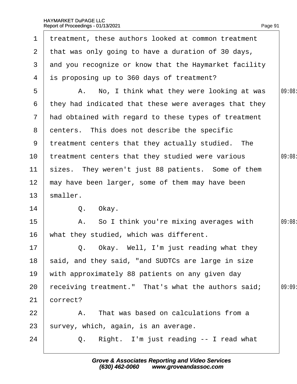| 1               | treatment, these authors looked at common treatment   |        |
|-----------------|-------------------------------------------------------|--------|
|                 | 2 that was only going to have a duration of 30 days,  |        |
| 3               | and you recognize or know that the Haymarket facility |        |
| 4               | is proposing up to 360 days of treatment?             |        |
| 5               | A. No, I think what they were looking at was          | 09:08: |
| 6               | they had indicated that these were averages that they |        |
| $7\overline{ }$ | had obtained with regard to these types of treatment  |        |
|                 | 8 denters. This does not describe the specific        |        |
| 9               | treatment centers that they actually studied. The     |        |
| 10              | treatment centers that they studied were various      | 09:08: |
| 11              | sizes. They weren't just 88 patients. Some of them    |        |
| 12 <sub>2</sub> | may have been larger, some of them may have been      |        |
| 13              | smaller.                                              |        |
| 14              | Q. Okay.                                              |        |
| 15              | A. So I think you're mixing averages with             | 09:08: |
| 16              | what they studied, which was different.               |        |
| 17              | Q. Okay. Well, I'm just reading what they             |        |
| 18              | said, and they said, "and SUDTCs are large in size    |        |
| 19              | with approximately 88 patients on any given day       |        |
| 20              | receiving treatment." That's what the authors said;   | 09:09  |
| 21              | correct?                                              |        |
| 22              | A. That was based on calculations from a              |        |
| 23              | survey, which, again, is an average.                  |        |
| 24              | Q. Right. I'm just reading -- I read what             |        |
|                 |                                                       |        |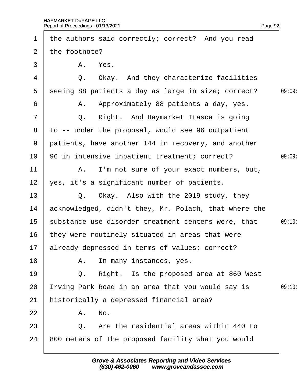2 the footnote?

3 | A. Yes.

1 the authors said correctly; correct? And you read

12  $\sqrt{e}$  yes, it's a significant number of patients.

| 13 | Q. Okay. Also with the 2019 study, they                |        |
|----|--------------------------------------------------------|--------|
| 14 | acknowledged, didn't they, Mr. Polach, that where the  |        |
|    | 15 substance use disorder treatment centers were, that | 09:10: |
| 16 | they were routinely situated in areas that were        |        |
| 17 | already depressed in terms of values; correct?         |        |
| 18 | A. In many instances, yes.                             |        |
| 19 | Q. Right. Is the proposed area at 860 West             |        |
| 20 | Irving Park Road in an area that you would say is      | 09:10  |
| 21 | historically a depressed financial area?               |        |
| 22 | A. No.                                                 |        |
| 23 | Q. Are the residential areas within 440 to             |        |
| 24 | 800 meters of the proposed facility what you would     |        |
|    |                                                        |        |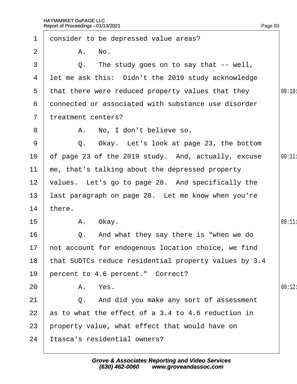|                 | Report of Proceedings - 01/13/2021                    | Page 93 |
|-----------------|-------------------------------------------------------|---------|
| 1               | donsider to be depressed value areas?                 |         |
| $\overline{2}$  | A. No.                                                |         |
| 3               | Q. The study goes on to say that -- well,             |         |
| 4               | let me ask this: Didn't the 2019 study acknowledge    |         |
| 5               | that there were reduced property values that they     | 09:10:  |
| 6               | donnected or associated with substance use disorder   |         |
| $\mathbf{7}$    | treatment centers?                                    |         |
| 8               | A. No, I don't believe so.                            |         |
| 9               | Q. Okay. Let's look at page 23, the bottom            |         |
| 10              | of page 23 of the 2019 study. And, actually, excuse   | 09:11:  |
| 11              | me, that's talking about the depressed property       |         |
| 12 <sub>2</sub> | values. Let's go to page 28. And specifically the     |         |
| 13              | last paragraph on page 28. Let me know when you're    |         |
| 14              | there.                                                |         |
| 15              | Okay.<br>Α.                                           | 09:11:  |
| 16              | Q. And what they say there is "when we do             |         |
| 17              | not account for endogenous location choice, we find   |         |
| 18              | that SUDTCs reduce residential property values by 3.4 |         |
| 19              | percent to 4.6 percent." Correct?                     |         |
| 20              | A. Yes.                                               | 09:12   |
| 21              | Q. And did you make any sort of assessment            |         |
| 22              | as to what the effect of a 3.4 to 4.6 reduction in    |         |
| 23              | property value, what effect that would have on        |         |
| 24              | Itasca's residential owners?                          |         |
|                 |                                                       |         |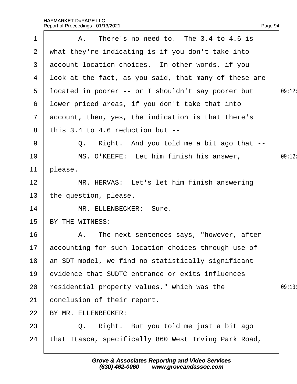| 1               | A. There's no need to. The 3.4 to 4.6 is               |        |
|-----------------|--------------------------------------------------------|--------|
| $\mathbf{2}$    | what they're indicating is if you don't take into      |        |
| 3               | account location choices. In other words, if you       |        |
| 4               | Ibok at the fact, as you said, that many of these are  |        |
| 5               | Ipcated in poorer -- or I shouldn't say poorer but     | 09:12: |
| 6               | I bwer priced areas, if you don't take that into       |        |
|                 | 7 account, then, yes, the indication is that there's   |        |
| 8               | this $3.4$ to $4.6$ reduction but $-$                  |        |
| 9               | Q. Right. And you told me a bit ago that --            |        |
| 10              | MS. O'KEEFE: Let him finish his answer,                | 09:12: |
| 11              | please.                                                |        |
| 12              | MR. HERVAS: Let's let him finish answering             |        |
| 13 <sup>°</sup> | the question, please.                                  |        |
| 14              | MR. ELLENBECKER: Sure.                                 |        |
| 15 <sub>1</sub> | BY THE WITNESS:                                        |        |
| 16              | A. The next sentences says, "however, after            |        |
|                 | 17 accounting for such location choices through use of |        |
| 18              | an SDT model, we find no statistically significant     |        |
| 19              | evidence that SUDTC entrance or exits influences       |        |
| 20              | residential property values," which was the            | 09:13  |
| 21              | conclusion of their report.                            |        |
| 22              | BY MR. ELLENBECKER:                                    |        |
| 23              | Q. Right. But you told me just a bit ago               |        |
| 24              | that Itasca, specifically 860 West Irving Park Road,   |        |
|                 |                                                        |        |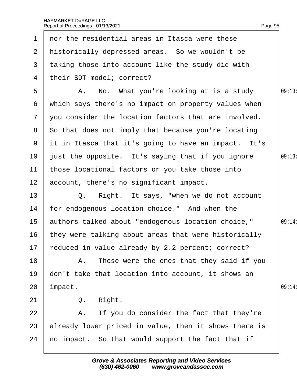| $\mathbf 1$     | nor the residential areas in Itasca were these        |        |
|-----------------|-------------------------------------------------------|--------|
| 2               | historically depressed areas. So we wouldn't be       |        |
| 3               | taking those into account like the study did with     |        |
| 4               | their SDT model; correct?                             |        |
| 5               | A. No. What you're looking at is a study              | 09:13  |
| 6               | which says there's no impact on property values when  |        |
| $\overline{7}$  | you consider the location factors that are involved.  |        |
| 8               | So that does not imply that because you're locating   |        |
| 9               | it in Itasca that it's going to have an impact. It's  |        |
| 10              | just the opposite. It's saying that if you ignore     | 09:13  |
| 11              | those locational factors or you take those into       |        |
| 12 <sub>2</sub> | account, there's no significant impact.               |        |
| 13              | Q. Right. It says, "when we do not account"           |        |
| 14              | for endogenous location choice." And when the         |        |
| 15              | authors talked about "endogenous location choice,"    | 09:14: |
| 16              | they were talking about areas that were historically  |        |
|                 | 17 reduced in value already by 2.2 percent; correct?  |        |
| 18              | A. Those were the ones that they said if you          |        |
| 19              | don't take that location into account, it shows an    |        |
| 20              | impact.                                               | 09:14: |
| 21              | Right.<br>Q.                                          |        |
| 22              | A. If you do consider the fact that they're           |        |
| 23              | already lower priced in value, then it shows there is |        |
| 24              | ho impact. So that would support the fact that if     |        |
|                 |                                                       |        |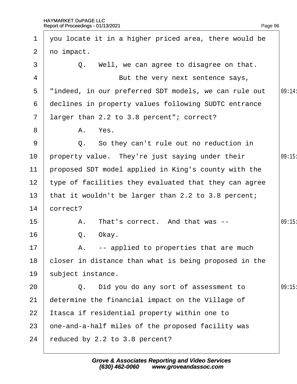| 1               | you locate it in a higher priced area, there would be |       |
|-----------------|-------------------------------------------------------|-------|
| $\overline{2}$  | no impact.                                            |       |
| 3               | Q. Well, we can agree to disagree on that.            |       |
| 4               | But the very next sentence says,                      |       |
| 5               | "indeed, in our preferred SDT models, we can rule out | 09:14 |
| 6               | declines in property values following SUDTC entrance  |       |
| $\overline{7}$  | larger than 2.2 to 3.8 percent"; correct?             |       |
| 8               | A. Yes.                                               |       |
| 9               | Q. So they can't rule out no reduction in             |       |
| 10 <sup>°</sup> | property value. They're just saying under their       | 09:15 |
| $11$            | proposed SDT model applied in King's county with the  |       |
| 12              | type of facilities they evaluated that they can agree |       |
| 13              | that it wouldn't be larger than 2.2 to 3.8 percent;   |       |
| 14              | correct?                                              |       |
| 15              | A. That's correct. And that was --                    | 09:15 |
| 16              | Q. Okay.                                              |       |
| 17              | A. -- applied to properties that are much             |       |
| 18              | closer in distance than what is being proposed in the |       |
| 19              | subject instance.                                     |       |
| 20              | Q. Did you do any sort of assessment to               | 09:15 |
| 21              | determine the financial impact on the Village of      |       |
| 22              | Itasca if residential property within one to          |       |
| 23              | one-and-a-half miles of the proposed facility was     |       |
| 24              | reduced by 2.2 to 3.8 percent?                        |       |
|                 |                                                       |       |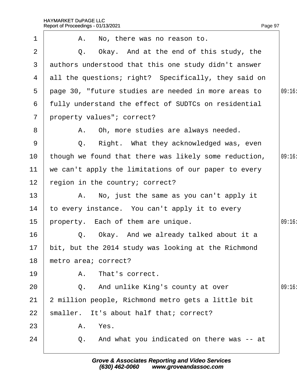| 1               | A. No, there was no reason to.                        |       |
|-----------------|-------------------------------------------------------|-------|
| 2               | Q. Okay. And at the end of this study, the            |       |
| 3               | authors understood that this one study didn't answer  |       |
| 4               | all the questions; right? Specifically, they said on  |       |
| 5               | page 30, "future studies are needed in more areas to  | 09:16 |
| 6               | fully understand the effect of SUDTCs on residential  |       |
| $\overline{7}$  | property values"; correct?                            |       |
| 8               | A. Oh, more studies are always needed.                |       |
| 9               | Q. Right. What they acknowledged was, even            |       |
| 10 <sup>°</sup> | though we found that there was likely some reduction, | 09:16 |
| 11              | we can't apply the limitations of our paper to every  |       |
| 12              | region in the country; correct?                       |       |
| 13              | A. No, just the same as you can't apply it            |       |
| 14              | to every instance. You can't apply it to every        |       |
| 15              | property. Each of them are unique.                    | 09:16 |
| 16              | Q. Okay. And we already talked about it a             |       |
| 17              | bit, but the 2014 study was looking at the Richmond   |       |
| 18              | metro area; correct?                                  |       |
| 19              | A. That's correct.                                    |       |
| 20              | Q. And unlike King's county at over                   | 09:16 |
| 21              | 2 million people, Richmond metro gets a little bit    |       |
| 22              | smaller. It's about half that; correct?               |       |
| 23              | A. Yes.                                               |       |
| 24              | Q. And what you indicated on there was -- at          |       |
|                 |                                                       |       |

Page 97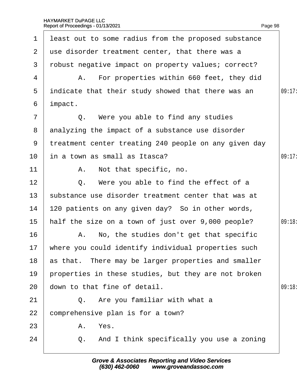| $\mathbf 1$    | least out to some radius from the proposed substance   |        |
|----------------|--------------------------------------------------------|--------|
| 2 <sup>1</sup> | use disorder treatment center, that there was a        |        |
| 3              | robust negative impact on property values; correct?    |        |
| 4              | A. For properties within 660 feet, they did            |        |
| 5              | indicate that their study showed that there was an     | 09:17: |
| 6              | impact.                                                |        |
| $\overline{7}$ | Q. Were you able to find any studies                   |        |
| 8              | analyzing the impact of a substance use disorder       |        |
| 9              | treatment center treating 240 people on any given day  |        |
| 10             | in a town as small as Itasca?                          | 09:17  |
| 11             | A. Not that specific, no.                              |        |
| 12             | Q. Were you able to find the effect of a               |        |
| 13             | substance use disorder treatment center that was at    |        |
| 14             | 120 patients on any given day? So in other words,      |        |
| 15             | half the size on a town of just over 9,000 people?     | 09:18: |
| 16             | A. No, the studies don't get that specific             |        |
|                | 17 where you could identify individual properties such |        |
| 18             | as that. There may be larger properties and smaller    |        |
| 19             | properties in these studies, but they are not broken   |        |
| 20             | down to that fine of detail.                           | 09:18  |
| 21             | Q. Are you familiar with what a                        |        |
| 22             | comprehensive plan is for a town?                      |        |
| 23             | A. Yes.                                                |        |
| 24             | Q. And I think specifically you use a zoning           |        |
|                |                                                        |        |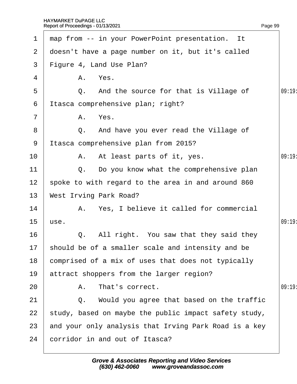| 1               | map from -- in your PowerPoint presentation. It       |       |
|-----------------|-------------------------------------------------------|-------|
| 2 <sup>1</sup>  | doesn't have a page number on it, but it's called     |       |
| 3 <sup>1</sup>  | Figure 4, Land Use Plan?                              |       |
| 4               | A. Yes.                                               |       |
| 5               | Q. And the source for that is Village of              | 09:19 |
| 6               | Itasca comprehensive plan; right?                     |       |
| $\overline{7}$  | A. Yes.                                               |       |
| 8               | Q. And have you ever read the Village of              |       |
| 9               | Itasca comprehensive plan from 2015?                  |       |
| 10              | A. At least parts of it, yes.                         | 09:19 |
| 11              | Q. Do you know what the comprehensive plan            |       |
| 12 <sub>2</sub> | spoke to with regard to the area in and around 860    |       |
| 13              | <b>West Irving Park Road?</b>                         |       |
| 14              | A. Yes, I believe it called for commercial            |       |
| 15              | use.                                                  | 09:19 |
| 16              | Q. All right. You saw that they said they             |       |
|                 | 17 should be of a smaller scale and intensity and be  |       |
| 18              | comprised of a mix of uses that does not typically    |       |
| 19              | attract shoppers from the larger region?              |       |
| 20              | A. That's correct.                                    | 09:19 |
| 21              | Q. Would you agree that based on the traffic          |       |
| 22              | study, based on maybe the public impact safety study, |       |
| 23              | and your only analysis that Irving Park Road is a key |       |
| 24              | corridor in and out of Itasca?                        |       |
|                 |                                                       |       |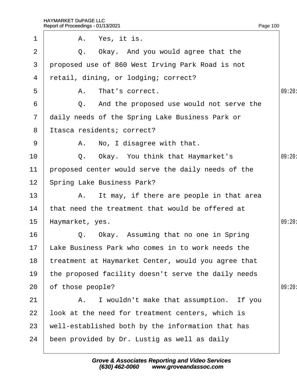| $\mathbf 1$     | A. Yes, it is.                                       |        |
|-----------------|------------------------------------------------------|--------|
| 2               | Q. Okay. And you would agree that the                |        |
| 3               | proposed use of 860 West Irving Park Road is not     |        |
| 4               | retail, dining, or lodging; correct?                 |        |
| 5               | A. That's correct.                                   | 09:20: |
| 6               | Q. And the proposed use would not serve the          |        |
| $\overline{7}$  | daily needs of the Spring Lake Business Park or      |        |
| 8               | Itasca residents; correct?                           |        |
| 9               | A. No, I disagree with that.                         |        |
| 10              | Q. Okay. You think that Haymarket's                  | 09:20  |
| 11              | proposed center would serve the daily needs of the   |        |
| 12 <sub>2</sub> | <b>Spring Lake Business Park?</b>                    |        |
| 13              | A. It may, if there are people in that area          |        |
| 14              | that need the treatment that would be offered at     |        |
| 15              | Haymarket, yes.                                      | 09:20: |
| 16              | Q. Okay. Assuming that no one in Spring              |        |
|                 | 17 Lake Business Park who comes in to work needs the |        |
| 18              | treatment at Haymarket Center, would you agree that  |        |
| 19              | the proposed facility doesn't serve the daily needs  |        |
| 20              | of those people?                                     | 09:20  |
| 21              | A. I wouldn't make that assumption. If you           |        |
| 22              | look at the need for treatment centers, which is     |        |
| 23              | well-established both by the information that has    |        |
| 24              | been provided by Dr. Lustig as well as daily         |        |
|                 |                                                      |        |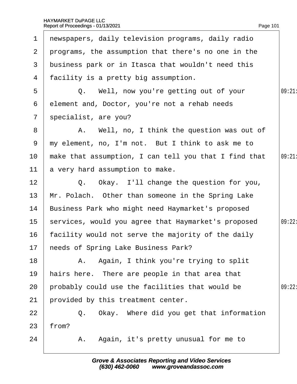| $\mathbf 1$    | newspapers, daily television programs, daily radio    |        |
|----------------|-------------------------------------------------------|--------|
| $\overline{2}$ | programs, the assumption that there's no one in the   |        |
| 3              | business park or in Itasca that wouldn't need this    |        |
| 4              | facility is a pretty big assumption.                  |        |
| 5              | Q. Well, now you're getting out of your               | 09:21  |
| 6              | element and, Doctor, you're not a rehab needs         |        |
| $\overline{7}$ | specialist, are you?                                  |        |
| 8              | A. Well, no, I think the question was out of          |        |
| 9              | my element, no, I'm not. But I think to ask me to     |        |
| 10             | make that assumption, I can tell you that I find that | 09:21  |
| 11             | a very hard assumption to make.                       |        |
| 12             | Q. Okay. I'll change the question for you,            |        |
| 13             | Mr. Polach. Other than someone in the Spring Lake     |        |
| 14             | Business Park who might need Haymarket's proposed     |        |
| 15             | services, would you agree that Haymarket's proposed   | 09:22: |
| 16             | facility would not serve the majority of the daily    |        |
|                | 17 heeds of Spring Lake Business Park?                |        |
| 18             | A. Again, I think you're trying to split              |        |
| 19             | hairs here. There are people in that area that        |        |
| 20             | probably could use the facilities that would be       | 09:22: |
| 21             | provided by this treatment center.                    |        |
| 22             | Q. Okay. Where did you get that information           |        |
| 23             | from?                                                 |        |
| 24             | A. Again, it's pretty unusual for me to               |        |
|                |                                                       |        |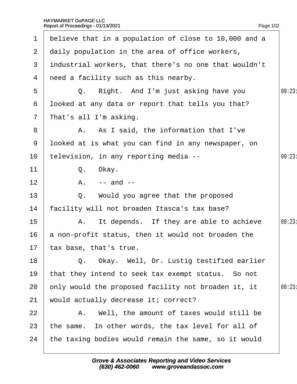| 1             | believe that in a population of close to 10,000 and a |        |
|---------------|-------------------------------------------------------|--------|
| $\mathbf{2}$  | daily population in the area of office workers,       |        |
| 3             | industrial workers, that there's no one that wouldn't |        |
| 4             | need a facility such as this nearby.                  |        |
| 5             | Q. Right. And I'm just asking have you                | 09:23  |
| 6             | looked at any data or report that tells you that?     |        |
| $\mathcal{I}$ | That's all I'm asking.                                |        |
| 8             | A. As I said, the information that I've               |        |
| 9             | Iboked at is what you can find in any newspaper, on   |        |
| 10            | television, in any reporting media --                 | 09:23  |
| 11            | Q. Okay.                                              |        |
| 12            | $A. - and -$                                          |        |
| 13            | Q. Would you agree that the proposed                  |        |
| 14            | facility will not broaden Itasca's tax base?          |        |
| 15            | A. It depends. If they are able to achieve            | 09:23: |
| 16            | a non-profit status, then it would not broaden the    |        |
|               | 17 tax base, that's true.                             |        |
| 18            | Q. Okay. Well, Dr. Lustig testified earlier           |        |
| 19            | that they intend to seek tax exempt status. So not    |        |
| 20            | only would the proposed facility not broaden it, it   | 09:23: |
| 21            | would actually decrease it; correct?                  |        |
| 22            | A. Well, the amount of taxes would still be           |        |
| 23            | the same. In other words, the tax level for all of    |        |
| 24            | the taxing bodies would remain the same, so it would  |        |
|               |                                                       |        |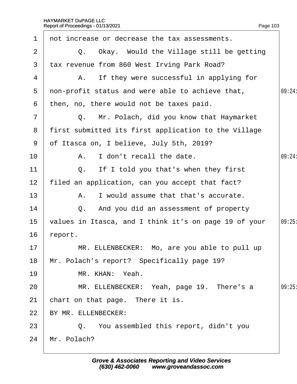| $\mathbf 1$    | not increase or decrease the tax assessments.         |        |
|----------------|-------------------------------------------------------|--------|
| 2              | Q. Okay. Would the Village still be getting           |        |
| 3              | tax revenue from 860 West Irving Park Road?           |        |
| 4              | A. If they were successful in applying for            |        |
| 5              | non-profit status and were able to achieve that,      | 09:24: |
| 6              | then, no, there would not be taxes paid.              |        |
| $\overline{7}$ | Q. Mr. Polach, did you know that Haymarket            |        |
| 8              | first submitted its first application to the Village  |        |
| 9              | of Itasca on, I believe, July 5th, 2019?              |        |
| 10             | A. I don't recall the date.                           | 09:24: |
| 11             | Q. If I told you that's when they first               |        |
| 12             | filed an application, can you accept that fact?       |        |
| 13             | I would assume that that's accurate.<br>А.            |        |
| 14             | Q. And you did an assessment of property              |        |
| 15             | values in Itasca, and I think it's on page 19 of your | 09:25  |
| 16             | report.                                               |        |
| 17             | MR. ELLENBECKER: Mo, are you able to pull up          |        |
| 18             | Mr. Polach's report? Specifically page 19?            |        |
| 19             | MR. KHAN: Yeah.                                       |        |
| 20             | MR. ELLENBECKER: Yeah, page 19. There's a             | 09:25  |
| 21             | chart on that page. There it is.                      |        |
| 22             | BY MR. ELLENBECKER:                                   |        |
| 23             | Q. You assembled this report, didn't you              |        |
| 24             | Mr. Polach?                                           |        |
|                |                                                       |        |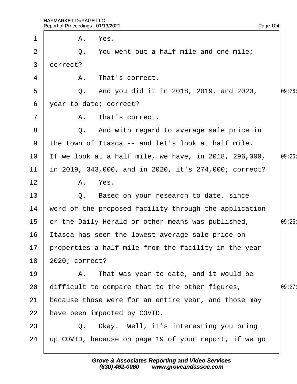| 1              |          | A. Yes.                                                 |       |
|----------------|----------|---------------------------------------------------------|-------|
| 2              |          | Q. You went out a half mile and one mile;               |       |
| 3              | dorrect? |                                                         |       |
| 4              |          | A. That's correct.                                      |       |
| 5              |          | Q. And you did it in 2018, 2019, and 2020,              | 09:26 |
| 6              |          | year to date; correct?                                  |       |
| $\overline{7}$ |          | A. That's correct.                                      |       |
| 8              |          | Q. And with regard to average sale price in             |       |
| 9              |          | the town of Itasca -- and let's look at half mile.      |       |
| 10             |          | If we look at a half mile, we have, in 2018, 296,000,   | 09:26 |
| 11             |          | in 2019, 343,000, and in 2020, it's 274,000; correct?   |       |
| 12             |          | A. Yes.                                                 |       |
| 13             |          | Q. Based on your research to date, since                |       |
| 14             |          | word of the proposed facility through the application   |       |
| 15             |          | or the Daily Herald or other means was published,       | 09:26 |
| 16             |          | Itasca has seen the lowest average sale price on        |       |
|                |          | 17 properties a half mile from the facility in the year |       |
| 18             |          | 2020; correct?                                          |       |
| 19             |          | A. That was year to date, and it would be               |       |
| 20             |          | difficult to compare that to the other figures,         | 09:27 |
| 21             |          | because those were for an entire year, and those may    |       |
| 22             |          | have been impacted by COVID.                            |       |
| 23             |          | Q. Okay. Well, it's interesting you bring               |       |
| 24             |          | up COVID, because on page 19 of your report, if we go   |       |
|                |          |                                                         |       |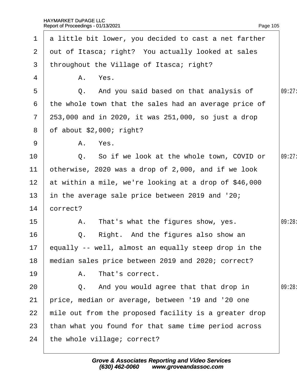|                  | 1 a little bit lower, you decided to cast a net farther |        |
|------------------|---------------------------------------------------------|--------|
| $\mathbf{2}$     | dut of Itasca; right? You actually looked at sales      |        |
| 3 <sup>1</sup>   | throughout the Village of Itasca; right?                |        |
| 4                | A. Yes.                                                 |        |
| 5                | Q. And you said based on that analysis of               | 09:27: |
| 6                | the whole town that the sales had an average price of   |        |
| $\mathbf{7}$     | 253,000 and in 2020, it was 251,000, so just a drop     |        |
| 8                | of about $$2,000$ ; right?                              |        |
| 9                | A. Yes.                                                 |        |
| 10               | Q. So if we look at the whole town, COVID or            | 09:27: |
| 11               | otherwise, 2020 was a drop of 2,000, and if we look     |        |
| 12 <sup>°</sup>  | at within a mile, we're looking at a drop of \$46,000   |        |
| 13               | in the average sale price between 2019 and '20;         |        |
| 14               | correct?                                                |        |
| 15 <sub>15</sub> | A. That's what the figures show, yes.                   | 09:28: |
| 16               | Q. Right. And the figures also show an                  |        |
|                  | 17 equally -- well, almost an equally steep drop in the |        |
| 18               | median sales price between 2019 and 2020; correct?      |        |
| 19               | A. That's correct.                                      |        |
| 20               | Q. And you would agree that that drop in                | 09:28  |
| 21               | price, median or average, between '19 and '20 one       |        |
| 22               | mile out from the proposed facility is a greater drop   |        |
| 23               | than what you found for that same time period across    |        |
| 24               | the whole village; correct?                             |        |
|                  |                                                         |        |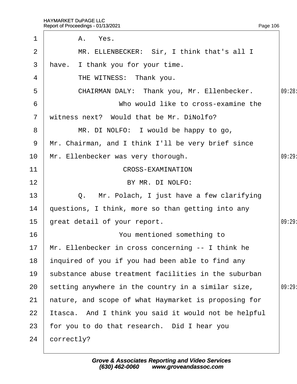| 1              | A. Yes.                                              |        |
|----------------|------------------------------------------------------|--------|
| 2              | MR. ELLENBECKER: Sir, I think that's all I           |        |
| 3              | have. I thank you for your time.                     |        |
| 4              | THE WITNESS: Thank you.                              |        |
| 5              | CHAIRMAN DALY: Thank you, Mr. Ellenbecker.           | 09:28: |
| 6              | Who would like to cross-examine the                  |        |
| $\overline{7}$ | witness next? Would that be Mr. DiNolfo?             |        |
| 8              | MR. DI NOLFO: I would be happy to go,                |        |
| 9              | Mr. Chairman, and I think I'll be very brief since   |        |
| 10             | Mr. Ellenbecker was very thorough.                   | 09:29  |
| 11             | <b>CROSS-EXAMINATION</b>                             |        |
| 12             | BY MR. DI NOLFO:                                     |        |
| 13             | Q. Mr. Polach, I just have a few clarifying          |        |
| 14             | questions, I think, more so than getting into any    |        |
| 15             | great detail of your report.                         | 09:29  |
| 16             | You mentioned something to                           |        |
|                | 17 Mr. Ellenbecker in cross concerning -- I think he |        |
| 18             | inquired of you if you had been able to find any     |        |
| 19             | substance abuse treatment facilities in the suburban |        |
| 20             | setting anywhere in the country in a similar size,   | 09:29  |
| 21             | hature, and scope of what Haymarket is proposing for |        |
| 22             | Itasca. And I think you said it would not be helpful |        |
| 23             | for you to do that research. Did I hear you          |        |
| 24             | correctly?                                           |        |
|                |                                                      |        |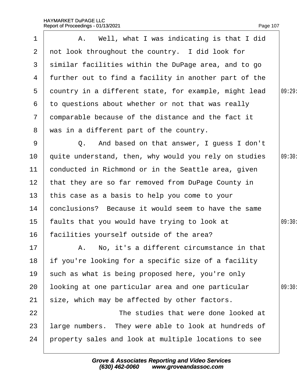| 1               | A. Well, what I was indicating is that I did          |        |
|-----------------|-------------------------------------------------------|--------|
| $\overline{2}$  | not look throughout the country. I did look for       |        |
| 3               | similar facilities within the DuPage area, and to go  |        |
| 4               | further out to find a facility in another part of the |        |
| 5               | dountry in a different state, for example, might lead | 09:29  |
| 6               | to questions about whether or not that was really     |        |
| $\mathbf{7}$    | domparable because of the distance and the fact it    |        |
| 8               | was in a different part of the country.               |        |
| 9               | Q. And based on that answer, I guess I don't          |        |
| 10              | quite understand, then, why would you rely on studies | 09:30: |
| 11              | conducted in Richmond or in the Seattle area, given   |        |
| 12 <sub>2</sub> | that they are so far removed from DuPage County in    |        |
| 13              | this case as a basis to help you come to your         |        |
| 14              | conclusions? Because it would seem to have the same   |        |
| 15              | faults that you would have trying to look at          | 09:30: |
| 16              | facilities yourself outside of the area?              |        |
| 17              | A. No, it's a different circumstance in that          |        |
| 18              | if you're looking for a specific size of a facility   |        |
| 19              | such as what is being proposed here, you're only      |        |
| 20              | looking at one particular area and one particular     | 09:30  |
| 21              | size, which may be affected by other factors.         |        |
| 22              | The studies that were done looked at                  |        |
| 23              | large numbers. They were able to look at hundreds of  |        |
| 24              | property sales and look at multiple locations to see  |        |
|                 |                                                       |        |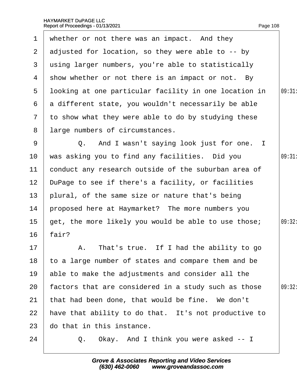<span id="page-108-0"></span>

|                 | 1 whether or not there was an impact. And they        |        |
|-----------------|-------------------------------------------------------|--------|
| $\mathbf{2}$    | adjusted for location, so they were able to -- by     |        |
| 3               | using larger numbers, you're able to statistically    |        |
| 4               | show whether or not there is an impact or not. By     |        |
| 5               | Iboking at one particular facility in one location in | 09:31  |
| 6               | a different state, you wouldn't necessarily be able   |        |
| $\mathbf{7}$    | to show what they were able to do by studying these   |        |
| 8               | large numbers of circumstances.                       |        |
| 9               | Q. And I wasn't saying look just for one. I           |        |
| 10              | was asking you to find any facilities. Did you        | 09:31  |
| 11              | conduct any research outside of the suburban area of  |        |
| 12 <sub>2</sub> | DuPage to see if there's a facility, or facilities    |        |
| 13 <sup>°</sup> | plural, of the same size or nature that's being       |        |
| 14              | proposed here at Haymarket? The more numbers you      |        |
| 15 <sub>1</sub> | get, the more likely you would be able to use those;  | 09:32: |
| 16              | fair?                                                 |        |
| 17 <sub>2</sub> | A. That's true. If I had the ability to go            |        |
| 18              | to a large number of states and compare them and be   |        |
| 19              | able to make the adjustments and consider all the     |        |
| 20              | factors that are considered in a study such as those  | 09:32: |
| 21              | that had been done, that would be fine. We don't      |        |
| 22              | have that ability to do that. It's not productive to  |        |
| 23              | do that in this instance.                             |        |
| 24              | Q. Okay. And I think you were asked -- I              |        |
|                 |                                                       |        |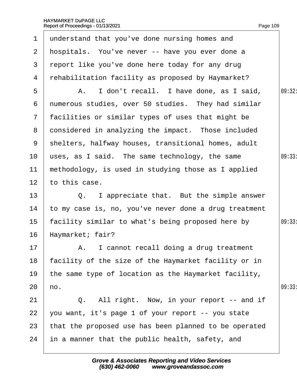<span id="page-109-0"></span>

| $\mathbf 1$     | understand that you've done nursing homes and         |        |
|-----------------|-------------------------------------------------------|--------|
| $\overline{2}$  | hospitals. You've never -- have you ever done a       |        |
| 3               | report like you've done here today for any drug       |        |
| 4               | rehabilitation facility as proposed by Haymarket?     |        |
| 5               | A. I don't recall. I have done, as I said,            | 09:32: |
| 6               | numerous studies, over 50 studies. They had similar   |        |
| $\overline{7}$  | facilities or similar types of uses that might be     |        |
| 8               | donsidered in analyzing the impact. Those included    |        |
| 9               | shelters, halfway houses, transitional homes, adult   |        |
| 10              | uses, as I said. The same technology, the same        | 09:33: |
| 11              | methodology, is used in studying those as I applied   |        |
| 12              | to this case.                                         |        |
| 13              | I appreciate that. But the simple answer<br>Q.        |        |
| 14              | to my case is, no, you've never done a drug treatment |        |
| 15              | facility similar to what's being proposed here by     | 09:33: |
| 16              | Haymarket; fair?                                      |        |
| 17 <sup>1</sup> | A. I cannot recall doing a drug treatment             |        |
| 18              | facility of the size of the Haymarket facility or in  |        |
| 19              | the same type of location as the Haymarket facility,  |        |
| 20              | ho.                                                   | 09:33  |
| 21              | Q. All right. Now, in your report -- and if           |        |
| 22              | you want, it's page 1 of your report -- you state     |        |
| 23              | that the proposed use has been planned to be operated |        |
| 24              | in a manner that the public health, safety, and       |        |
|                 |                                                       |        |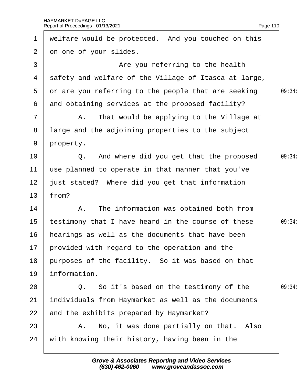<span id="page-110-0"></span>

| $\mathbf 1$     | welfare would be protected. And you touched on this   |        |
|-----------------|-------------------------------------------------------|--------|
| $\overline{2}$  | on one of your slides.                                |        |
| 3               | Are you referring to the health                       |        |
| 4               | safety and welfare of the Village of Itasca at large, |        |
| 5               | or are you referring to the people that are seeking   | 09:34  |
| 6               | and obtaining services at the proposed facility?      |        |
| $\overline{7}$  | A. That would be applying to the Village at           |        |
| 8               | large and the adjoining properties to the subject     |        |
| 9               | property.                                             |        |
| 10              | Q. And where did you get that the proposed            | 09:34: |
| 11              | use planned to operate in that manner that you've     |        |
| 12              | just stated? Where did you get that information       |        |
| 13              | from?                                                 |        |
| 14              | A. The information was obtained both from             |        |
| 15              | testimony that I have heard in the course of these    | 09:34: |
| 16              | hearings as well as the documents that have been      |        |
| 17 <sup>1</sup> | provided with regard to the operation and the         |        |
| 18              | purposes of the facility. So it was based on that     |        |
| 19              | information.                                          |        |
| 20              | Q. So it's based on the testimony of the              | 09:34: |
| 21              | individuals from Haymarket as well as the documents   |        |
| 22              | and the exhibits prepared by Haymarket?               |        |
| 23              | A. No, it was done partially on that. Also            |        |
| 24              | with knowing their history, having been in the        |        |
|                 |                                                       |        |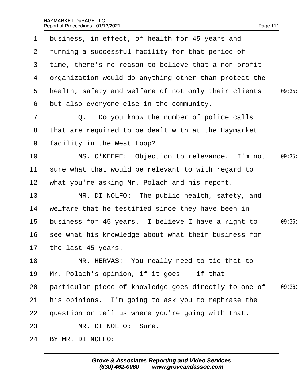<span id="page-111-0"></span>

| $\mathbf 1$     | business, in effect, of health for 45 years and         |        |
|-----------------|---------------------------------------------------------|--------|
| 2 <sup>1</sup>  | running a successful facility for that period of        |        |
| 3               | time, there's no reason to believe that a non-profit    |        |
| 4               | drganization would do anything other than protect the   |        |
| 5               | health, safety and welfare of not only their clients    | 09:35  |
| 6               | but also everyone else in the community.                |        |
| $\overline{7}$  | Q. Do you know the number of police calls               |        |
| 8               | that are required to be dealt with at the Haymarket     |        |
| 9               | facility in the West Loop?                              |        |
| 10              | MS. O'KEEFE: Objection to relevance. I'm not            | 09:35  |
| 11              | sure what that would be relevant to with regard to      |        |
| 12 <sub>2</sub> | what you're asking Mr. Polach and his report.           |        |
| 13              | MR. DI NOLFO: The public health, safety, and            |        |
| 14              | welfare that he testified since they have been in       |        |
| 15 <sub>1</sub> | business for 45 years. I believe I have a right to      | 09:36: |
|                 | 16 see what his knowledge about what their business for |        |
|                 | 17 the last 45 years.                                   |        |
| 18              | MR. HERVAS: You really need to tie that to              |        |
| 19              | Mr. Polach's opinion, if it goes -- if that             |        |
| 20              | particular piece of knowledge goes directly to one of   | 09:36  |
| 21              | his opinions. I'm going to ask you to rephrase the      |        |
| 22              | question or tell us where you're going with that.       |        |
| 23              | MR. DI NOLFO: Sure.                                     |        |
| 24              | BY MR. DI NOLFO:                                        |        |
|                 |                                                         |        |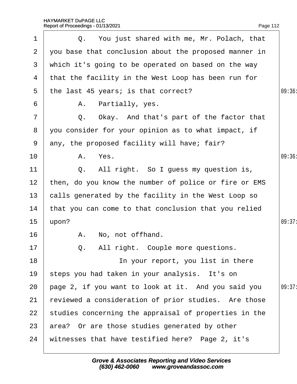<span id="page-112-0"></span>

| 1               | Q. You just shared with me, Mr. Polach, that          |        |
|-----------------|-------------------------------------------------------|--------|
| $\overline{2}$  | you base that conclusion about the proposed manner in |        |
| 3               | which it's going to be operated on based on the way   |        |
| 4               | that the facility in the West Loop has been run for   |        |
| 5               | the last 45 years; is that correct?                   | 09:36  |
| 6               | A. Partially, yes.                                    |        |
| 7               | Q. Okay. And that's part of the factor that           |        |
| 8               | you consider for your opinion as to what impact, if   |        |
| 9               | any, the proposed facility will have; fair?           |        |
| 10              | A. Yes.                                               | 09:36  |
| 11              | Q. All right. So I guess my question is,              |        |
| 12 <sub>2</sub> | then, do you know the number of police or fire or EMS |        |
| 13 <sup>°</sup> | calls generated by the facility in the West Loop so   |        |
| 14              | that you can come to that conclusion that you relied  |        |
| 15              | upon?                                                 | 09:37: |
| 16              | A. No, not offhand.                                   |        |
| 17              | Q. All right. Couple more questions.                  |        |
| 18              | In your report, you list in there                     |        |
| 19              | steps you had taken in your analysis. It's on         |        |
| 20              | page 2, if you want to look at it. And you said you   | 09:37: |
| 21              | reviewed a consideration of prior studies. Are those  |        |
| 22              | studies concerning the appraisal of properties in the |        |
| 23              | area? Or are those studies generated by other         |        |
| 24              | witnesses that have testified here? Page 2, it's      |        |
|                 |                                                       |        |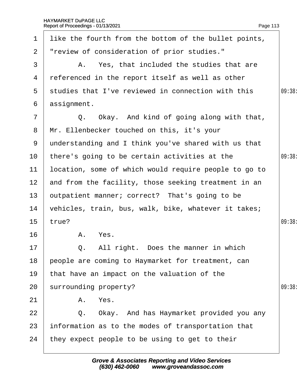<span id="page-113-0"></span>

| 1               | like the fourth from the bottom of the bullet points, |       |
|-----------------|-------------------------------------------------------|-------|
| $\overline{2}$  | "review of consideration of prior studies."           |       |
| 3               | A. Yes, that included the studies that are            |       |
| 4               | referenced in the report itself as well as other      |       |
| 5               | studies that I've reviewed in connection with this    | 09:38 |
| 6               | assignment.                                           |       |
| 7               | Q. Okay. And kind of going along with that,           |       |
| 8               | Mr. Ellenbecker touched on this, it's your            |       |
| 9               | understanding and I think you've shared with us that  |       |
| 10 <sup>°</sup> | there's going to be certain activities at the         | 09:38 |
| 11              | location, some of which would require people to go to |       |
| 12 <sub>2</sub> | and from the facility, those seeking treatment in an  |       |
| 13              | putpatient manner; correct? That's going to be        |       |
| 14              | vehicles, train, bus, walk, bike, whatever it takes;  |       |
| 15              | true?                                                 | 09:38 |
| 16              | A. Yes.                                               |       |
| 17              | Q. All right. Does the manner in which                |       |
| 18              | people are coming to Haymarket for treatment, can     |       |
| 19              | that have an impact on the valuation of the           |       |
| 20              | surrounding property?                                 | 09:38 |
| 21              | A. Yes.                                               |       |
| 22              | Q. Okay. And has Haymarket provided you any           |       |
| 23              | information as to the modes of transportation that    |       |
| 24              | they expect people to be using to get to their        |       |
|                 |                                                       |       |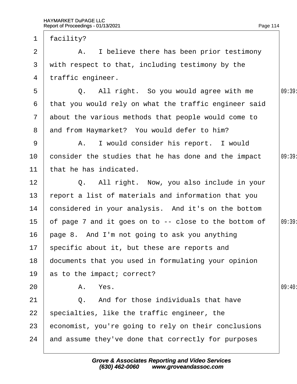20

<span id="page-114-0"></span>

| 1               | facility?                                             |       |
|-----------------|-------------------------------------------------------|-------|
| 2               | A. I believe there has been prior testimony           |       |
| 3               | with respect to that, including testimony by the      |       |
| 4               | traffic engineer.                                     |       |
| 5               | Q. All right. So you would agree with me              | 09:39 |
| 6               | that you would rely on what the traffic engineer said |       |
|                 | 7 about the various methods that people would come to |       |
| 8               | and from Haymarket? You would defer to him?           |       |
| 9               | A. I would consider his report. I would               |       |
| 10              | consider the studies that he has done and the impact  | 09:39 |
| 11              | that he has indicated.                                |       |
| 12              | Q. All right. Now, you also include in your           |       |
| 13              | report a list of materials and information that you   |       |
| 14              | considered in your analysis. And it's on the bottom   |       |
| 15              | of page 7 and it goes on to -- close to the bottom of | 09:39 |
| 16              | page 8. And I'm not going to ask you anything         |       |
| 17 <sup>1</sup> | specific about it, but these are reports and          |       |
| 18              | documents that you used in formulating your opinion   |       |
| 19              | as to the impact; correct?                            |       |
| 20              | A. Yes.                                               | 09:40 |
| 21              | Q. And for those individuals that have                |       |
| 22              | specialties, like the traffic engineer, the           |       |
| 23              | economist, you're going to rely on their conclusions  |       |
| 24              | and assume they've done that correctly for purposes   |       |
|                 |                                                       |       |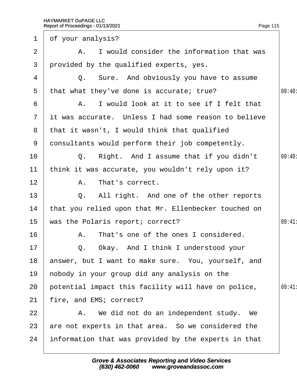<span id="page-115-0"></span>

| $\mathbf 1$    | of your analysis?                                    |       |
|----------------|------------------------------------------------------|-------|
| 2              | A. I would consider the information that was         |       |
| 3              | provided by the qualified experts, yes.              |       |
| 4              | Q. Sure. And obviously you have to assume            |       |
| 5              | that what they've done is accurate; true?            | 09:40 |
| 6              | A. I would look at it to see if I felt that          |       |
| 7 <sup>7</sup> | it was accurate. Unless I had some reason to believe |       |
| 8              | that it wasn't, I would think that qualified         |       |
| 9              | donsultants would perform their job competently.     |       |
| 10             | Q. Right. And I assume that if you didn't            | 09:40 |
| 11             | think it was accurate, you wouldn't rely upon it?    |       |
| 12             | A. That's correct.                                   |       |
| 13             | Q. All right. And one of the other reports           |       |
| 14             | that you relied upon that Mr. Ellenbecker touched on |       |
| 15             | was the Polaris report; correct?                     | 09:41 |
| 16             | A. That's one of the ones I considered.              |       |
| 17             | Q. Okay. And I think I understood your               |       |
| 18             | answer, but I want to make sure. You, yourself, and  |       |
| 19             | hobody in your group did any analysis on the         |       |
| 20             | potential impact this facility will have on police,  | 09:41 |
| 21             | fire, and EMS; correct?                              |       |
| 22             | A. We did not do an independent study. We            |       |
| 23             | are not experts in that area. So we considered the   |       |
| 24             | information that was provided by the experts in that |       |
|                |                                                      |       |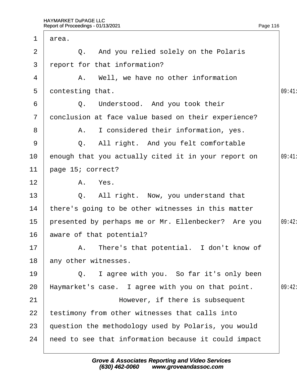<span id="page-116-0"></span>

| 1              | area.                                                |        |
|----------------|------------------------------------------------------|--------|
| 2              | Q. And you relied solely on the Polaris              |        |
| 3              | report for that information?                         |        |
| 4              | A. Well, we have no other information                |        |
| 5              | dontesting that.                                     | 09:41  |
| 6              | Q. Understood. And you took their                    |        |
| $\overline{7}$ | donclusion at face value based on their experience?  |        |
| 8              | A. I considered their information, yes.              |        |
| 9              | Q. All right. And you felt comfortable               |        |
| 10             | enough that you actually cited it in your report on  | 09:41  |
| 11             | page 15; correct?                                    |        |
| 12             | A. Yes.                                              |        |
| 13             | Q. All right. Now, you understand that               |        |
| 14             | there's going to be other witnesses in this matter   |        |
| 15             | presented by perhaps me or Mr. Ellenbecker? Are you  | 09:42: |
| 16             | aware of that potential?                             |        |
| 17             | A. There's that potential. I don't know of           |        |
| 18             | any other witnesses.                                 |        |
| 19             | Q. I agree with you. So far it's only been           |        |
| 20             | Haymarket's case. I agree with you on that point.    | 09:42: |
| 21             | However, if there is subsequent                      |        |
| 22             | testimony from other witnesses that calls into       |        |
| 23             | question the methodology used by Polaris, you would  |        |
| 24             | heed to see that information because it could impact |        |
|                |                                                      |        |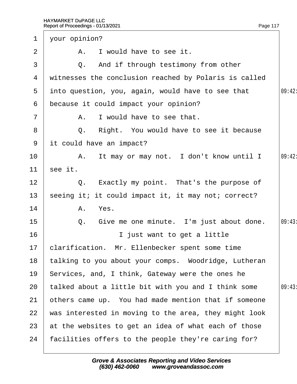<span id="page-117-0"></span>

| $\mathbf 1$     | your opinion?                                         |        |
|-----------------|-------------------------------------------------------|--------|
| 2               | A. I would have to see it.                            |        |
| 3               | Q. And if through testimony from other                |        |
| 4               | witnesses the conclusion reached by Polaris is called |        |
| 5               | into question, you, again, would have to see that     | 09:42: |
| 6               | because it could impact your opinion?                 |        |
| $\overline{7}$  | A. I would have to see that.                          |        |
| 8               | Q. Right. You would have to see it because            |        |
|                 | 9 it could have an impact?                            |        |
| 10              | A. It may or may not. I don't know until I            | 09:42: |
| 11              | see it.                                               |        |
| 12              | Q. Exactly my point. That's the purpose of            |        |
| 13              | seeing it; it could impact it, it may not; correct?   |        |
| 14              | A. Yes.                                               |        |
| $15\,$          | Give me one minute. I'm just about done.<br>Q.        | 09:43  |
| 16              | I just want to get a little                           |        |
| 17 <sub>1</sub> | clarification. Mr. Ellenbecker spent some time        |        |
| 18              | talking to you about your comps. Woodridge, Lutheran  |        |
| 19              | Services, and, I think, Gateway were the ones he      |        |
| 20              | talked about a little bit with you and I think some   | 09:43  |
| 21              | others came up. You had made mention that if someone  |        |
| 22              | was interested in moving to the area, they might look |        |
| 23              | at the websites to get an idea of what each of those  |        |
| 24              | facilities offers to the people they're caring for?   |        |
|                 |                                                       |        |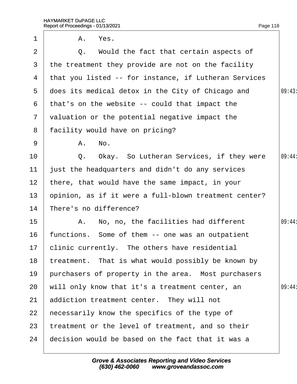<span id="page-118-0"></span>

| $\mathbf 1$    | A. Yes.                                               |        |
|----------------|-------------------------------------------------------|--------|
| 2              | Q. Would the fact that certain aspects of             |        |
| 3              | the treatment they provide are not on the facility    |        |
| 4              | that you listed -- for instance, if Lutheran Services |        |
| 5              | does its medical detox in the City of Chicago and     | 09:43: |
| 6              | that's on the website -- could that impact the        |        |
| $\overline{7}$ | valuation or the potential negative impact the        |        |
| 8              | facility would have on pricing?                       |        |
| 9              | A. No.                                                |        |
| 10             | Q. Okay. So Lutheran Services, if they were           | 09:44: |
| 11             | ust the headquarters and didn't do any services       |        |
| 12             | there, that would have the same impact, in your       |        |
| 13             | opinion, as if it were a full-blown treatment center? |        |
| 14             | There's no difference?                                |        |
| 15             | A. No, no, the facilities had different               | 09:44: |
| 16             | functions. Some of them -- one was an outpatient      |        |
|                | 17 clinic currently. The others have residential      |        |
| 18             | treatment. That is what would possibly be known by    |        |
| 19             | purchasers of property in the area. Most purchasers   |        |
| 20             | will only know that it's a treatment center, an       | 09:44: |
| 21             | addiction treatment center. They will not             |        |
| 22             | hecessarily know the specifics of the type of         |        |
| 23             | treatment or the level of treatment, and so their     |        |
| 24             | decision would be based on the fact that it was a     |        |
|                |                                                       |        |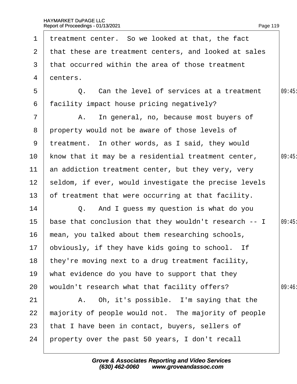<span id="page-119-0"></span>

| $\mathbf 1$     | treatment center. So we looked at that, the fact      |       |
|-----------------|-------------------------------------------------------|-------|
| 2 <sup>1</sup>  | that these are treatment centers, and looked at sales |       |
| 3               | that occurred within the area of those treatment      |       |
| 4               | denters.                                              |       |
| 5               | Q. Can the level of services at a treatment           | 09:45 |
| 6               | facility impact house pricing negatively?             |       |
| $\overline{7}$  | A. In general, no, because most buyers of             |       |
| 8               | property would not be aware of those levels of        |       |
| 9               | treatment. In other words, as I said, they would      |       |
| 10              | know that it may be a residential treatment center,   | 09:45 |
| 11              | an addiction treatment center, but they very, very    |       |
| 12 <sup>°</sup> | seldom, if ever, would investigate the precise levels |       |
| 13              | of treatment that were occurring at that facility.    |       |
| 14              | Q. And I guess my question is what do you             |       |
| 15              | base that conclusion that they wouldn't research -- I | 09:45 |
| 16              | mean, you talked about them researching schools,      |       |
|                 | 17 bbviously, if they have kids going to school. If   |       |
| 18              | they're moving next to a drug treatment facility,     |       |
| 19              | what evidence do you have to support that they        |       |
| 20              | wouldn't research what that facility offers?          | 09:46 |
| 21              | A. Oh, it's possible. I'm saying that the             |       |
| 22              | majority of people would not. The majority of people  |       |
| 23              | that I have been in contact, buyers, sellers of       |       |
| 24              | property over the past 50 years, I don't recall       |       |
|                 |                                                       |       |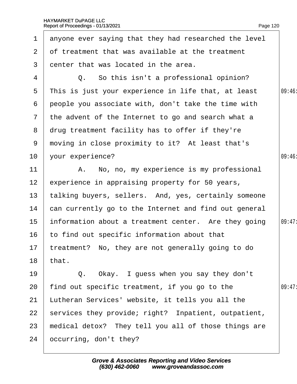<span id="page-120-0"></span>

| $\mathbf{1}$    | anyone ever saying that they had researched the level |        |
|-----------------|-------------------------------------------------------|--------|
| $\overline{2}$  | of treatment that was available at the treatment      |        |
| 3               | denter that was located in the area.                  |        |
| 4               | Q. So this isn't a professional opinion?              |        |
| 5               | This is just your experience in life that, at least   | 09:46  |
| 6               | people you associate with, don't take the time with   |        |
|                 | 7 the advent of the Internet to go and search what a  |        |
|                 | 8 drug treatment facility has to offer if they're     |        |
| 9               | moving in close proximity to it? At least that's      |        |
| 10 <sup>°</sup> | your experience?                                      | 09:46  |
| 11              | A. No, no, my experience is my professional           |        |
| 12 <sub>2</sub> | experience in appraising property for 50 years,       |        |
| 13              | talking buyers, sellers. And, yes, certainly someone  |        |
| 14              | can currently go to the Internet and find out general |        |
| 15 <sub>1</sub> | information about a treatment center. Are they going  | 09:47: |
| 16              | to find out specific information about that           |        |
|                 | 17 treatment? No, they are not generally going to do  |        |
| 18              | that.                                                 |        |
| 19              | Q. Okay. I guess when you say they don't              |        |
| 20              | find out specific treatment, if you go to the         | 09:47  |
| 21              | Lutheran Services' website, it tells you all the      |        |
| 22              | services they provide; right? Inpatient, outpatient,  |        |
| 23              | medical detox? They tell you all of those things are  |        |
| 24              | occurring, don't they?                                |        |
|                 |                                                       |        |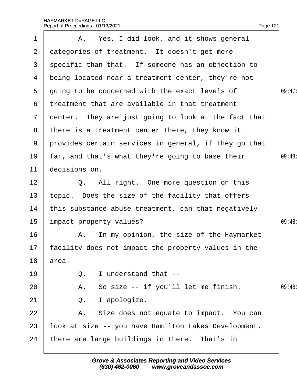<span id="page-121-0"></span>

| 1               | A. Yes, I did look, and it shows general               |        |
|-----------------|--------------------------------------------------------|--------|
| $\overline{2}$  | dategories of treatment. It doesn't get more           |        |
| 3               | specific than that. If someone has an objection to     |        |
| 4               | being located near a treatment center, they're not     |        |
| $5\overline{)}$ | going to be concerned with the exact levels of         | 09:47: |
| 6               | treatment that are available in that treatment         |        |
| $\mathcal{I}$   | denter. They are just going to look at the fact that   |        |
| 8               | there is a treatment center there, they know it        |        |
| 9               | provides certain services in general, if they go that  |        |
| 10              | far, and that's what they're going to base their       | 09:48: |
| 11              | decisions on.                                          |        |
| 12              | Q. All right. One more question on this                |        |
| 13              | topic. Does the size of the facility that offers       |        |
| 14              | this substance abuse treatment, can that negatively    |        |
| 15              | impact property values?                                | 09:48  |
| 16              | A. In my opinion, the size of the Haymarket            |        |
|                 | 17 facility does not impact the property values in the |        |
| 18              | area.                                                  |        |
| 19              | I understand that --<br>Q.                             |        |
| 20              | A. So size -- if you'll let me finish.                 | 09:48  |
| 21              | I apologize.<br>Q.                                     |        |
| 22              | A. Size does not equate to impact. You can             |        |
| 23              | look at size -- you have Hamilton Lakes Development.   |        |
| 24              | There are large buildings in there. That's in          |        |
|                 |                                                        |        |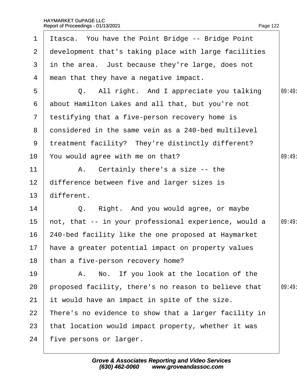<span id="page-122-0"></span>

| $\mathbf 1$     | Itasca. You have the Point Bridge -- Bridge Point     |       |
|-----------------|-------------------------------------------------------|-------|
| $\mathbf{2}$    | development that's taking place with large facilities |       |
| 3               | in the area. Just because they're large, does not     |       |
| 4               | mean that they have a negative impact.                |       |
| 5               | Q. All right. And I appreciate you talking            | 09:49 |
| 6               | about Hamilton Lakes and all that, but you're not     |       |
| $7\phantom{.}$  | testifying that a five-person recovery home is        |       |
| 8               | donsidered in the same vein as a 240-bed multilevel   |       |
|                 | 9 treatment facility? They're distinctly different?   |       |
| 10              | You would agree with me on that?                      | 09:49 |
| 11              | A. Certainly there's a size -- the                    |       |
| 12 <sub>2</sub> | difference between five and larger sizes is           |       |
| 13 <sup>°</sup> | different.                                            |       |
| 14              | Q. Right. And you would agree, or maybe               |       |
| 15              | not, that -- in your professional experience, would a | 09:49 |
| 16              | 240-bed facility like the one proposed at Haymarket   |       |
|                 | 17 have a greater potential impact on property values |       |
| 18              | than a five-person recovery home?                     |       |
| 19              | A. No. If you look at the location of the             |       |
| 20              | proposed facility, there's no reason to believe that  | 09:49 |
| 21              | it would have an impact in spite of the size.         |       |
| 22              | There's no evidence to show that a larger facility in |       |
| 23              | that location would impact property, whether it was   |       |
| 24              | five persons or larger.                               |       |
|                 |                                                       |       |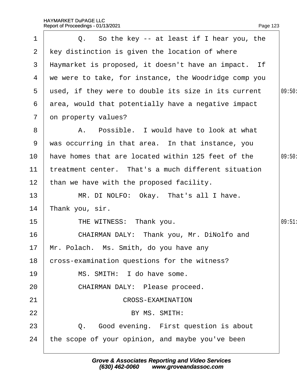<span id="page-123-0"></span>

| 1               | Q. So the key -- at least if I hear you, the          |        |
|-----------------|-------------------------------------------------------|--------|
| $\overline{2}$  | key distinction is given the location of where        |        |
| 3               | Haymarket is proposed, it doesn't have an impact. If  |        |
| 4               | we were to take, for instance, the Woodridge comp you |        |
| 5               | used, if they were to double its size in its current  | 09:50: |
| 6               | area, would that potentially have a negative impact   |        |
| $\overline{7}$  | on property values?                                   |        |
| 8               | A. Possible. I would have to look at what             |        |
| 9               | was occurring in that area. In that instance, you     |        |
| 10              | have homes that are located within 125 feet of the    | 09:50  |
| 11              | treatment center. That's a much different situation   |        |
| 12 <sub>2</sub> | than we have with the proposed facility.              |        |
| 13              | MR. DI NOLFO: Okay. That's all I have.                |        |
| 14              | Thank you, sir.                                       |        |
| 15              | THE WITNESS: Thank you.                               | 09:51  |
| 16              | CHAIRMAN DALY: Thank you, Mr. DiNolfo and             |        |
|                 | 17 Mr. Polach. Ms. Smith, do you have any             |        |
| 18              | cross-examination questions for the witness?          |        |
| 19              | MS. SMITH: I do have some.                            |        |
| 20              | CHAIRMAN DALY: Please proceed.                        |        |
| 21              | <b>CROSS-EXAMINATION</b>                              |        |
| 22              | BY MS. SMITH:                                         |        |
| 23              | Q. Good evening. First question is about              |        |
| 24              | the scope of your opinion, and maybe you've been      |        |
|                 |                                                       |        |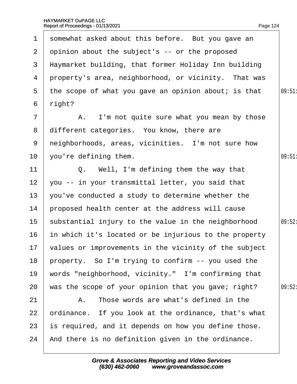<span id="page-124-0"></span>

| $\mathbf 1$     | somewhat asked about this before. But you gave an        |        |
|-----------------|----------------------------------------------------------|--------|
| $\mathbf{2}$    | opinion about the subject's -- or the proposed           |        |
| 3               | Haymarket building, that former Holiday Inn building     |        |
|                 | 4 property's area, neighborhood, or vicinity. That was   |        |
| $5^{\circ}$     | the scope of what you gave an opinion about; is that     | 09:51  |
|                 | 6 right?                                                 |        |
| $\overline{7}$  | A. I'm not quite sure what you mean by those             |        |
| 8               | different categories. You know, there are                |        |
| 9               | neighborhoods, areas, vicinities. I'm not sure how       |        |
| 10              | you're defining them.                                    | 09:51  |
| 11              | Q. Well, I'm defining them the way that                  |        |
| 12              | you -- in your transmittal letter, you said that         |        |
| 13              | you've conducted a study to determine whether the        |        |
| 14              | proposed health center at the address will cause         |        |
| 15 <sub>1</sub> | substantial injury to the value in the neighborhood      | 09:52: |
| 16              | in which it's located or be injurious to the property    |        |
|                 | 17 values or improvements in the vicinity of the subject |        |
| 18              | property. So I'm trying to confirm -- you used the       |        |
| 19              | words "neighborhood, vicinity." I'm confirming that      |        |
| 20              | was the scope of your opinion that you gave; right?      | 09:52  |
| 21              | A. Those words are what's defined in the                 |        |
| 22              | prdinance. If you look at the ordinance, that's what     |        |
| 23              | is required, and it depends on how you define those.     |        |
| 24              | And there is no definition given in the ordinance.       |        |
|                 |                                                          |        |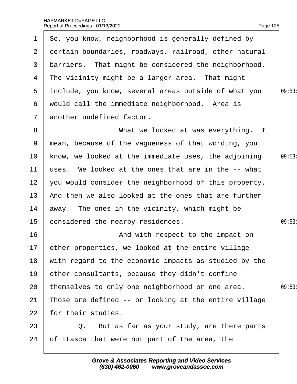<span id="page-125-0"></span>

| $\mathbf 1$     | So, you know, neighborhood is generally defined by    |       |
|-----------------|-------------------------------------------------------|-------|
| $\overline{2}$  | dertain boundaries, roadways, railroad, other natural |       |
| 3               | barriers. That might be considered the neighborhood.  |       |
| 4               | The vicinity might be a larger area. That might       |       |
| 5               | include, you know, several areas outside of what you  | 09:53 |
| 6               | would call the immediate neighborhood. Area is        |       |
| $7\overline{ }$ | another undefined factor.                             |       |
| 8               | What we looked at was everything. I                   |       |
| 9               | mean, because of the vagueness of that wording, you   |       |
| 10 <sup>°</sup> | know, we looked at the immediate uses, the adjoining  | 09:53 |
| 11              | uses. We looked at the ones that are in the -- what   |       |
| 12 <sup>7</sup> | you would consider the neighborhood of this property. |       |
| 13 <sup>°</sup> | And then we also looked at the ones that are further  |       |
| 14              | away. The ones in the vicinity, which might be        |       |
| 15 <sub>1</sub> | considered the nearby residences.                     | 09:53 |
| 16              | And with respect to the impact on                     |       |
|                 | 17 other properties, we looked at the entire village  |       |
| 18              | with regard to the economic impacts as studied by the |       |
| 19              | other consultants, because they didn't confine        |       |
| 20              | themselves to only one neighborhood or one area.      | 09:53 |
| 21              | Those are defined -- or looking at the entire village |       |
| 22              | for their studies.                                    |       |
| 23              | Q. But as far as your study, are there parts          |       |
| 24              | of Itasca that were not part of the area, the         |       |
|                 |                                                       |       |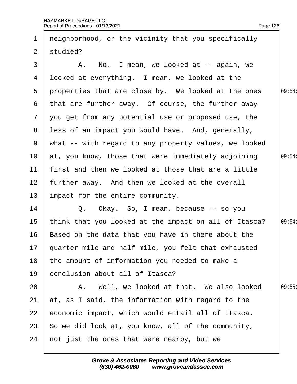<span id="page-126-0"></span>

| $\mathbf 1$     | neighborhood, or the vicinity that you specifically     |        |
|-----------------|---------------------------------------------------------|--------|
| 2 <sup>1</sup>  | studied?                                                |        |
| 3               | A. No. I mean, we looked at -- again, we                |        |
| 4               | Iboked at everything. I mean, we looked at the          |        |
| $5^{\circ}$     | properties that are close by. We looked at the ones     | 09:54: |
| 6               | that are further away. Of course, the further away      |        |
| 7 <sup>7</sup>  | you get from any potential use or proposed use, the     |        |
| 8               | less of an impact you would have. And, generally,       |        |
|                 | 9 what -- with regard to any property values, we looked |        |
| 10              | at, you know, those that were immediately adjoining     | 09:54: |
| 11              | first and then we looked at those that are a little     |        |
| 12 <sub>2</sub> | further away. And then we looked at the overall         |        |
| 13              | impact for the entire community.                        |        |
| 14              | Q. Okay. So, I mean, because -- so you                  |        |
| 15              | think that you looked at the impact on all of Itasca?   | 09:54: |
| 16              | Based on the data that you have in there about the      |        |
|                 | 17 quarter mile and half mile, you felt that exhausted  |        |
| 18              | the amount of information you needed to make a          |        |
| 19              | conclusion about all of Itasca?                         |        |
| 20              | A. Well, we looked at that. We also looked              | 09:55  |
| 21              | at, as I said, the information with regard to the       |        |
| 22              | economic impact, which would entail all of Itasca.      |        |
| 23              | So we did look at, you know, all of the community,      |        |
| 24              | not just the ones that were nearby, but we              |        |
|                 |                                                         |        |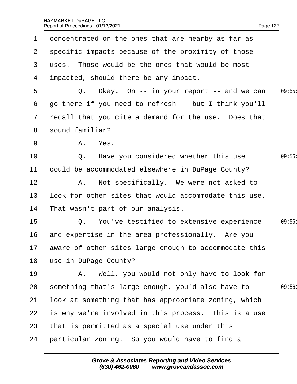<span id="page-127-0"></span>

| $\mathbf 1$    | doncentrated on the ones that are nearby as far as       |        |
|----------------|----------------------------------------------------------|--------|
|                | 2 specific impacts because of the proximity of those     |        |
| 3              | uses. Those would be the ones that would be most         |        |
|                | 4 impacted, should there be any impact.                  |        |
| 5              | Q. Okay. On -- in your report -- and we can              | 09:55  |
| 6              | go there if you need to refresh -- but I think you'll    |        |
| $\overline{7}$ | recall that you cite a demand for the use. Does that     |        |
|                | 8 sound familiar?                                        |        |
| 9              | A. Yes.                                                  |        |
| 10             | Q. Have you considered whether this use                  | 09:56: |
| 11             | could be accommodated elsewhere in DuPage County?        |        |
| 12             | A. Not specifically. We were not asked to                |        |
| 13             | look for other sites that would accommodate this use.    |        |
| 14             | That wasn't part of our analysis.                        |        |
| 15             | Q. You've testified to extensive experience              | 09:56: |
| 16             | and expertise in the area professionally. Are you        |        |
|                | 17 aware of other sites large enough to accommodate this |        |
| 18             | use in DuPage County?                                    |        |
| 19             | A. Well, you would not only have to look for             |        |
| 20             | something that's large enough, you'd also have to        | 09:56  |
| 21             | look at something that has appropriate zoning, which     |        |
| 22             | is why we're involved in this process. This is a use     |        |
| 23             | that is permitted as a special use under this            |        |
| 24             | particular zoning. So you would have to find a           |        |
|                |                                                          |        |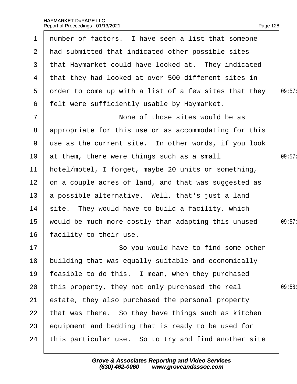<span id="page-128-0"></span>

|                 | 1 number of factors. I have seen a list that someone   |        |
|-----------------|--------------------------------------------------------|--------|
| $\mathbf{2}$    | had submitted that indicated other possible sites      |        |
| 3 <sup>1</sup>  | that Haymarket could have looked at. They indicated    |        |
| 4               | that they had looked at over 500 different sites in    |        |
| $5^{\circ}$     | order to come up with a list of a few sites that they  | 09:57: |
| 6               | felt were sufficiently usable by Haymarket.            |        |
| $\overline{7}$  | None of those sites would be as                        |        |
| 8               | appropriate for this use or as accommodating for this  |        |
|                 | 9 use as the current site. In other words, if you look |        |
| 10              | at them, there were things such as a small             | 09:57: |
| 11              | hotel/motel, I forget, maybe 20 units or something,    |        |
| 12 <sub>2</sub> | on a couple acres of land, and that was suggested as   |        |
|                 | 13 a possible alternative. Well, that's just a land    |        |
| 14              | site. They would have to build a facility, which       |        |
| 15 <sub>1</sub> | would be much more costly than adapting this unused    | 09:57: |
| 16              | facility to their use.                                 |        |
| 17              | So you would have to find some other                   |        |
| 18              | building that was equally suitable and economically    |        |
| 19              | feasible to do this. I mean, when they purchased       |        |
| 20              | this property, they not only purchased the real        | 09:58  |
| 21              | estate, they also purchased the personal property      |        |
| 22              | that was there. So they have things such as kitchen    |        |
| 23              | equipment and bedding that is ready to be used for     |        |
| 24              | this particular use. So to try and find another site   |        |
|                 |                                                        |        |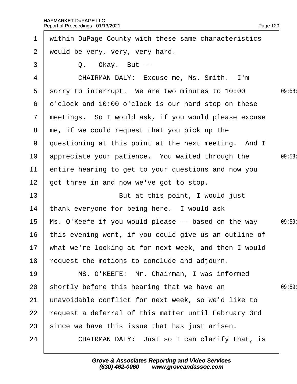<span id="page-129-0"></span>

|                 | 1 within DuPage County with these same characteristics   |        |
|-----------------|----------------------------------------------------------|--------|
| $\mathbf{2}$    | would be very, very, very hard.                          |        |
| 3               | Q. Okay. But --                                          |        |
| 4               | CHAIRMAN DALY: Excuse me, Ms. Smith. I'm                 |        |
| $5^{\circ}$     | sorry to interrupt. We are two minutes to 10:00          | 09:58: |
| 6               | d'clock and 10:00 o'clock is our hard stop on these      |        |
| $7\overline{ }$ | meetings. So I would ask, if you would please excuse     |        |
|                 | 8 me, if we could request that you pick up the           |        |
|                 | 9 questioning at this point at the next meeting. And I   |        |
| 10              | appreciate your patience. You waited through the         | 09:58: |
| 11              | entire hearing to get to your questions and now you      |        |
| 12 <sub>2</sub> | got three in and now we've got to stop.                  |        |
| 13 <sup>2</sup> | But at this point, I would just                          |        |
| 14              | thank everyone for being here. I would ask               |        |
| 15 <sub>1</sub> | Ms. O'Keefe if you would please -- based on the way      | 09:59  |
| 16              | this evening went, if you could give us an outline of    |        |
|                 | 17 what we're looking at for next week, and then I would |        |
| 18              | equest the motions to conclude and adjourn.              |        |
| 19              | MS. O'KEEFE: Mr. Chairman, I was informed                |        |
| 20              | shortly before this hearing that we have an              | 09:59  |
| 21              | unavoidable conflict for next week, so we'd like to      |        |
| 22              | request a deferral of this matter until February 3rd     |        |
| 23              | since we have this issue that has just arisen.           |        |
| 24              | CHAIRMAN DALY: Just so I can clarify that, is            |        |
|                 |                                                          |        |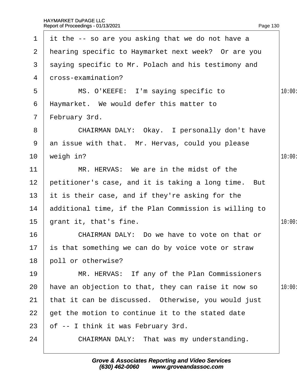<span id="page-130-0"></span>

|                 | 1 if the $-$ so are you asking that we do not have a  |        |
|-----------------|-------------------------------------------------------|--------|
|                 | 2 Hearing specific to Haymarket next week? Or are you |        |
| 3               | saying specific to Mr. Polach and his testimony and   |        |
| 4               | dross-examination?                                    |        |
| 5               | MS. O'KEEFE: I'm saying specific to                   | 10:00: |
| 6               | Haymarket. We would defer this matter to              |        |
| $\overline{7}$  | February 3rd.                                         |        |
| 8               | CHAIRMAN DALY: Okay. I personally don't have          |        |
| 9               | an issue with that. Mr. Hervas, could you please      |        |
| 10              | weigh in?                                             | 10:00: |
| 11              | MR. HERVAS: We are in the midst of the                |        |
| 12 <sub>2</sub> | petitioner's case, and it is taking a long time. But  |        |
| 13 <sup>°</sup> | it is their case, and if they're asking for the       |        |
| 14              | additional time, if the Plan Commission is willing to |        |
| $15\,$          | grant it, that's fine.                                | 10:00: |
| 16              | CHAIRMAN DALY: Do we have to vote on that or          |        |
|                 | 17 is that something we can do by voice vote or straw |        |
| 18              | poll or otherwise?                                    |        |
| 19              | MR. HERVAS: If any of the Plan Commissioners          |        |
| 20              | have an objection to that, they can raise it now so   | 10:00: |
| 21              | that it can be discussed. Otherwise, you would just   |        |
| 22              | get the motion to continue it to the stated date      |        |
| 23              | of -- I think it was February 3rd.                    |        |
| 24              | CHAIRMAN DALY: That was my understanding.             |        |
|                 |                                                       |        |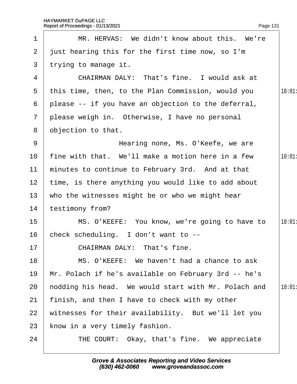<span id="page-131-0"></span>

|                 | Report of Proceedings - 01/13/2021<br>Page 131       |        |
|-----------------|------------------------------------------------------|--------|
| $\mathbf 1$     | MR. HERVAS: We didn't know about this. We're         |        |
| $\overline{2}$  | just hearing this for the first time now, so I'm     |        |
| 3               | trying to manage it.                                 |        |
| 4               | CHAIRMAN DALY: That's fine. I would ask at           |        |
| 5               | this time, then, to the Plan Commission, would you   | 10:01  |
| 6               | please -- if you have an objection to the deferral,  |        |
| $7\overline{ }$ | please weigh in. Otherwise, I have no personal       |        |
| 8               | objection to that.                                   |        |
| 9               | Hearing none, Ms. O'Keefe, we are                    |        |
| 10              | fine with that. We'll make a motion here in a few    | 10:01  |
| 11              | minutes to continue to February 3rd. And at that     |        |
| 12 <sub>2</sub> | time, is there anything you would like to add about  |        |
| 13              | who the witnesses might be or who we might hear      |        |
| 14              | testimony from?                                      |        |
| 15              | MS. O'KEEFE: You know, we're going to have to        | 10:01: |
| 16              | check scheduling. I don't want to --                 |        |
| 17              | <b>CHAIRMAN DALY: That's fine.</b>                   |        |
| 18              | MS. O'KEEFE: We haven't had a chance to ask          |        |
| 19              | Mr. Polach if he's available on February 3rd -- he's |        |
| 20              | hodding his head. We would start with Mr. Polach and | 10:01: |
| 21              | finish, and then I have to check with my other       |        |
| 22              | witnesses for their availability. But we'll let you  |        |
| 23              | know in a very timely fashion.                       |        |
| 24              | THE COURT: Okay, that's fine. We appreciate          |        |
|                 |                                                      |        |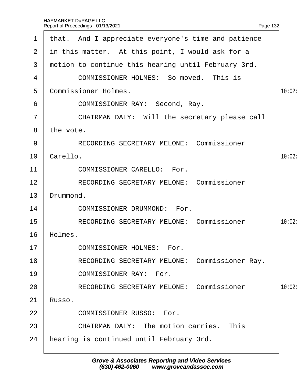<span id="page-132-0"></span>

| $\mathbf 1$    | that. And I appreciate everyone's time and patience |        |
|----------------|-----------------------------------------------------|--------|
| $\overline{2}$ | in this matter. At this point, I would ask for a    |        |
| 3              | motion to continue this hearing until February 3rd. |        |
| 4              | <b>COMMISSIONER HOLMES: So moved. This is</b>       |        |
| 5              | <b>Commissioner Holmes.</b>                         | 10:02: |
| 6              | COMMISSIONER RAY: Second, Ray.                      |        |
| 7              | CHAIRMAN DALY: Will the secretary please call       |        |
| 8              | the vote.                                           |        |
| 9              | <b>RECORDING SECRETARY MELONE: Commissioner</b>     |        |
| 10             | Carello.                                            | 10:02: |
| 11             | <b>COMMISSIONER CARELLO: For.</b>                   |        |
| 12             | RECORDING SECRETARY MELONE: Commissioner            |        |
| 13             | Drummond.                                           |        |
| 14             | <b>COMMISSIONER DRUMMOND: For.</b>                  |        |
| 15             | <b>RECORDING SECRETARY MELONE: Commissioner</b>     | 10:02: |
| 16             | Holmes.                                             |        |
| 17             | <b>COMMISSIONER HOLMES: For.</b>                    |        |
| 18             | RECORDING SECRETARY MELONE: Commissioner Ray.       |        |
| 19             | <b>COMMISSIONER RAY: For.</b>                       |        |
| 20             | <b>RECORDING SECRETARY MELONE: Commissioner</b>     | 10:02: |
| 21             | Russo.                                              |        |
| 22             | <b>COMMISSIONER RUSSO: For.</b>                     |        |
| 23             | <b>CHAIRMAN DALY: The motion carries. This</b>      |        |
| 24             | hearing is continued until February 3rd.            |        |
|                |                                                     |        |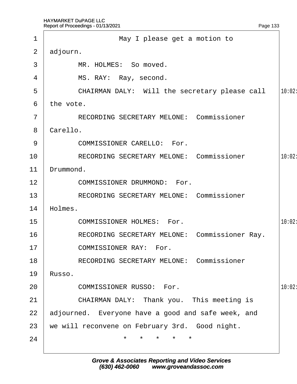<span id="page-133-0"></span>

|                | Report of Proceedings - 01/13/2021                 | Page 133 |        |
|----------------|----------------------------------------------------|----------|--------|
| 1              | May I please get a motion to                       |          |        |
| $\overline{2}$ | adjourn.                                           |          |        |
| 3              | MR. HOLMES: So moved.                              |          |        |
| 4              | MS. RAY: Ray, second.                              |          |        |
| 5              | CHAIRMAN DALY: Will the secretary please call      |          | 10:02: |
| 6              | the vote.                                          |          |        |
| 7              | <b>RECORDING SECRETARY MELONE: Commissioner</b>    |          |        |
| 8              | Carello.                                           |          |        |
| 9              | <b>COMMISSIONER CARELLO: For.</b>                  |          |        |
| 10             | <b>RECORDING SECRETARY MELONE: Commissioner</b>    |          | 10:02: |
| 11             | Drummond.                                          |          |        |
| 12             | <b>COMMISSIONER DRUMMOND: For.</b>                 |          |        |
| 13             | <b>RECORDING SECRETARY MELONE: Commissioner</b>    |          |        |
| 14             | Holmes.                                            |          |        |
| 15             | <b>COMMISSIONER HOLMES: For.</b>                   |          | 10:02: |
| 16             | RECORDING SECRETARY MELONE: Commissioner Ray.      |          |        |
| 17             | <b>COMMISSIONER RAY: For.</b>                      |          |        |
| 18             | <b>RECORDING SECRETARY MELONE: Commissioner</b>    |          |        |
| 19             | Russo.                                             |          |        |
| 20             | <b>COMMISSIONER RUSSO: For.</b>                    |          | 10:02: |
| 21             | CHAIRMAN DALY: Thank you. This meeting is          |          |        |
| 22             | adjourned. Everyone have a good and safe week, and |          |        |
| 23             | we will reconvene on February 3rd. Good night.     |          |        |
| 24             |                                                    |          |        |
|                |                                                    |          |        |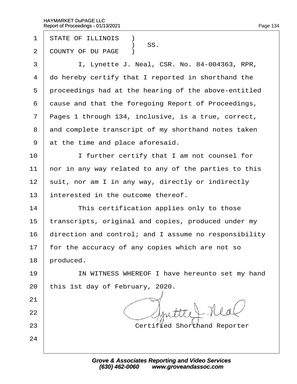- 1 STATE OF ILLINOIS **1**
- SS.<br>2 COUNTY OF DU I COUNTY OF DU PAGE )
- 3 | I, Lynette J. Neal, CSR. No. 84-004363, RPR,
- 4 do hereby certify that I reported in shorthand the
- 5 proceedings had at the hearing of the above-entitled
- 6 dause and that the foregoing Report of Proceedings,
- 7 Pages 1 through 134, inclusive, is a true, correct,
- 8 and complete transcript of my shorthand notes taken
- 9 at the time and place aforesaid.
- 10 **I** I further certify that I am not counsel for
- 11 hor in any way related to any of the parties to this
- 12 suit, nor am I in any way, directly or indirectly
- 13 interested in the outcome thereof.
- 14 **This certification applies only to those**
- 15 transcripts, original and copies, produced under my
- 16 direction and control; and I assume no responsibility
- 17 for the accuracy of any copies which are not so
- 18 **produced**.

21

22

24

- 19 | IN WITNESS WHEREOF I have hereunto set my hand
- 20 this 1st day of February, 2020.
- 23 **Certified Shorthand Reporter**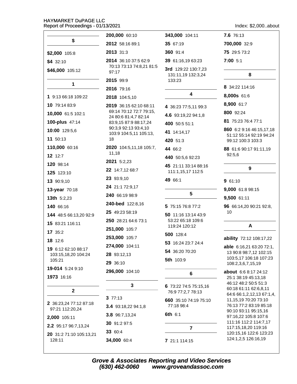|                                   | 200,000 60:10                                 | 343,000 104:11                      | 7.6 76:13                                        |
|-----------------------------------|-----------------------------------------------|-------------------------------------|--------------------------------------------------|
| \$                                | 2012 58:16 89:1                               | 35 67:19                            | 700,000 32:9                                     |
| \$2,000 105:8                     | 2013 31:3                                     | 360 91:4                            | 75 29:5 73:2                                     |
| $$4 \, 32:10$                     | 2014 36:10 37:5 62:9                          | 39 61:16,19 63:23                   | 7:00 5:1                                         |
| \$46,000 105:12                   | 70:13 73:13 74:8,21 81:5<br>97:17             | 3rd 129:22 130:7,23                 |                                                  |
|                                   | 2015 99:9                                     | 131:11,19 132:3,24<br>133:23        | 8                                                |
| $\mathbf{1}$                      | 2016 79:16                                    |                                     | 8 34:22 114:16                                   |
| 1 9:13 66:18 109:22               | 2018 104:5,10                                 | 4                                   | 8,000s 61:6                                      |
| 10 79:14 83:9                     | 2019 36:15 62:10 68:11                        | 4 36:23 77:5,11 99:3                | 8,900 61:7                                       |
| 10,000 61:5 102:1                 | 69:14 70:12 72:7 79:15,                       | 4.6 93:19,22 94:1,8                 | 800 92:24                                        |
| 100-plus 47:14                    | 24 80:6 81:4,7 82:14<br>83:9,15 87:9 88:17,24 | 400 50:5 51:1                       | 81 75:23 76:4 77:1                               |
| 10:00 129:5,6                     | 90:3,9 92:13 93:4,10                          | 41 14:14,17                         | 860 6:2 9:16 46:15,17,18                         |
| 11 50:13                          | 103:9 104:5,11 105:13,<br>18                  | 420 51:3                            | 51:12 55:14 92:19 94:24<br>99:12 100:3 103:3     |
| 110,000 60:16                     | 2020 104:5,11,18 105:7,                       | 44 66:2                             | 88 61:6 90:17 91:11,19                           |
| 12 12:7                           | 11,18                                         | 440 50:5,6 92:23                    | 92:5,6                                           |
| 120 98:14                         | 2021 5:2,23                                   | 45 21:11 33:14 88:16                |                                                  |
| 125 123:10                        | 22 14:7,12 68:7                               | 111:1,15,17 112:5                   | 9                                                |
| 13 90:9,10                        | 23 93:9,10                                    | 49 66:1                             | 961:10                                           |
| 13-year 70:18                     | 24 21:1 72:9,17                               |                                     | 9,000 61:8 98:15                                 |
| <b>13th</b> 5:2,23                | 240 66:19 98:9                                | $5\phantom{1}$                      | 9,500 61:11                                      |
| 140 66:16                         | 240-bed 122:8,16                              | 5 75:15 76:8 77:2                   | 96 66:14,20 90:21 92:8,                          |
| 144 48:5 66:13,20 92:9            | 25 49:23 58:19                                | 50 11:16 13:14 43:9                 | 10                                               |
| 15 83:21 116:11                   | 250 28:21 64:6 73:1                           | 53:22 65:18 109:6                   |                                                  |
| 17 35:2                           | 251,000 105:7                                 | 119:24 120:12                       | A                                                |
| 18 12:6                           | 253,000 105:7                                 | 500 128:4                           | ability 72:12 108:17,22                          |
| 19 6:12 62:10 88:17               | 274,000 104:11                                | 53 16:24 23:7 24:4                  | able 6:16,21 63:20 72:1,                         |
| 103:15,18,20 104:24               | 28 93:12,13                                   | 54 36:20 70:20                      | 13 90:8 98:7,12 102:15<br>103:5,17 106:18 107:23 |
| 105:21                            | 29 36:10                                      | 5th 103:9                           | 108:2,3,6,7,15,19                                |
| 19-014 5:24 9:10<br>1973 16:16    | 296,000 104:10                                | 6                                   | about 6:6 8:17 24:12<br>25:1 38:19 45:13,18      |
|                                   | 3                                             | 6 73:22 74:5 75:15,16               | 46:12 48:2 50:5 51:3<br>60:18 61:11 62:6,8,11    |
| $\mathbf 2$                       | 377:13                                        | 76:9 77:2,7 78:13                   | 64:6 66:1,2,12,13 67:1,4                         |
| 2 36:23,24 77:12 87:18            | 3.4 93:18,22 94:1,8                           | 660 35:10 74:19 75:10<br>77:18 98:4 | 11,15,19 70:20 73:10<br>76:13 77:2 83:19 85:18   |
| 97:21 112:20,24                   | 3.8 96:7,13,24                                | 6th 6:1                             | 90:10 93:11 95:15,16                             |
| 2,000 105:11                      | 30 91:2 97:5                                  |                                     | 97:16,22 105:8 107:6<br>111:16 112:2 114:7,17    |
| 2.2 95:17 96:7,13,24              | 33 60:4                                       | $\overline{\mathbf{7}}$             | 117:15,18,20 119:16                              |
| 20 31:2 71:10 105:13,21<br>128:11 | 34,000 60:4                                   | 7 21:1 114:15                       | 120:15,16 122:6 123:23<br>124:1,2,5 126:16,19    |

Index: \$2,000..about

Grove & Associates Reporting and Video Services<br>(630) 462-0060 www.groveandassoc.com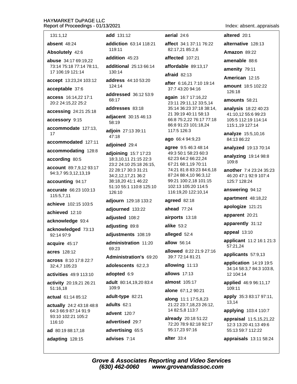altered 20:1

alternative 128:13

Amazon  $89:22$ 

amenable 88:6

amenity 79:11

126:18

American 12:15

amounts 58:21

amount 18:5 102:22

analysis 18:22 40:23

41:10,12 55:6 99:23

105:5 112:19 114:14

115:1,19 127:14

84:13 86:22

125:7 128:24

answering 94:12

apologize 121:21

apparently 31:12

applicants 57:9,13

applicant 11:2 16:1 21:3

application 14:19 19:5

applied 46:9 96:11,17

apply 35:3 83:17 97:11,

applying 103:4 110:7

appraisal 11:5,15,21,22

12:3 13:20 41:13 49:6

34:14 58:3,7 84:3 103:8,

apparent 20:21

appeal 13:10

57:21,24

12 104:14

109:11

13,14

apartment 48:18,22

 $109.8$ 

analyze 15:5,10,16

analyzed 19:13 70:14

analyzing  $19:1498:8$ 

another 7:4 23:24 35:23

46:20 47:1 92:9 107:4

131:1.12

absent 48:24

Absolutely 42:6

abuse 34:17 69:19,22 73:14 75:18 77:14 78:11, 17 106:19 121:14

accept 13:23,24 103:12

### acceptable 37:6

access 16:14.22 17:1 20:2 24:15,22 25:2

accessing 24:21 25:18

accessory 9:15

accommodate 127:13, 17

accommodated 127:11

accommodating 128:8

according 80:5

account 89:7,9,12 93:17 94:3,7 95:3,12,13,19

accounting 94:17

accurate 66:23 103:13 115:5,7,11

achieve 102:15 103:5

achieved 12:10

acknowledge 93:4

acknowledged 73:13 92:14 97:9

acquire 45:17

acres 128:12

across 8:10 17:8 22:7 32:4,7 105:23

activities 49:9 113:10

activity 20:19,21 26:21 51:16,18

actual 61:14 85:12

actually 24:2 43:18 48:8 64:3 66:9 87:14 91:9 93:10 102:21 105:2 116:10

ad 80:19 88:17,18

adapting 128:15

add 131:12

addiction 63:14 118:21  $119.11$ 

addition 45:23

additional 25:13 66:14 130:14

address 44:10 53:20  $124:14$ 

addressed 36:12 53:9  $68.17$ 

addresses 83:18

adjacent 30:15 46:13 58:19

adioin 27:13 39:11 47:18

adjoined 29:4

adjoining 15:7 17:23 18:3,10,11 21:15 22:3 23:2 24:10 25:18 26:15, 22 28:17 30:3 31:21 34:2,12,17,21 36:2 38:18,20 41:1 46:22 51:10 55:1 110:8 125:10 126:10

adjourn 129:18 133:2

adjourned 133:22

adjusted 108:2

adjusting 89:8

adjustments 108:19

administration 11:20 69:23

Administration's 69:20

adolescents 62:2.3

adopted 6:9

adult 80:14,19,20 83:4 109:9

adult-type 82:21

adults 62:1

advent 120:7

advertised 29:7

advertising 65:5 advises 7:14

aerial 24:6

affect 34:1 37:11 76:22 82:17,21 85:2,6

affected 107:21

affordable 89:13.17

 $a$ fraid 82:13

after 6:16,21 7:10 19:14 37:7 43:20 94:16

again 16:7 17:16,22 23:11 29:11,12 33:5,14 35:14 36:23 37:18 38:14, 21 39:19 40:11 58:13 66:8 75:2,22 76:17 77:18 86:8 91:23 101:18,24 117:5 126:3

#### ago 66:4 94:9,23

agree 9:5 46:3 48:14 49:3 50:1 58:23 60:3 62:23 64:2 66:22,24 67:21 68:1,19 70:11 74:21 81:8 83:23 84:6,18 87:24 88:4,10 96:3,12 99:21 100:2,18 101:15 102:13 105:20 114:5 116:19,20 122:10,14

agreed 82:18

ahead  $77:24$ 

airports 13:18

alike  $53.2$ 

alleged 52:4

allow 56:14

allowed 8:22 21:9 27:16 39:7 72:14 81:21

allowing 11:13

**allows** 17:13

almost 105:17

alone 67:1,2 90:21

**along**  $11:1$  17:5,8,23 21:22 23:7,18,23 26:12, 14 82:5,8 113:7

already 20:18 51:22 72:20 78:9 82:18 92:17 95:17,23 97:16

alter  $33:4$ 

appraisals 13:11 58:24

55:13 59:7 112:22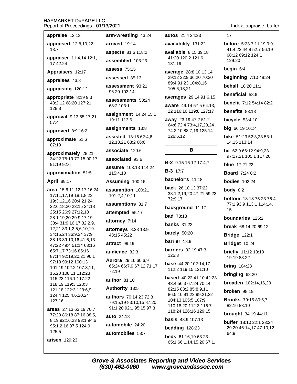| appraise 12:13 |  |
|----------------|--|
|----------------|--|

appraised 12:8,19,22

 $13.7$ appraiser 11:4,14 12:1, 17 42:24

Appraisers 12:17

appraises 43:8

appraising 120:12

appropriate 8:19 9:3 43:2.12 68:20 127:21 128:8

approval 9:13 55:17,21  $57:4$ 

approved 8:9 16:2

approximate 51:6 87:19

approximately 28:21 34:22 75:19 77:15 90:17 91:19 92:6

approximation 51:5

**April 88:17** 

area 15:6,11,12,17 16:24 17:11,17,19 18:1,8,23 19:3.12.16 20:4 21:24 22:6,18,20 23:15 24:18 25:15 26:9 27:12,18 28:1.19.20 29:9.17.19 30:4 31:9,16,17 32:2,9, 12,21 33:1,2,5,6,10,19 34:15,24 36:9,24 37:9 38:13 39:10,16 41:6,13 47:22 49:4 51:14 63:16 65:7,17 73:16 85:16 87:14 92:19,20,21 96:1 97:18 99:12 100:13 101:19 102:2 107:3.11. 16,20 108:11 112:23 115:23 116:1 117:22 118:19 119:3 120:3 121:18 122:3 123:6,9 124:4 125:4,6,20,24 127:16

areas 27:13 63:19 70:7 77:20 86:18 87:16 88:5, 8,19 92:16,23 93:1 94:6 95:1,2,16 97:5 124:9 125:5

arisen  $129:23$ 

arm-wrestling 43:24

arrived 19:14

**aspects** 81:6 118:2

assembled 103:23

**assess** 75:15

assessed 85:13

assessment 93:21 96:20 103:14

assessments 58:24 68:2 103:1

assignment 14:24 15:1 19:11 113:6

assignments 13:8

**assisted** 13:16 62:4,6, 12,18,21 63:2 66:6

associate 120:6

associated 93:6

assume 103:13 114:24 115:4,10

Assuming 100:16

assumption 100:21 101:2.4.10.11

assumptions 81:7

attempted 55:17

attorney 7:14

attorneys 8:23 13:9 43:15 45:22

attract 99:19

audience 82:3

Aurora 29:16 60:6,9 65:24 66:7,9 67:12 71:17  $72.19$ 

author 81:10

Authority 13:5

authors 70:14.23 72:8 79:15.19 83:10.15 87:20 91:1,20 92:1 95:15 97:3

auto 24:18

automobile 24:20

automobiles 53:7

autos 21:4 24:23

availability 131:22

**available** 8:15 39:18 41:20 120:2 121:6 131:19

average 28:8,10,13,14 29:12 32:9 36:20 70:20 89:4 91:23 104:8,16 105:6,13,21

averages 29:14 91:6,15

**aware** 49:14 57:5 64:13, 22 116:16 119:8 127:17

away 23:19 47:2 51:2 64:6 72:4 73:4,17,20,24 74:2,10 88:7,19 125:14 126:6,12

### B

B-2 9:15 16:12 17:4,7

**B-3** 17:7

bachelor's 11:18

**back** 26:10.13 37:22 38:1,2,19,20 47:21 59:23 72:9,17

background 11:17

**bad** 78:18

**banks** 31:22

barely 50:20

barrier 18:9

**barriers** 32:19 47:3 125:3

base 44:20 102:14.17 112:2 119:15 121:10

**based** 40:22 41:10 42:23 43:4 56:3 67:24 70:14 82:15 83:2 85:8,9,11 86:5,10 91:22 99:21,22 104:13 105:5 107:9 110:18,20 112:3 116:7 118:24 126:16 129:15

**basis** 48:9 107:13

bedding 128:23

beds 61:16,19 63:23 65:1 66:1,14,15,20 67:1,  $17$ 

**before** 5:23 7:11.19 9:9 41:4,22 44:8 52:7 56:19 68:12 69:12 124:1 129:20

Index: appraise..buffer

begin  $6:4$ 

**beginning 7:10 48:24** 

behalf 10:20 11:1

beneficial 58:6

**benefit** 7:12 54:14 82:2

benefits 83:13

**bicycle** 53:4,10

big 66:19 101:4

**bike** 51:23 52:3,23 53:1, 14, 15 113: 14

**bit** 62:9 66:12 94:9,23 97:17.21 105:1 117:20

**blue** 17:21.22

**Board** 7:24 8:2

**bodies** 102:24

body  $8:2$ 

**bottom** 18:18 75:23 76:4 77:1 93:9 113:1 114:14, 15

boundaries 125:2

break 68:14,20 69:12

**Bridge 122:1** 

Bridget 10:24

**briefly** 11:12 13:19 19:19 83:22

**bring 104:23** 

bringing 68:20

**broaden** 102:14,16,20

broken 98:19

**Brooks** 79:15 80:5.7 82:16 83:10

brought 34:19 44:11

buffer 18:10 22:1 23:24 29:20 46:14,17 47:10,12 64:9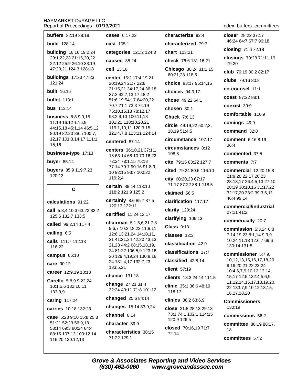88:15 107:13 109:12,14

116:20 130:12,13

| <b>buffers</b> 32:19 38:18                          | cases 6:17,22                                                     | characterize 92:4                                               | closer 28:22 37:17                                                                                      |
|-----------------------------------------------------|-------------------------------------------------------------------|-----------------------------------------------------------------|---------------------------------------------------------------------------------------------------------|
| <b>build</b> 128:14                                 | cast 105:1                                                        | characterized 79:7                                              | 46:24 64:7 67:7 96:18                                                                                   |
| <b>building</b> 16:16 19:2,24                       | categories 121:2 124:8                                            | chart 103:21                                                    | closing 71:6 72:18                                                                                      |
| 20:1,22,23 21:16,20,22<br>22:12 25:9 26:10 38:19    | caused 35:24                                                      | check 76:6 131:16,21                                            | closings 70:23 71:11,19<br>79:20                                                                        |
| 47:20,21 124:3 128:18                               | cell 13:18                                                        | Chicago 30:24 31:1,15<br>60:21,23 118:5                         | club 79:19 80:2 82:17                                                                                   |
| <b>buildings</b> 17:23 47:23<br>121:24              | center 16:2 17:4 19:21<br>20:19,24 21:7 22:8                      | choice 93:17 95:14,15                                           | clubs 79:16 80:8                                                                                        |
| <b>built</b> 16:16                                  | 31:15,21 34:17,24 36:18                                           | choices 94:3,17                                                 | co-counsel 11:1                                                                                         |
| <b>bullet</b> 113:1                                 | 37:2 42:7,13,17 48:2<br>51:6,19 54:17 64:20,22                    | chose 49:22 64:1                                                | coast 87:22 88:1                                                                                        |
| <b>bus</b> 113:14                                   | 70:7 71:1 73:3 74:19                                              | chosen 30:1                                                     | coexist 39:9                                                                                            |
| <b>business</b> 8:8 9:9,15                          | 76:10,15,18 78:12,17<br>98:2,9,13 100:11,18                       | <b>Chuck 7:6,13</b>                                             | comfortable 116:9                                                                                       |
| 11:19 16:12 17:6,9                                  | 101:21 118:13,20,21                                               | circle 49:19,22 50:2,3,                                         | comings 49:9                                                                                            |
| 44:15,18 45:1,14 46:5,12<br>80:19 82:20 88:5 100:7, | 119:1,10,11 120:3,15<br>121:4,7,8 123:11 124:14                   | 18,19 51:4,5                                                    | command 32:8                                                                                            |
| 12,17 101:3,14,17 111:1,<br>15,16                   | centered 87:14                                                    | circumstance 107:17                                             | comment 6:16 8:19<br>36:4                                                                               |
| business-type 17:13                                 | centers 36:10,21 37:11,<br>18 63:14 68:10 70:16,22                | circumstances 8:12<br>108:8                                     | commented 37:5                                                                                          |
| buyer $85:14$                                       | 72:24 73:1,15 75:18                                               | cite 79:15 83:22 127:7                                          | comments 7:7                                                                                            |
| buyers 85:9 119:7,23                                | 77:14 79:7 90:16 91:8,9,<br>10 92:15 93:7 100:22                  | cited 79:24 80:6 116:10                                         | commercial 12:20 15:8                                                                                   |
| 120:13                                              | 119:2,4<br>certain 88:14 113:10<br>118:2 121:9 125:2              | city 60:20,23 67:17<br>71:17 87:22 88:1 118:5                   | 21:9,20 22:17,20,23<br>23:13,17 26:4,5,13 27:10                                                         |
| C                                                   |                                                                   | claimed 56:5                                                    | 28:19 30:10,16 31:17,22<br>32:17,20 33:2 39:3,6,11                                                      |
| calculations 91:22                                  | certainly 8:6 85:7 87:5<br>120:13 122:11<br>certified 11:24 12:17 | clarification 117:17                                            | 46:4 99:14                                                                                              |
| call 5:3,4 10:3 63:22 82:2                          |                                                                   | clarify 129:24                                                  | commercial/industrial<br>27:11 41:2                                                                     |
| 125:6 132:7 133:5                                   | chairman 5:1,5,6,217:8                                            | clarifying 106:13                                               | commercially 20:7                                                                                       |
| called 99:2,14 117:4                                | 9:6,7 10:2,18,23 11:8,11                                          | <b>Class 9:13</b>                                               | commission 5:3,24 6:8                                                                                   |
| calling 6:5                                         | 12:6 13:21,24 14:10,11,<br>21 41:21,24 42:20 43:13,               | classes 12:3                                                    | 7:14,19,23 8:1,14 9:3,9                                                                                 |
| calls 111:7 112:13<br>116:22                        | 21,23 44:2 68:15,18,19,                                           | classification 42:9                                             | 10:24 11:13 12:6,7 69:6<br>130:14 131:5                                                                 |
| campus $66:10$                                      | 24 81:22 106:5,9 123:16,<br>20 129:4, 19, 24 130:8, 16,           | classifications 17:7                                            | commissioner 5:7,9,                                                                                     |
| 24 131:4,17 132:7,23<br>care 90:12                  |                                                                   | classified 42:8,14                                              | 10, 12, 13, 15, 16, 17, 18, 20<br>9:19,20,21,22,23,24                                                   |
| career 12:9,19 13:13                                | 133:5,21                                                          | client 57:19                                                    | 10:4,6,7,9,10,12,13,14,                                                                                 |
| Carello 5:8,9 9:22,24                               | chance 131:18<br>change 27:21 31:4<br>32:24 40:11 71:8 101:12     | clients 13:3 24:14 111:5                                        | 15,17 12:5 132:4,5,6,9,<br>11, 12, 14, 15, 17, 18, 19, 20,<br>22 133:7,9,10,12,13,15,<br>16, 17, 18, 20 |
| 10:1,5,6 132:10,11<br>133:8,9                       |                                                                   | clinic 35:1 36:6 48:19<br>118:17                                |                                                                                                         |
| caring 117:24                                       | changed 25:6 84:14                                                | clinics 36:2 63:6,9                                             | <b>Commissioners</b>                                                                                    |
| <b>carries</b> 10:18 132:23                         | changes 15:14 33:9,24                                             | close 21:8 28:13 29:13<br>73:1 74:1 102:1 114:15<br>120:9 126:5 | 130:19                                                                                                  |
| case 5:23 9:10 15:8 25:8                            | channel 6:14                                                      |                                                                 | commissions 56:2                                                                                        |
| 51:21 52:23 56:9,13                                 |                                                                   |                                                                 |                                                                                                         |

Index: buffers..committees

mmissions 56:2 **mmittee** 80:19 88:17, 18 characteristics 38:15 72:14 71:22 129:1 committees 57:2 **Grove & Associates Reporting and Video Services**  $(630)$  462-0060 www.groveandassoc.com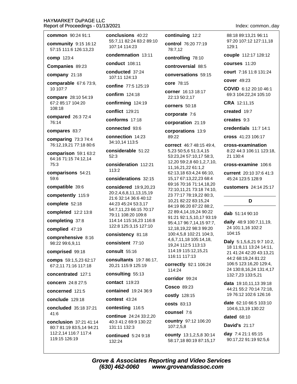## **HAYMARKET DuPAGE LLC**

| Report of Proceedings - 01/13/2021                   |                                                      |                 |
|------------------------------------------------------|------------------------------------------------------|-----------------|
| <b>common</b> 90:24 91:1                             | conclusions 40:22                                    | con             |
| community 9:15 16:12<br>57:15 111:6 126:13,23        | 55:7,11 82:24 83:2 89:10<br>107:14 114:23            | con<br>78:      |
| comp 123:4                                           | condemnation 13:11                                   | con             |
| Companies 89:23                                      | conduct 108:11                                       | con             |
| company 21:18                                        | conducted 37:24<br>107:11 124:13                     | con             |
| comparable 67:6 73:9,<br>10 107:7                    | confine 77:5 125:19                                  | core            |
| compare 28:10 54:19                                  | confirm $124:18$                                     | cori<br>22:     |
| 67:2 85:17 104:20                                    | confirming 124:19                                    | cori            |
| 108:18                                               | <b>conflict</b> 129:21                               | cor             |
| compared 26:3 72:4<br>76:14                          | conforms 17:18                                       | cor             |
| compares 83:7                                        | connected 93:6                                       | cor             |
| comparing 73:3 74:4<br>76:12,19,21 77:18 80:6        | connection 14:23<br>34:10,14 113:5                   | 89:<br>cori     |
| comparison 59:1 63:2                                 | considerable 51:22                                   | 5,2             |
| 64:16 71:15 74:12,14                                 | 52:3                                                 | 53:<br>12,      |
| 75:3                                                 | consideration 112:21                                 | 11,             |
| comparisons 54:21<br>59:6                            | 113:2<br>considerations 32:15                        | 62:<br>15,      |
| compatible 39:6                                      | considered 19:9,20,23                                | 69:<br>72:      |
| competently 115:9                                    | 20:2,4,6,8,11,13,15,19                               | 23              |
| complete 52:18                                       | 21:6 32:14 36:6 40:12<br>44:23 45:24 53:3,17         | 10,             |
| completed 12:2 13:8                                  | 54:7,11,23 66:15 70:17                               | 84:<br>22       |
| completing 37:8                                      | 79:11 108:20 109:8<br>114:14 115:16,23 116:8         | 91:             |
| complied 47:19                                       | 122:8 125:3,15 127:10                                | 95:<br>12,      |
| comprehensive 8:16                                   | consistency 81:18                                    | 10 <sub>0</sub> |
| 98:22 99:6,9,11                                      | consistent 77:10                                     | 4,6<br>19,      |
| comprised 99:18                                      | consult 55:16                                        | 11۰             |
| <b>comps</b> 59:1,5,23 62:17<br>67:2,11 71:16 117:18 | <b>consultants</b> 19:7 86:17,<br>20,21 115:9 125:19 | 11(<br>cori     |
| concentrated 127:1                                   | consulting 55:13                                     | 11۰             |
| concern 24:8 27:5                                    | <b>contact</b> 119:23                                | cori            |
| concerned 121:5                                      | contained 19:24 36:9                                 | Cos             |
| conclude 129:18                                      | contest 43:24                                        | <b>COS</b>      |
| concluded 35:18 37:21                                | contesting 116:5                                     | <b>COS</b>      |
| 41:6                                                 | continue 24:24 33:2,20                               | cou             |
| <b>conclusion</b> 37:21 41:14                        | 40:3 41:2 69:9 130:22                                | cou<br>10       |
| 80:7 81:19 83:5,14 94:21<br>112:2,14 116:7 117:4     | 131:11 132:3<br>$\mathbf{L}$                         | 0011            |

continued  $5:249:18$ 132:24

119:15 126:19

tinuing 12:2

trol 76:20 77:19  $7,12$ 

trolling 78:10

troversial 88:5

versations 59:15

e 78:15

ner 16:13 18:17 13 50:2.17

ners 50:18

porate 7:6

poration 21:19

porations 13:9  $.22$ 

rect 46:7 48:15 49:4, 3 50:5,6 51:3,4,15 23,24 57:10,17 58:3, 20 59:2,8 60:1,2,7,10, 16,21,22 61:1,2 13,18 63:4,24 66:10, 17 67:13,22,23 68:4 16 70:16 71:14,18,20 10,11,21 73:18 74:10, 77:17 78:19,22 80:3, 21 82:22 83:15,24 19 86:20 87:22 88:2, 89:4,14,19,24 90:22 21 92:1,5,10,17 93:19 4,17 96:7,14,15 97:7, 18,19,22 98:3 99:20 0:4,5,8 102:21 104:3, ,7,11,18 105:14,18, 24 112:5 113:13 4:19 115:12,15,21 6:11 117:13

rectly 92:1 106:24  $4:24$ 

ridor 99:24

 $\mathbf{c}$ o 89:23

tly 128:15

 $its 83:13$ 

nsel 7:6

**ntry** 97:12 106:20  $7:2,5,8$ 

county 13:1,2,5,8 30:14 58:17,18 80:19 87:15,17 Index: common..day

88:18 89:13.21 96:11 97:20 107:12 127:11.18 129:1

couple 112:17 128:12

courses 11:20

court 7:16 11:8 131:24

cover 49:23

COVID 6:12 20:10 46:1 69:3 104:22,24 105:10

CRA 12:11,15

created 19:7

creates 9:3

credentials 11:7 14:1

cross 41:23 106:17

cross-examination 8:22 44:3 106:11 123:18, 21 130:4

cross-examine 106:6

current 20:10 37:6 41:3 45:24 123:5 128:9

customers 24:14 25:17

### D

dab 51:14 90:10

daily 48:9 100:7,11,19, 24 101:1,16 102:2 104:15

**Daly** 5:1,5,6,21 9:7 10:2, 18 11:8,11 13:24 14:11, 21 41:24 42:20 43:13,21 44:2 68:19,24 81:22 106:5 123:16,20 129:4, 24 130:8, 16, 24 131:4, 17 132:7,23 133:5,21

**data**  $19:10,11,1339:18$ 44:21 55:2 70:14 72:18. 19 76:12 102:6 126:16

date 62:10 66:5 103:10 104:6.13.19 130:22

dated 68:10

**David's 21:17** 

day 7:4 21:1 65:15 90:17,22 91:19 92:5,6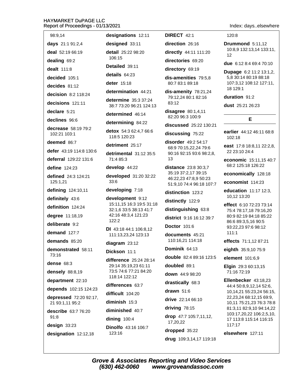| ۰.,                                       |
|-------------------------------------------|
| 98:9,14                                   |
| days 21:1 91:2,4                          |
| deal 52:19 66:19                          |
| dealing 69:2                              |
| <b>dealt</b> 111:8                        |
| decided 105:1                             |
| decides 81:12                             |
| decision 8:2 118:24                       |
| decisions 121:11                          |
| declare 5:21                              |
| declines 96:6                             |
| decrease 58:19 79:2<br>102:21 103:1       |
| deemed 86:7                               |
| defer 43:19 114:8 130:6                   |
| deferral 129:22 131:6                     |
| define 124:23                             |
| defined 24:3 124:21<br>125:1,21           |
| defining 124:10,11                        |
| definitely 43:6                           |
| definition 124:24                         |
| degree 11:18,19                           |
| deliberate 9:2                            |
| demand $127:7$                            |
| demands 85:20                             |
| demonstrated 58:11<br>73:16               |
| $dense$ 68:3                              |
| densely 88:8,19                           |
| department 22:10                          |
| depends 102:15 124:23                     |
| depressed 72:20 92:17,<br>21 93:1,11 95:2 |
| describe 63:7 76:20<br>91:8               |
| design 33:23                              |
| designation 12:12,18                      |

detail 25:22 98:20 106:15 Detailed 39:11 details  $64.23$ deter 15:18 determination 44:21 determine 35:3 37:24 38:7 73:20 96:21 124:13 determined 46:14 determining 84:22 detox 54:3 62:4,7 66:6 118:5 120:23 detriment 25:17 detrimental 31:12 35:5 71:4 85:3 develop 44:22 developed 31:20 32:22 33:6 developing 7:18 development 9:12 15:11,15 16:3 19:5 31:18 32:1,6 33:5 38:13 41:7 42:16 48:3,4 121:23  $122:2$ DI 43:18 44:1 106:8.12 111:13,23,24 123:13 diagram 23:12 Dickson 11:1 difference 25:24 28:14 29:14 35:19,23 61:11 73:5 74:6 77:21 84:20 118:14 122:12 differences 63:7 difficult 104:20 diminish 15:3 diminished 40:7 dining  $100:4$ Dinolfo 43:16 106:7 123:16

designations 12:11

designed 33:11

**DIRECT 42:1** 

direction 26:16

directly 44:11 111:20

directories 69:20

directory 69:19

dis-amenities 79:5,8 80:7 83:1 89:18

dis-amenity 78:21,24 79:12.24 80:1 82:16  $83.12$ 

disagree  $80:1,4,11$ 82:20 96:3 100:9

discussed 25:22 130:21

discussing 75:22

disorder 49:2 54:17 68:9 70:15,22,24 79:6 90:16 92:15 93:6 98:2,8,  $13$ 

distance 23:8 30:3,7 35:19 37:2,17 39:15 46:22,23 47:8,9 50:23 51:9,10 74:4 96:18 107:7

distinction 123:2

distinctly 122:9

distinguishing 63:8

district 9:16 16:12 39:7

**Doctor 101:6** 

documents 45:21 110:16,21 114:18

Dominik 64:13

double 82:4 89:16 123:5

doubled 89:1

down 44:9 98:20

drastically 68:3

drawn  $51:6$ 

drive 22:14 66:10

driving  $78:15$ 

drop 47:7 105:7,11,12,

17,20,22

dropped 35:22

drug 109:3,14,17 119:18

Index: days..elsewhere

120:8

Drummond 5:11.12 10:8,9 132:13,14 133:11,  $12$ 

due 6:12 8:4 69:4 70:10

Dupage 6:2 11:2 13:1,2, 5,8 30:14 80:19 88:18 107:3,12 108:12 127:11, 18 129:1

duration 91:2

dust 25:21 26:23

### E

earlier 44:12 46:11 68:8 102:18

east 17:8 18:8,11 22:2,8, 22 23:10 24:4

economic 15:11,15 40:7 68:2 125:18 126:22

economically 128:18

economist 114:23

education 11:17 12:3. 10,12 13:20

effect 6:10 72:23 73:14 75:4 78:17,18 79:16,20 80:9 82:19 84:18 85:22 86:6 89:3,5,16 90:5 93:22,23 97:6 98:12  $111:1$ 

effects 71:1.12 87:21

eighth  $35:9,1075:9$ 

element 101:6,9

Elgin 29:3 60:13,15 71:16 72:19

Ellenbecker 43:18,23 44:4 50:8,9,12,14 52:6, 10,14,21 55:23,24 56:15, 22,23,24 68:12,15 69:9, 10,11 75:21,23 76:3 78:8 81:3,11 82:9,10 94:14,22 103:17,20,22 106:2,5,10, 17 113:8 115:14 116:15 117:17

elsewhere 127:11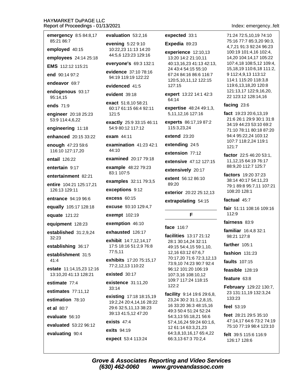| emergency 8:5 84:8,17<br>85:21 86:7               | evaluation 53:2,16                                                                                      |  |
|---------------------------------------------------|---------------------------------------------------------------------------------------------------------|--|
|                                                   | evening 5:22 9:10<br>10:22,23 11:13 14:20<br>44:5,6 123:23 129:16                                       |  |
| employed 40:15<br>employees 24:14 25:18           |                                                                                                         |  |
| EMS 112:12 115:21                                 | everyone's 69:3 132:1                                                                                   |  |
| end 90:14 97:2                                    | evidence 37:10 78:16<br>94:19 119:19 122:22                                                             |  |
| endeavor 69:7                                     | evidenced 41:5                                                                                          |  |
| endogenous 93:17<br>95:14,15                      | evident 39:18                                                                                           |  |
| ends $71:9$                                       | exact 51:8,10 58:21<br>60:17 61:15 66:4 92:11<br>121:5<br>exactly 25:9 33:15 46:11<br>54:9 80:12 117:12 |  |
| engineer 20:18 25:23<br>53:9 114:4,6,22           |                                                                                                         |  |
| engineering 11:18                                 |                                                                                                         |  |
| enhanced 20:15 33:22                              | exam $44:11$                                                                                            |  |
| enough 47:23 59:6<br>116:10 127:17,20             | examination $41:2342:1$<br>44:10                                                                        |  |
| entail 126:22                                     | examined 20:17 79:18                                                                                    |  |
| entertain 9:17                                    | example 48:22 79:23<br>83:1 107:5                                                                       |  |
| entertainment 82:21                               | examples 32:11 79:3,5                                                                                   |  |
| entire 104:21 125:17,21<br>126:13 129:11          | exceptions 9:12                                                                                         |  |
| <b>entrance</b> 94:19 96:6                        | excess $60:15$                                                                                          |  |
| equally 105:17 128:18                             | excuse 93:10 129:4,7                                                                                    |  |
| equate 121:22                                     | exempt 102:19                                                                                           |  |
| equipment 128:23                                  | exemption 46:10                                                                                         |  |
| established 31:2,9,24                             | exhausted 126:17                                                                                        |  |
| 32:23<br>establishing 36:17                       | exhibit 14:7,12,14,17<br>17:5 18:16 51:2,9 76:8<br>77:5,11                                              |  |
| establishment 31:5<br>41:4                        | exhibits 17:20 75:15,17<br>77:2,12,13 110:22                                                            |  |
| estate 11:14,15,23 12:16<br>13:10,20 41:13 128:21 | existed 30:17                                                                                           |  |
| estimate 77:4                                     | existence 31:11,20                                                                                      |  |
| estimates 77:11,12                                | 33:14                                                                                                   |  |
| estimation 78:10                                  | existing 17:18 18:15,19<br>19:2,24 20:4,14,16 28:22                                                     |  |
| et al $80:7$                                      | 29:6 32:5,11,13 38:23                                                                                   |  |
| evaluate 56:10                                    | 39:13 41:5,12 47:20<br>exists $47:4$                                                                    |  |
| evaluated 53:22 96:12                             | <b>exits</b> 94:19                                                                                      |  |
| evaluating 90:4                                   | expect 53:4 113:24                                                                                      |  |
|                                                   |                                                                                                         |  |

expected 33:1

### Expedia 89:23

experience 12:10,13 13:20 14:2 21:10,11 40:13,16,23 41:13 42:13, 24 43:4 54:15 55:10 67:24 84:16 86:6 116:7 120:5,10,11,12 122:15 127:15

expert 13:22 14:1 42:3 64:14

expertise 48:24 49:1,3, 5, 11, 12, 16 127: 16

experts 86:17,19 87:2 115:3,23,24

extend 23:20

extending 24:5

extension 77:12

extensive 47:12 127:15

extensively 20:17

extent 56:12 86:10 89:20

exterior 20:22 25:12,13

extrapolating 54:15

### F

### face 116:7

facilities 13:17 21:12 28:1 30:14,24 32:11 49:15 54:4,15 59:1,10, 12,16 63:12 67:6,7 70:17,20 71:6 72:3,12,13 73:9,10 74:23 90:7 92:4 96:12 101:20 106:19 107:3,16 108:10,12 109:7 117:24 118:15  $122:2$ 

facility 9:14 19:6 29:6,8, 23,24 30:2 31:1,2,8,15, 16 33:20 36:3 48:15,16 49:3 50:4 51:24 52:24 54:3,13 55:18,21 56:6 57:4,16,24 59:24 60:1,6, 12 61:14 63:3,21,23 64:3,8,10,16,17 65:4,22 66:3,13 67:3 70:2,4

Index: emergency..felt

71:24 72:5,10,19 74:10 75:16 77:7 85:3.20 90:3. 4,7,21 91:3 92:24 96:23 100:19 101:4,16 102:4, 14,20 104:14,17 105:22 107:4,18 108:5,12 109:4, 15, 18, 19 110: 6, 18 111: 2, 9 112:4,9,13 113:12 114:1 115:20 118:3,8 119:6,13,18,20 120:8 121:13,17 122:9,16,20, 22 123:12 128:14,16

### facing 23:6

fact 19:23 20:6,13,19 21:6 26:1 29:9 30:1 31:8 34:19 44:23 53:10 69:2 71:10 78:11 80:18 87:20 94:4 95:22,24 103:12 107:7 118:2,24 119:1 121:7

factor 22:5 46:20 53:1, 11, 12, 15 64: 19 76: 17 88:9,20 112:7 125:7

factors 19:20 37:23 38:14 40:17 54:11,23 79:1 89:8 95:7,11 107:21 108:20 128:1

### factual 45:7

fair 51:11 108:16 109:16 112:9

fairness 83:9

familiar 16:4.8 32:1 98:21 127:8

farther 105:1

fashion 131:23

faults 107:15

feasible 128:19

feature 63:8

February 129:22 130:7, 23 131:11,19 132:3,24 133:23

feel 53:19

feet 28:21 29:5 35:10 47:14.17 64:6 73:2 74:19 75:10 77:19 98:4 123:10

felt 39:5 115:6 116:9 126:17 128:6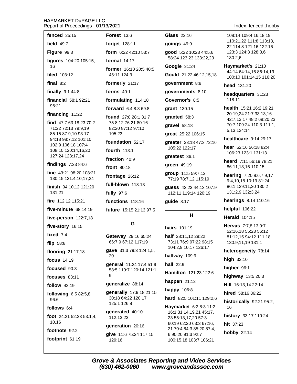| fenced $25:15$                                   | <b>Forest 13:6</b>                                  | <b>Glass 22:16</b>                                | 108:14 109:4,16,18,19                             |  |
|--------------------------------------------------|-----------------------------------------------------|---------------------------------------------------|---------------------------------------------------|--|
| field $49:7$                                     | forget 128:11                                       | goings 49:9                                       | 110:21,22 111:8 113:18,<br>22 114:8 121:16 122:16 |  |
| Figure 99:3                                      | form 6:22 42:10 53:7                                | good 5:22 10:23 44:5,6                            | 123:3 124:3 128:3,6                               |  |
| figures 104:20 105:15,                           | formal 14:17                                        | 58:24 123:23 133:22,23                            | 130:2,6                                           |  |
| 16                                               | former 16:10 20:5 40:5                              | Google 31:24                                      | Haymarket's 21:10<br>44:14 64:14,16 86:14,19      |  |
| filed 103:12                                     | 45:11 124:3                                         | Gould 21:22 46:12,15,18                           | 100:10 101:14,15 116:20                           |  |
| final $8:2$                                      | formerly 21:17                                      | government 8:8                                    | head 131:20                                       |  |
| finally $9:144:8$                                | forms $40:1$                                        | governments 8:10                                  | headquarters 31:23                                |  |
| financial 58:1 92:21                             | formulating 114:18                                  | Governor's 8:5                                    | 118:11                                            |  |
| 96:21                                            | forward 6:4 8:8 69:8                                | grant 130:15                                      | health 15:21 16:2 19:21<br>20:19,24 21:7 33:13,16 |  |
| financing 11:22                                  | found 27:8 28:1 31:7                                | granted 58:3                                      | 42:7,13,17 48:2 69:20,23                          |  |
| find 47:7 63:18,23 70:2<br>71:22 72:13 79:9,19   | 75:8,12 76:21 80:16<br>82:20 87:12 97:10            | gravel 58:18                                      | 70:7 109:24 110:3 111:1,                          |  |
| 85:15 87:9,10 93:17                              | 105:23                                              | great 25:22 106:15                                | 5,13 124:14                                       |  |
| 94:18 98:7,12 101:10<br>102:9 106:18 107:4       | foundation 52:17                                    | greater 33:18 47:3 72:16                          | healthcare 9:14 29:17                             |  |
| 108:10 120:14,16,20                              | fourth 113:1                                        | 105:22 122:17                                     | hear 52:16 56:18 82:4<br>106:23 123:1 131:13      |  |
| 127:24 128:17,24                                 | fraction 40:9                                       | greatest 36:1                                     | heard 7:11 56:19 78:21                            |  |
| findings 7:23 84:6                               | front 80:18                                         | green 49:19                                       | 86:11,13,16 110:15                                |  |
| fine 43:21 98:20 108:21<br>130:15 131:4,10,17,24 | frontage 26:12                                      | group 11:5 59:7,12<br>77:19 78:7,12 115:19        | hearing 7:20 8:6,7,9,17                           |  |
| finish 94:10,12 121:20                           | full-blown 118:13                                   | guess 42:23 44:13 107:9                           | 9:4,10,18 10:19 81:24<br>86:1 129:11,20 130:2     |  |
| 131:21                                           | fully 97:6                                          | 112:11 119:14 120:19                              | 131:2,9 132:3,24                                  |  |
| fire 112:12 115:21                               | functions 118:16                                    | guide 8:17                                        | hearings 8:14 110:16                              |  |
| five-minute 68:14,19                             | future 15:15 21:13 97:5                             |                                                   | helpful 106:22                                    |  |
| five-person 122:7,18                             |                                                     | H                                                 | <b>Herald</b> 104:15                              |  |
| five-story 16:15                                 | G                                                   | hairs 101:19                                      | Hervas 7:7,8,13 9:7                               |  |
| fixed $7:4$                                      | Gateway 29:16 65:24                                 | half 28:11,12 29:22                               | 52:16,18 55:23 56:12<br>81:12,15 94:12 111:18     |  |
| flip 58:8                                        | 66:7,9 67:12 117:19                                 | 73:11 76:9 97:22 98:15                            | 130:9,11,19 131:1                                 |  |
| flooring 21:17,18                                | gave 31:3 79:3 124:1,5,                             | 104:2,9,10,17 126:17                              | heterogeneity 78:14                               |  |
| focus 14:19                                      | 20                                                  | halfway 109:9                                     | high $32:10$                                      |  |
| focused 90:3                                     | general 11:24 17:4 51:9<br>58:5 119:7 120:14 121:1, | hall 22:9                                         | higher 96:1                                       |  |
| focuses 83:11                                    | 9                                                   | Hamilton 121:23 122:6                             | highway 13:5 20:3                                 |  |
| follow 43:19                                     | generalize 88:14                                    | happen $21:12$                                    | Hill 16:13,14 22:14                               |  |
| following 6:5 82:5,8                             | generally 17:9,18 21:15                             | happy 106:8                                       | hired 58:16 86:22                                 |  |
| 96:6                                             | 30:18 64:22 120:17<br>125:1 126:8                   | hard 82:5 101:11 129:2,6                          | historically 92:21 95:2,                          |  |
| follows 6:4                                      | generated 40:10                                     | Haymarket 6:2 8:3 11:2<br>16:1 31:14,19,21 45:17, | 16                                                |  |
| foot $24:21\,52:23\,53:1,4$ ,                    | 112:13,23                                           | 23 55:13,17,20 57:3                               | history 33:17 110:24                              |  |
| 10,16                                            | generation 20:16                                    | 60:19 62:20 63:3 67:16,                           | hit 37:23                                         |  |
| footnote 92:2                                    | give 11:6 75:24 117:15                              | 21 70:4 84:3 85:20 87:4,<br>6 90:20 91:3 92:7     | <b>hobby 22:14</b>                                |  |
| footprint 61:19                                  | 129:16                                              | 100:15.18 103:7 106:21                            |                                                   |  |

**Grove & Associates Reporting and Video Services**  $(630)$  462-0060 www.groveandassoc.com

Index: fenced..hobby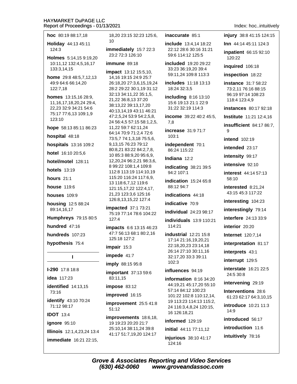| hoc 80:19 88:17,18                           | 18,20 23:1               |
|----------------------------------------------|--------------------------|
| Holiday 44:13 45:11                          | 10                       |
| 124:3                                        | immediate<br>23:2 72:3 1 |
| Holmes 5:14,15 9:19,20                       |                          |
| 10:11,12 132:4,5,16,17<br>133:3,14,15        | <b>immune</b> 8          |
|                                              | impact 13:               |
| home 29:8 48:5,7,12,13<br>49:9 64:6 66:14,20 | 14,16 19:1<br>26:18,202  |
| 122:7,18                                     | 28:2 29:22               |
| homes 13:15,16 28:9,                         | 32:13 34:1               |
| 11, 16, 17, 18, 20, 24 29: 4,                | 21,22 36:8               |
| 22,23 32:9 34:21 54:6                        | 38:13,22 3<br>40:13,14,1 |
| 75:17 77:6,13 109:1,9<br>123:10              | 47:2,5,24 5              |
|                                              | 24 56:4,5 5              |
| hope 58:13 85:11 86:23                       | 11,22 59:7<br>64:14 70:9 |
| hospital 48:18                               | 73:5,7 74:1              |
| hospitals 13:16 109:2                        | 9,13,1576                |
| hotel 16:10 20:5,6                           | 80:8,21 83<br>10 85:3 88 |
| hotel/motel 128:11                           | 12,20,24 9               |
|                                              | 8 99:22 10               |
| <b>hotels</b> 13:19                          | 112:8 113:               |
| hours 21:1                                   | 115:20 116<br>13 118:6,7 |
| house 119:6                                  | 121:15,17,               |
| <b>houses</b> 109:9                          | 21,23 123:<br>126:8,13,1 |
| housing 12:5 88:24                           |                          |
| 89:14,16,17                                  | impacted<br>75:19 77:1   |
| Humphreys 79:15 80:5                         | 127:4                    |
| hundred 47:16                                | impacts 6:               |
| hundreds 107:23                              | 47:7 56:13<br>125:18 127 |
| hypothesis 75:4                              |                          |
|                                              | impair 15:               |
| ı                                            | impede 41                |
| I-290 17:8 18:8                              | imply 88:1<br>important  |
| idea 117:23                                  | 83:11,15                 |
| identified 14:13,15                          | impose 83                |
| 73:16                                        | improved                 |
| identify 43:10 70:24<br>71:12 98:17          | improvem<br>51:12        |
| <b>IDOT 13:4</b>                             | improvem                 |
| ignore 95:10                                 | 19 19:23 2               |
| Illinois 12:1,4,23,24 13:4                   | 25:10,143<br>41:17 51:7  |
| immediate 16:21 22:15,                       |                          |
|                                              |                          |

5 32:23 125:6, **Iv** 15:7 22:3 26:10  $9:18$ 12 15:5,10, 5 24:9 25:7  $27:3,6,15,19,24$ 30:1,19 31:12 1,22 35:1,5, .13 37:20 9:13,17,20 9 43:11 46:21 53:9 54:2,5,8, 57:15 58:1,2,5, 62:11,24 71:2,4 72:6 ,3,18 75:5,6, :23 79:12  $:2284:2,7,8,$  $:9,2095:6,9,$ 6:2,21 98:3,6, 8:1,4 109:8 19 114:10,19 6:24 117:6.9.  $.12119:6$ 22 122:4,17, 3,6 125:16 5,22 127:4

37:1 73:21 478:6104:22

6 13:15 46:23 68:1 80:2,16  $7:2$ 

3

 $:7$ 

5 95:8

37:13 59:6

:12

 $16:15$ 

ent 25:5 41:8

ents 18:6,18, 0:20 21:7 8:11,24 39:8 19,20 124:17

inaccurate 85:1

include 13:4.14 18:22 22:12 28:6 30:16 31:21 59:6 114:12 125:5

included 19:20 29:22 33:23 36:19,20 39:4 59:11,24 109:8 113:3

includes 11:18 13:13 18:24 32:3,5

including  $8:16$  13:10 15:6 19:13 21:1 22:9 31:22 32:19 114:3

income 39:22 40:2 45:5, 7,8

increase 31:9 71:7  $103:1$ 

independent 70:1 86:24 115:22

Indiana 12:2

indicating 38:21 39:5 94:2 107:1

indication 15:24 65:8 88:12 94:7

indications 44:18

indicative 70:9

individual 24:23 98:17

**individuals** 13:9 110:21 114:21

**industrial** 12:21 15:8 17:14 21:16,19,20,21 22:18,20,23 23:14,18 26:14 27:10 30:11,16 32:17,20 33:3 39:11 102:3

## influences 94:19

information  $8:1634:20$ 44:19,21 45:17,20 55:10 57:14 84:12 100:23 101:22 102:8 110:12,14, 19 113:23 114:13 115:2, 24 116:3,4,8,24 120:15, 16 126:18,21

informed 129:19

initial 44:11 77:11,12 injurious 38:10 41:17 124:16

Index: hoc..intuitively

injury 38:8 41:15 124:15

Inn 44:14 45:11 124:3

**inpatient** 66:15 92:10 120:22

inquired 106:18

inspection 18:22

instance 31:7 58:22 73:2.11 76:16 88:15 96:19 97:14 108:23 118:4 123:4.9

instances 80:17 92:18

Institute 11:21 12:4,16

**insufficient** 84:17 86:7, 9

**intend** 102:19

intended 23:17

intensity 99:17

intensive 92:10

interest 44:14 57:13 58:10

interested 8:21,24 43:15 45:3 117:22

interesting 104:23

interestingly 79:14

interfere 24:13 33:9

interior 20:20

**Internet** 120:7,14

interpretation 81:17

interprets 43:1

interrupt 129:5

interstate 16:21 22:5 24:5 30:8

intervening 29:19

Interventions 28:6 61:23 62:17 64:3.10.15

introduce 10:21 11:3  $14:9$ 

introduced 56:17 introduction 11:6

intuitively 78:16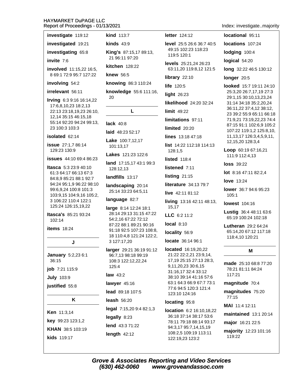| investigate 119:12                                    | <b>kind</b> 113:7                             | <b>letter</b> 124:12                             | locational 95:11                       |
|-------------------------------------------------------|-----------------------------------------------|--------------------------------------------------|----------------------------------------|
| investigated 19:21                                    | $kinds$ 43:9                                  | level 25:5 26:6 36:7 40:5                        | locations 107:24                       |
| investigating 65:8                                    | <b>King's</b> 87:15,17 89:13,                 | 49:15 102:23 118:23<br>119:5 120:1               | lodging 100:4                          |
| invite 7:6                                            | 21 96:11 97:20                                | levels 25:21,24 26:23                            | logical 54:20                          |
| involved 11:15,22 16:5,                               | kitchen 128:22                                | 63:11,20 119:8,12 121:5                          | long 32:22 46:5 1                      |
| 8 69:1 72:9 95:7 127:22                               | knew 56:5                                     | library 22:10                                    | longer 20:5                            |
| involving 54:2                                        | knowing 86:3 110:24                           | <b>life</b> 120:5                                | looked 15:7 19:1                       |
| irrelevant 56:11                                      | knowledge 55:6 111:16,<br>20                  | light 26:23                                      | 25:3,20 26:7,17,1<br>29:1,15 30:10,13, |
| Irving 6:3 9:16 16:14,22<br>17:6,8,10,23 18:2,13      |                                               | likelihood 24:20 32:24                           | 31:14 34:18 35:2,                      |
| 22:13 23:18,19,23 26:10,                              | L                                             | $limit$ 49:22                                    | 36:11,22 37:4,12<br>23 39:2 55:9 65:1  |
| 12,14 35:15 46:15,18<br>55:14 92:20 94:24 99:13,      | <b>lack</b> 40:8                              | limitations 97:11                                | 71:9,21 73:19,22,                      |
| 23 100:3 103:3                                        | laid 48:23 52:17                              | limited 20:20                                    | 87:15 91:1 102:6,<br>107:22 119:1,2 12 |
| isolated 62:14                                        | Lake 100:7,12,17                              | lines 13:18 47:18                                | 11, 13, 17 126: 3, 4,                  |
| issue 27:1,7 86:14                                    | 101:13,17                                     | list 14:22 112:18 114:13                         | 12, 15, 20 128: 3, 4                   |
| 129:23 130:9                                          | <b>Lakes</b> 121:23 122:6                     | 128:1,5                                          | Loop 60:19 67:16<br>111:9 112:4,13     |
| <b>issues</b> 44:10 69:4 86:23                        | land 17:15,17 43:1 99:3                       | <b>listed</b> 118:4                              | <b>loss</b> 39:22                      |
| <b>Itasca</b> $5:323:940:10$<br>61:3 64:17 66:13 67:3 | 128:12,13                                     | listened 7:11                                    | lot 8:16 47:11 82:                     |
| 84:8,9 85:21 88:1 92:7                                | landfills 13:17                               | listing 21:15                                    | <b>love</b> 13:24                      |
| 94:24 95:1,9 96:22 98:10<br>99:6,9,24 100:8 101:3     | landscaping 20:14<br>25:14 33:23 64:5,11      | literature 34:13 79:7                            | lower 36:7 94:6 9                      |
| 103:9,15 104:9,16 105:2,                              | language 82:7                                 | live 42:11 81:12                                 | 105:1                                  |
| 3 106:22 110:4 122:1<br>125:24 126:15,19,22           | large 8:14 12:24 18:1                         | living 13:16 42:11 48:13,<br>15,17               | <b>lowest</b> 104:16                   |
| Itasca's 85:21 93:24                                  | 28:14 29:13 31:15 47:22                       | LLC 6:2 11:2                                     | Lustig 36:4 48:1<br>65:19 100:24 102   |
| 102:14                                                | 54:2,16 67:22 72:12<br>87:22 88:1 89:21 90:16 | <b>local 8:10</b>                                | Lutheran $29:264$                      |
| <b>items</b> 18:24                                    | 91:18 92:5 107:23 108:8,                      | locality 56:9                                    | 65:14,20 67:12 1                       |
| J                                                     | 18 110:4,8 121:24 122:2,<br>3 127:17,20       | locate 36:14 96:1                                | 118:4,10 120:21                        |
|                                                       | larger 29:21 36:19 91:12                      | located 16:19,20,22                              | м                                      |
| <b>January</b> 5:2,23 6:1                             | 96:7,13 98:18 99:19                           | 21:22 22:2,21 23:9,14,                           |                                        |
| 36:15                                                 | 108:3 122:12,22,24<br>125:4                   | 17,19 25:15 27:13 28:3,<br>9,11,20,23 30:6,15    | made 25:10 68:8                        |
| job 7:21 115:9<br><b>July 103:9</b>                   | law $43:2$                                    | 31:16,17 32:4 33:12<br>38:10 39:14 41:16 57:6    | 78:21 81:11 84:24<br>117:21            |
| justified 55:8                                        | lawyer 45:16                                  | 63:1 64:3 66:9 67:7 73:1                         | magnitude 70:4                         |
|                                                       | lead 89:18 107:5                              | 77:6 94:5 120:3 121:4<br>123:10 124:16           | magnitudes 75:                         |
| Κ                                                     | leash 56:20                                   | locating 95:8                                    | 77:15                                  |
|                                                       | legal 7:15,20 9:4 82:1,3                      | <b>location</b> 6:2 16:10,18,22                  | MAI 11:4 12:11                         |
| Ken 11:3,14                                           | legally 8:23                                  | 36:18 37:14 38:17 53:6                           | maintained 13:1                        |
| key 99:23 123:1,2                                     | lend 43:3 71:22                               | 78:11 79:18 88:14 93:17<br>94:3,17 95:7,14,15,19 | major 16:21 22:5                       |
| KHAN 38:5 103:19                                      | length $42:12$                                | 108:2,5 109:19 113:11                            | majority 12:23 1                       |
| kids 119:17                                           |                                               | 122:19,23 123:2                                  | 119:22                                 |

Index: investigate..majority

locations 107:24 lodging 100:4 logical 54:20 long 32:22 46:5 130:12 longer 20:5 looked 15:7 19:11 24:10 25:3,20 26:7,17,19 27:3 29:1,15 30:10,13,23,24 31:14 34:18 35:2,20,24 36:11,22 37:4,12 38:12, 23 39:2 55:9 65:11 66:18 71:9,21 73:19,22,23 74:4 87:15 91:1 102:6,9 105:2 107:22 119:1,2 125:8,10, 11, 13, 17 126: 3, 4, 5, 9, 11, 12, 15, 20 128: 3, 4 Loop 60:19 67:16,21 111:9 112:4,13 **loss** 39:22

lot 8:16 47:11 82:2,4

lower 36:7 94:6 95:23 105:1

Lustig 36:4 48:11 63:6 65:19 100:24 102:18

Lutheran 29:2 64:24 65:14,20 67:12 117:18 118:4,10 120:21

## M

made 25:10 68:8 77:20 78:21 81:11 84:24 117:21

magnitudes 75:20  $77:15$ 

maintained 13:1 20:14

majority 12:23 101:16 119:22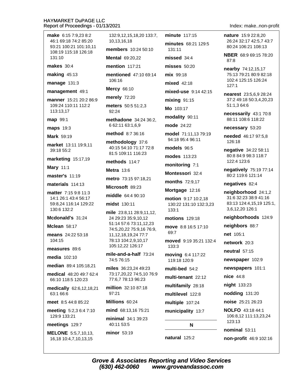make 6:15 7:9.23 8:2 46:1 69:18 74:2 85:20 93:21 100:21 101:10 11 108:19 115:18 126:18 131:10

makes  $30:4$ 

making  $45:13$ 

manage 131:3

#### management 49:1

manner 15:21 20:2 86:9 109:24 110:11 112:2 113:13.17

map 99:1

maps 19:3

Mark 59:19

market 13:11 19:9.11 39:18 55:2

marketing 15:17,19

**Mary 11:1** 

master's 11:19

materials 114:13

matter 7:15 9:8 11:3 14:1 26:1 43:4 56:17 59:8.24 116:14 129:22 130:6 132:2

Mcdonald's 31:24

**Mclean 58:17** 

means 24:22 53:18 104:15

measures 89:6

media  $102:10$ 

median 89:4 105:18.21

medical 48:20 49:7 62:4 66:10 118:5 120:23

medically 62:6,12,18,21 63:1 66:6

meet 8:5 44:8 85:22

meeting 5:2,3 6:4 7:10 129:9 133:21

meetings 129:7

**MELONE** 5:5,7,10,13, 16,18 10:4,7,10,13,15

132:9,12,15,18,20 133:7, 10.13.16.18 members 10:24 50:10

**Mental 69:20.22** 

mention 117:21

mentioned 47:10 69:14 106:16

**Mercy 66:10** 

merely 72:20

meters 50:5 51:2.3  $92.24$ 

methadone 34:24 36:2, 6 62:11 63:1,6,9

method 8:7 36:16

methodology 37:6 40:15 54:10 71:17 72:8 81:5 109:11 116:23

methods 114.7

**Metra** 13:6

metro 73:15 97:18,21

Microsoft 89:23

middle 64:4 90:10

midst 130:11

mile 23:8.11 28:9.11.12. 24 29:23 35:9.10.12 51:14 57:6 73:11,12,23 74:5,20,22 75:9,16 76:9, 11, 12, 18, 19, 24 77: 7 78:13 104:2,9,10,17 105:12,22 126:17

mile-and-a-half 73:24 74:576:15

miles 36:23,24 49:23 73:17,20,22 74:5,10 76:9 77:6.7 78:13 96:23

million 32:10 87:18  $97.21$ 

Millions 60:24

mind 68:13.16 75:21 minimal 34:1 39:23 40:11 53:5

minor 53:19

**minute** 117:15 minutes 68:21 129:5  $131.11$  $missed 34:4$  $m$ isses  $50:20$  $mix$  99.18 mixed 42:18 mixed-use 9:14 42:15  $mixing$  91:15 Mo 103:17 modality 90:11 mode 24:22 model 71:11,13 79:19 94:18 95:4 96:11 models 96:5 modes 113:23 monitoring 7:1 Montessori 32.4 months 72:9,17 Mortgage 12:16 motion 9:17 10:2.18 130:22 131:10 132:3.23  $133.1$ motions 129:18 move 8:8 16:5 17:10  $69.7$ moved 9:19 35:21 132:4  $133:3$ moving 6:4 117:22 119:18 120:9 multi-bed 54:2 multi-tenant 22:12 multifamily 28:18 multilevel 122:8 multiple 107:24

municipality 13:7

#### N

natural 125:2

Index: make..non-profit

nature 15:9 22:8.20 26:24 32:17 42:5.7 43:7 80:24 106:21 108:13

NBER 68:9 69:15 78:20  $87:8$ 

nearby 74:12,15,17 75:13 79:21 80:9 82:18 102:4 125:15 126:24  $127:1$ 

nearest 23:5,6,9 28:24 37:2 49:18 50:3,4,20,23 51:1.3 64:6

necessarily 43:1 70:8 88:11 108:6 118:22

necessary 53:20

needed 46:17 97:5,8 126:18

negative 34:22 58:11 80:8 84:9 98:3 118:7 122:4 123:6

negatively 75:19 77:14 80:2 119:6 121:14

negatives 82:4

neighborhood 24:1,2 31:6 32:23 38:9 41:16 83:13 124:4,15,19 125:1, 3,6,12,20 126:1

neighborhoods 124:9

neighbors 88:7

net 105:1

network 20:3

neutral  $57:15$ 

newspaper 102:9

newspapers 101:1

nice 44:8

night 133:23

nodding 131:20

noise 25:21 26:23

**NOLFO** 43:18 44:1 106:8,12 111:13,23,24  $123:13$ 

nominal 53:11

non-profit 46:9 102:16

**Grove & Associates Reporting and Video Services** (630) 462-0060 www.groveandassoc.com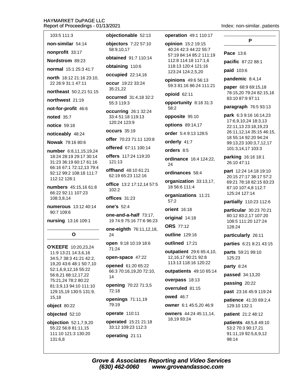Index: non-similar..patients

P

non-similar 54:14

nonprofit 33:17

Nordstrom 89:23

normal 15:1 25:3 41:7

north 18:12 21:16 23:10, 22 26:9 31:1 47:11

northeast 50:2.21 51:15

northwest 21:19

not-for-profit 46:6

noted 35:7

notice 59:18

noticeably 48:24

**Nowak** 79:16 80:6

number 6:8,11,15,19,24 18:24 28:19 29:17 30:14 31:23 36:19 60:17 61:16 66:16 67:1 72:12,13 79:4 92:12 99:2 108:18 111:7 112:12 128:1

**numbers** 45:15.16 61:8 66:22 92:11 107:23 108:3,8,14

numerous 13:12 40:14 90:7 109:6

nursing 13:16 109:1

## O

O'KEEFE 10:20.23.24 11:9 13:21 14:3,6,16 34:5,7 38:3 41:21 42:2, 19,20 43:6 48:1 50:7,10 52:1,6,9,12,16 55:22 56:8,21 68:12,17,22 75:21,24 78:2 80:22 81:3,9,13 94:10 111:10 129:15,19 130:5 131:9, 15,18

object 80:22

objected 52:10

objection 52:1,7,9,20 55:22 56:8 81:11,15 111:10 121:3 130:20 131:6,8

objectionable 52:13

objectors 7:22 57:10 58:9,10,17

obtained 91:7 110:14

obtaining 110:6

occupied 22:14,16

occur 19:22 33:24 35:21.22

**occurred** 31:4.18 32:2 55:3 119:3

occurring 26:1 32:24 33:4 51:18 119:13 120:24 123:9

occurs 35:19

offer 70:23 71:11 120:8

offered 67:11 100:14

offers 117:24 119:20  $121.13$ 

offhand 48:10 61:21 62:19 65:23 112:16

office 13:2 17:12,14 57:5  $102:2$ 

## offices 31:23

one's 52:4

one-and-a-half 73:17. 19 74:9 75:16 77:6 96:23

one-eighth 76:11,12,18, 24

open 9:18 10:19 18:6 71:24

#### open-space 47:22

opened 61:20 65:22 66:3 70:16,19,20 72:10,  $14$ 

opening 70:22 71:3,5 72:18

openings 71:11,19 79:19

#### operate 110:11

operated 15:21 21:18 33:12 109:23 112:3

operating 21:11

operation 49:1 110:17

opinion 15:2 19:15 40:24 42:3 44:22 55:7 57:19 84:14 85:2 111:19 112:8 114:18 117:1.6 118:13 120:4 121:16 123:24 124:2,5,20

opinions 49:6 56:13 59:3 81:16 86:24 111:21

opioid 62:11

opportunity 8:18 31:3 58:2

opposite 95:10

options 89:14,17

order 5:4 9:13 128:5

orderly 41:7

orders 8:5

ordinance 16:4 124:22. 24

ordinances 58:4

organization 33:13,17, 18 56:6 111:4

organizations 11:21  $57:2$ 

orient 16:18

original 14:18

**ORS** 77:12

outline 129:16

outlined 17:21

**outpatient** 29:6 65:4,10, 12.16.17 90:21 92:8 113:13 118:16 120:22

outpatients 49:10 65:14

overpass 18:13

## overruled 81:15

owed 46:7

owner 6:1 45:5.20 46:9

#### owners 44:24 45:11,14, 18,19 93:24

Pace 13:6 pacific 87:22 88:1 paid 103:6 pandemic  $8:4,14$ 

paper 68:9 69:15,18 78:15,20 79:24 82:15,16 83:10 87:9 97:11

paragraph 76:5 93:13

park 6:3 9:16 16:14,23 17:6,9,10,24 18:3,13 22:11,13 23:18,19,23 26:11,12,14 35:15 46:15, 18 55:14 92:20 94:24 99:13,23 100:3,7,12,17 101:3,14,17 103:3

parking 16:16 18:1 26:10 47:11

part 12:24 14:18 19:10 20:15 27:17 38:17 57:2 69:21 78:18 82:15 83:23 87:10 107:4,8 112:7 125:24 127:14

partially 110:23 112:6

particular 30:23 70:21 80:12 83:2,17 107:20 108:5 111:20 127:24 128:24

particularly 26:11

parties 6:21 8:21 43:15

parts 59:21 99:10  $125:23$ 

party 8:24

passed 34:13,20

passing 20:22

past 23:16 45:9 119:24

**patience** 41:20 69:2,4 129:10 132:1

patient 21:2 48:12

patients 48:5,8 49:10 53:2 70:3 90:17,21 91:11,19 92:5,6,9,12 98:14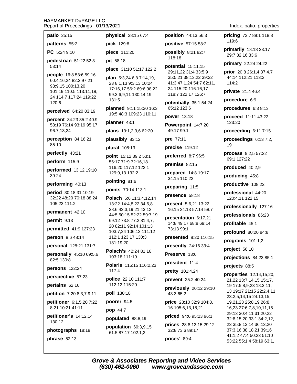**physical** 38:15 67:4

**position** 44:13 56:3

| 55:2                     | pick 129:8                                        | positive 57:15 58:2                            | 119                     |
|--------------------------|---------------------------------------------------|------------------------------------------------|-------------------------|
| :10                      | piece 111:20                                      | possibly 8:21 82:7                             | prim<br>29:7            |
| n 51:22 52:3             | pit 58:18                                         | 118:18                                         | prim                    |
|                          | place 31:10 51:17 122:2                           | potential 15:11,15                             | prior                   |
| 6:8 53:6 59:16           | plan 5:3,24 6:8 7:14,19,                          | 29:11,22 31:4 33:5,9<br>35:5,21 38:13,22 39:22 | 44:1                    |
| 4 82:2 97:21<br>00:13,20 | 23 8:1,13 9:3,13 10:24                            | 41:3 47:1,24 54:7 62:11,                       | 114                     |
| 10:5 113:11,18,          | 17:16,17 56:2 69:6 98:22<br>99:3,6,9,11 130:14,19 | 24 115:20 116:16,17<br>118:7 122:17 126:7      | priva                   |
| 117:24 119:22            | 131:5                                             | potentially 35:1 54:24                         | proc                    |
| 164:2083:19              | planned 9:11 15:20 16:3                           | 65:12 123:6                                    | proc                    |
| 34:23 35:2 40:9          | 19:5 48:3 109:23 110:11                           | power 13:18                                    | proc                    |
| 14 93:19 95:17           | planner 43:1                                      | Powerpoint 14:7,20                             | 123                     |
| 4                        | plans 19:1,2,3,6 62:20                            | 49:17 99:1                                     | proc                    |
| <b>n</b> 84:16,21        | plausibly 83:12                                   | pre 77:11                                      | proc                    |
|                          | plural 108:13                                     | precise 119:12                                 | 19                      |
| 43:21                    | point 15:12 39:2 53:1                             | preferred 8:7 96:5                             | proc<br>69:1            |
| 115:9                    | 56:17 71:9 72:16,18<br>116:20 117:12 122:1        | premise 82:15                                  | prod                    |
| d 13:12 19:10            | 129:9,13 132:2                                    | prepared 14:8 19:17                            | prod                    |
| <b>g</b> 40:13           | pointing 81:6                                     | 34:15 110:22                                   | prod                    |
| 0:18 31:10,19            | points 70:14 113:1                                | preparing 11:5                                 |                         |
| 20 70:18 88:24           | Polach 6:6 11:3,4,12,14                           | presence 58:18                                 | profe<br>120            |
| 11:2                     | 13:22 14:4,8,22 34:6,8                            | <b>present</b> 5:6,21 13:22                    | profe                   |
| nt 42:10                 | 38:6 42:3,19,21 43:12<br>44:5 50:15 52:22 59:7,19 | 16:15 24:13 57:14 58:7                         | profe                   |
| 13                       | 69:12 73:8 77:2 81:4,7,                           | presentation 6:17,21<br>14:8 49:17 68:8 69:14  | profi                   |
| 41:9 127:23              | 20 82:11 92:14 101:13<br>103:7,24 106:13 111:12   | 73:13 99:1                                     | prof                    |
| :6 48:14                 | 112:1 123:17 130:3                                | presented 8:20 116:15                          |                         |
| 128:21 131:7             | 131:19,20                                         | presently 24:16 33:4                           | prog                    |
| ly 45:10 69:5,6          | Polach's 42:24 81:16                              | Preserve 13:6                                  | proje                   |
| 8                        | 103:18 111:19                                     | president 11:4                                 | proj                    |
| 122:24                   | Polaris 115:15 116:2,23<br>117:4                  | pretty 101:4,24                                | proje                   |
| i <b>ve</b> 57:23        | police 22:10 111:7                                | prevent 25:2 40:24                             | prop<br>21,2            |
| 62:16                    | 112:12 115:20                                     | previously 20:12 29:10                         | 191                     |
| 7:20 8:3,7 9:11          | poll 130:18                                       | 43:3 65:2                                      | 13 <sub>1</sub><br>23:2 |
| r 6:1,5,20 7:22          | poorer 94:5                                       | <b>price</b> 28:10 32:9 104:8,                 | 19,2                    |
| 141:11                   | pop 44:7                                          | 16 105:6,13,18,21                              | 16,2                    |
| r's 14:12,14             | populated 88:8,19                                 | priced 94:6 95:23 96:1                         | 29:1<br>32:8            |
|                          | population 60:3,9,15                              | prices 28:8,13,15 29:12                        | 23.3                    |
| <b>phs</b> 18:18         | 61:5 87:17 102:1,2                                | 32:8 73:6 89:17                                | 37:<br>41:1             |
| 2:13                     |                                                   | prices' 89:4                                   | 53:2                    |
|                          |                                                   |                                                |                         |

Index: patio..properties

pricing 73:7 89:1 118:8 1:6

arily 18:18 23:17 7 32:16 33:6

ary 22:24 24:22

 $120:826:1,437:4,7$ 14 112:21 113:2  $\cdot 2$ 

ate  $21:446:4$ 

edure 6:9

edures 6:3 8:13

eed 11:11 43:22  $:20$ 

eeding 6:11 7:15

eedings 6:13 7:2,

ess 9:2,5 57:22 127:22

luced 40:2,9

lucing 45:8

luctive 108:22

essional 44:20 :4,11 122:15

essionally 127:16

essionals 86:23

itable  $45:1$ 

**ound** 80:20 84:8

rams 101:1,2

 $ect 56:10$ 

ections 84:23 85:1

ects 88:5

erties 12:14,15,20, 22 13:7,14,15 15:17, 17:5,8,9,23 18:3,11, 19:17 21:15 22:2,4,11 2,5,14,15 24:13,15, 21,23 25:8,19 26:8, 23 27:6,7,8,10,11,15 13 30:4,11 31:20,22 8,15,20 33:1 34:2,12, 35:8,13,14 36:13,20 3,16 38:18,21 39:16 ,2 47:4 50:23 51:10 22 55:1,4 58:19 63:1,

**Grove & Associates Reporting and Video Services** (630) 462-0060 www.groveandassoc.com

patio 25:15 patterns

PC 5:24 9

pedestria 53:14

people 16 60:4,16,2 98:9,15 1 101:19 11 24 114:7 120:6

perceived

percent 3 58:19 76: 96:7,13,24

perceptio 85:10

perfectly

perform

performe 39:24

performin

period 30 32:22 48: 105:23 11

permaner

permit 9:

permitted

person 8

personal

personall 82:5 130:

persons

perspecti

pertains

petition 7

petitioner 8:21 10:2

petitioner 130:12

photogra

phrase 5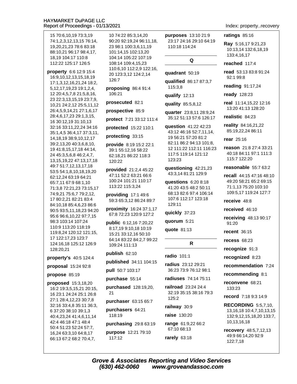15 70:6.10.19 73:3.19 74:1.2.3.12.13.15 76:14. 19,20,21,23 78:6 83:18 88:10,21 96:17 98:4,17, 18.19 104:17 110:8 112:22 125:17 126:5

property 6:6 12:9 15:4 16:9,10,12,13,15,18,19 17:1,3,12,16,21,24 18:2, 5, 12, 17, 19, 23 19: 1, 2, 4, 12 20:4,5,7,8 21:5,8,16, 23 22:3,13,15,19 23:7,9, 10,21 24:2,12 25:5,11,12 26:4,5,9,14,21 27:1,6,17 28:4,6,17,23 29:1,3,15, 16 30:12.19 31:10.13 32:16 33:11,22,24 34:16 35:1,4,5 36:4,17 37:3,11, 14, 18, 19 38: 9, 10, 12, 17 39:2,13,20 40:3,6,8,10, 19 41:8,15,17,18 44:14, 24 45:3,5,6,8 46:2,4,7, 13, 15, 19, 22 47: 13, 17, 18 49:7 51:7,12,13,17,18 53:5 54:1,8,10,18,19,20 62:12,24 63:19 64:21 65:7,11 67:9 68:1,10 71:3,8 72:21,23 73:15,17 74:9,21 75:6,7 79:2,12, 17 80:2,21 82:21 83:4 84:10,18 85:4,6,23 86:6 90:5 93:5,11,18,23 94:20 95:6 96:6,10,22 97:7,15 98:3 103:14 107:24 110:9 113:20 118:19 119:8,24 120:12 121:15, 17 122:17,23 123:7 124:16.18 125:12 126:9 128:20.21

property's 40:5 124:4

## proposal 15:24 92:8

propose 85:19

proposed 15:3,18,20 16:2 19:3,5,15,21 20:15, 16 23:1 24:24 25:1 26:8 27:1 28:4.12.23 30:7.8 32:16 33:4,8 35:11 36:3, 6 37:20 38:10 39:1,3 40:4,23,24 41:4,6,11,14 42:4 46:18 47:1 48:4 50:4 51:23 52:24 57:7, 16,24 63:3,10 64:8,17 66:13 67:2 68:2 70:4,7,

10 74:22 85:3.14.20 90:20 92:19.24 96:11.18. 23 98:1 100:3,6,11,19 101:14,15 102:13,20 104:14 105:22 107:19 108:14 109:4,15,23 110:6,10 112:2,9 122:16, 20 123:3,12 124:2,14 126:7

proposing 86:4 91:4 106:21

prosecuted 82:1

prospective 85:9

protect 7:21 33:12 111:4

protected 15:22 110:1

protecting 33:15

- provide 8:19 15:2 22:1 39:1 55:12,16 58:22 62:18,21 86:22 118:3 120:22
- **provided** 21:2,4 45:22 47:11 52:2 63:21 66:6 100:24 101:21 110:17 113:22 115:3,24

providing 17:1 49:6 59:3 65:3,12 86:24 89:7

proximity 16:24 37:1,17 67:8 72:23 120:9 127:2

public 6:12,16 7:20,22 8:17,19 9:10,18 10:19 15:21 33:12,16 50:10 64:14 83:22 84:2,7 99:22 109:24 111:13

publish 62:10

published 34:11 104:15

pull 50:7 103:17

purchase 55:14

purchased 128:19,20,  $21$ 

purchaser 63:15 65:7

purchasers 64:21 118:19

purchasing 29:8 63:19 purpose 12:21 79:10 117:12

purposes 13:10 21:9 23:17 24:16 29:10 64:19 110:18 114:24

## Q

quadrant 50:19

qualified 86:17 87:3,7 115:3.8

qualify 12:13

quality 85:5,8,12

quarter 23:8,11 28:9,24 35:12 51:13 57:6 126:17

**question** 41:22 42:23 43:12 46:16 52:7.11.14. 19 56:21 57:20 81:2 82:11 86:2 94:13 101:8, 12 111:22 112:11 116:23 117:5 119:14 121:12 123:23

questioning 42:21,23 43:3,14 81:21 129:9

questions 6:20 8:18 41:20 43:5 48:2 50:11 68:13 82:6 97:4 106:14 107:6 112:17 123:18 129:11

quickly 37:23

quorum 5:21

quote 81:13

## $\mathsf{R}$

#### radio 101:1

radius 23:12 29:21 36:23 73:9 76:12 98:1

radiuses 74:14 75:11

railroad 23:24 24:4 32:19 35:15 38:16 79:3  $125:2$ 

railway 30:9

raise 130:20

range 61:9,22 66:2 67:10 68:13

rarely  $63:18$ 

## Index: property..recovery

ratings 85:16

Ray 5:16,17 9:21,23 10:13,14 132:6,18,19 133:4,16,17

reached 117:4

read 53:13 83:8 91:24 92:1 99:8

reading 91:17,24

ready 128:23

real 11:14.15.22 12:16 13:20 41:13 128:20

realistic 84:23

reality 84:16,21,22 85:19,22,24 86:11

rear 25:16

reason 21:8 27:4 33:21 40:18 84:11 97:1 111:3 115:7 122:20

reasonable 55:7 63:2

recall 44:15 47:16 48:10 49:20 58:21 65:2 69:15 71:1,13 75:20 103:10 109:5,17 119:24 127:7

receive 48:8

received 46:10

receiving 48:13 90:17 91:20

recent 36:15

**recess 68:23** 

recognize 91:3

recognized 8:23

recommendation 7:24

recommending 8:1

reconvene 68:21 133:23

record 7:18 9:3 14:9

**RECORDING 5:5.7.10.** 13, 16, 18 10: 4, 7, 10, 13, 15 132:9,12,15,18,20 133:7, 10,13,16,18

recovery 48:5,7,12,13 49:9 66:14,20 92:9 122:7,18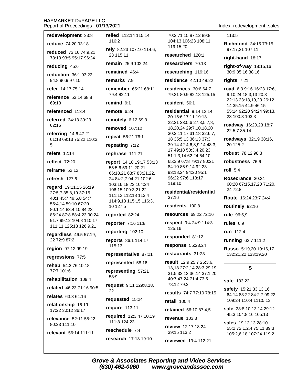redevelopment 33:8

reduce 74:20 93:18

reduced 73:16 74:9.21 78:13 93:5 95:17 96:24

reducing 45:6

reduction 36:1 93:22 94:8 96:9 97:10

refer 14:17 75:14

reference 53:14 68:8  $69.18$ 

referenced 113:4

referred 34:13 39:23 62:15

referring 14:6 47:21 61:18 69:13 75:22 110:3, 5

refers  $12:14$ 

reflect  $72.20$ 

reframe  $52:12$ 

refresh 127:6

regard 19:11,15 26:19 27:5,7 35:8,19 37:15 40:1 45:7 49:6.8 54:7 55:4,14 59:10 67:20 80:1,14 83:4,10 84:23 86:24 87:8 88:4,23 90:24 91:7 99:12 104:8 110:17 111:11 125:18 126:9,21

regardless 46:5 57:19, 22 72:9 87:2

region 97:12 99:19

regressions 77:5

rehab 54:3 76:10.18 77:7 101:6

rehabilitation 109:4

related 46:23 71:16 90:5

relates 63:3 64:16

relationship 16:19 17:22 30:12 36:17

relevance 52:11 55:22 80:23 111:10

relevant 56:14 111:11

relied 112:14 115:14 116:2

rely 82:23 107:10 114:6, 23 115:11

remain 25:9 102:24

remained 46:4

remarks 7:9

remember 65:21 68:11 79:4 82:11

remind 9:1

remote 6:24

remotely 6:12 69:3

removed 107:12

repeat 56:21 76:1

repeating 7:12

rephrase 111:21

report 14:18 19:17 53:13 55:5.6 59:11.20.21 66:18,21 68:7 83:21,22, 24 84:2,7 94:21 102:6 103:16,18,23 104:24 106:15 109:3,21,22 111:12 112:18 113:4 114:9.13 115:15 116:3. 10 127:5

reported 82:24

reporter 7:16 11:8

reporting 102:10

reports 86:1 114:17 115:13

representative 87:21

represented 58:16

representing 57:21 58:9

request 9:11 129:8,18, 22

requested 15:24

require  $113:11$ 

required 12:3 47:10,19 111:8 124:23

reschedule 7:4

(630) 462-0060

research 17:13 19:10

70:2 71:15 87:12 89:8 104:13 106:23 108:11 119:15.20

researched 120:1

researchers 70:13

researching 119:16

residence 42:10 48:22

residences 30:6 64:7 79:21 80:9 82:18 125:15

resident 56:1

residential 9:14 12:14, 20 15:6 17:11 19:13 22:21 23:5,6 27:3,5,7,8, 18,20,24 29:7,10,18,20 30:3,11,17 31:18 32:6,7, 18 35:5,13 36:13 37:3 39:14 42:4,6,8,9,14 48:3, 17 49:18 50:3,4,20,23 51:1,3,14 62:24 64:10 65:3.9 67:8 79:17 80:21 84:10 85:9,14 92:23 93:18,24 94:20 95:1 96:22 97:6 118:17  $119:10$ 

residential/residential  $37:16$ 

residents 100:8

resources 69:22 72:16

respect 9:4 24:9 114:3 125:16

responded 81:12

response 55:23,24

restaurants 31:23

result 12:9 25:7 26:3,6, 13.18 27:2.14 28:3 29:19 31:5 32:13 36:14 37:1,20 40:7 47:24 71:4 73:5 78:12 79:2

results 74:7 77:10 78:15

retail  $100:4$ 

**retained** 56:10 87:4,5

revenue 103:3

review 12:17 18:24 39:15 113:2

reviewed 19:4 112:21

www.groveandassoc.com

**Grove & Associates Reporting and Video Services** 

Index: redevelopment..sales

113:5

**Richmond** 34:15 73:15 97:17,21 107:11

right-hand 18:17

right-of-way 18:15,16 30:9 35:16 38:16

rights 7:21

road 6:3 9:16 16:23 17:6, 9.10.24 18:3.13 20:3 22:13 23:18.19.23 26:12. 14 35:15 44:9 46:15 55:14 92:20 94:24 99:13, 23 100:3 103:3

roadway 16:20,23 18:7 22:5,7 35:14

roadways 32:19 38:16, 20 125:2

robust 78:12 98:3

robustness 76:6

roll  $5:4$ 

Rosecrance 30:24 60:20 67:15,17,20 71:20, 24 72:8

Route 16:24 23:7 24:4

routinely 92:16

rule 96:5.9

rules  $6:9$ 

run 112:4

running 62:7 111:2

**Russo** 5:19,20 10:16,17 132:21,22 133:19,20

## $\mathbf{s}$

safe 133:22

safety 15:21 33:13,16 64:14 83:22 84:2,7 99:22 109:24 110:4 111:5,13

sale 28:8,10,13,14 29:12 45:3 104:8,16 105:13

sales 19:12.13 28:10 55:2 72:1,2,4 75:11 89:3 105:2,6,18 107:24 119:2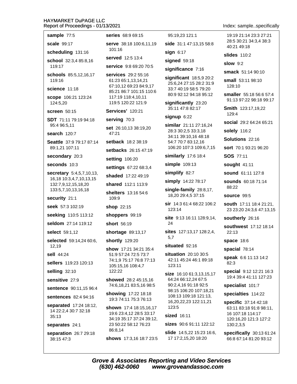sample 77:5

scale 99:17

scheduling 131:16 school 32:3,4 85:8,16

119:17

schools 85:5,12,16,17 119:16

science 11:18

scope 106:21 123:24 124:5.20

screen 50:15

SDT 71:11 79:19 94:18 95:4 96:5,11

search 120:7

Seattle 37:9 79:17 87:14 89:1.21 107:11

secondary 20:3

seconds 10:3

secretary 5:4,5,7,10,13, 16,18 10:3,4,7,10,13,15 132:7,9,12,15,18,20 133:5,7,10,13,16,18

security 21:1

seek 57:3 102:19

seeking 110:5 113:12

seldom 27:14 119:12

select 59:1,12

selected 59:14,24 60:6, 12.19

sell 44:24

sellers 119:23 120:13

selling 32:10

sensitive 27:9

sentence 90:11,15 96:4

sentences 82:4 94:16

separated 17:24 18:12, 14 22:2,4 30:7 32:18  $35:13$ 

separates 24:1

separation 26:7 29:18 38:15 47:3

series 68:9 69:15

serve 38:18 100:6.11.19  $101:16$ 

served 12:5 13:4

service 9:8 69:20 70:5

services 29:2 55:16 61:23 65:1,13,14,21 67:10,12 69:23 84:9,17 85:21 86:7 101:15 110:6 117:19 118:4.10.11 119:5 120:22 121:9

**Services' 120:21** 

serving 70:3

set 26:10,13 38:19,20 47:21

setback 18:2 38:19

setbacks 26:15 47:19

setting 106:20

settings 67:22 68:3,4

shaded 17:22 49:19

shared 112:1 113:9

shelters 13:16 54:6 109:9

**shop** 22:15

shoppers 99:19

short 56:19

shortage 89:13,17

shortly 129:20

show 17:21 34:21 35:4 51:9 57:24 72:5 73:7 74:1.9 75:17 76:8 77:13 105:15,16 108:4,7 122:22

showed 28:2 45:15,16 74:6,18,21 83:5,16 98:5

showing 17:22 18:18 19:3 74:11 75:3 76:13

shown 17:4 18:15,16.17 19:6 23:4.12 28:5 33:17 34:19 35:17 37:24 39:12. 23 50:22 58:12 76:23 86:8.14 shows 17:3,16 18:7 23:5

(630) 462-0060

95:19.23 121:1

side 31:1 47:13.15 58:8

 $sign 6:17$ 

signed 59:18

significance 7:16

significant 18:5,9 20:2 25:6,24 27:15 28:2 31:9 33:7 40:19 58:5 79:20 80:9 92:12 94:18 95:12

significantly 23:20 35:11 47:8 82:17

signup 6:22

similar 21:11 27:16,24 28:3 30:2,5 33:3,18 34:11 39:10,16 48:18 54:7 70:7 83:12,16 106:20 107:3 109:6,7,15

similarly 17:6 18:4

simple 109:13

simplify 82:7

simply 14:22 78:17

single-family 28:8,17, 18,20 29:4,5 37:15

sir 14:3 61:4 68:22 106:2  $123.14$ 

site 9:13 16:11 128:9,14, 24

sites 127:13,17 128:2,4, 5.7

situated 92:16

situation 20:10 30:5 42:11 45:24 46:1 89:18  $123.11$ 

size 16:10 61:3,13,15,17 64:24 66:12,24 67:5 90:2,4,16 91:18 92:5 98:15 106:20 107:18,21 108:13 109:18 121:13, 16,20,22,23 122:11,21 123:5

sized 16:11

**Grove & Associates Reporting and Video Services** 

sizes 90:6 91:11 122:12 slide 14:5,22 15:23 16:6, 17 17:2,15,20 18:20

www.groveandassoc.com

Index: sample..specifically

19:19 21:14 23:3 27:21 28:5 30:21 34:3.4 38:3 40:21 49:18

**slides** 110:2

 $slow$  9:2

smack 51:14 90:10

small 53:11 98:10 128:10

smaller 55:18 56:6 57:4 91:13 97:22 98:18 99:17

**Smith 123:17,19,22** 129:4

social 29:2 64:24 65:21

solely 116:2

Solutions 22:16

sort 70:1 93:21 96:20

**SOS 77:11** 

sought 41:11

sound 61:11 127:8

**sounds** 60:18 71:14 88:22

source 99:5

south 17:11 18:4 21:21, 23 23:20 24:3,6 47:13,15

southerly 26:16

southwest 17:12 18:14  $22:13$ 

**space 18:6** 

spacial 78:14

speak 6:6 11:13 14:2  $82:3$ 

special 9:12 12:21 16:3 19:4 39:4 41:11 127:23

specialist 101:7

specialties 114:22

16 107:18 114:17

130:2,3,5

**specific** 37:14 42:18

63:11 83:18 91:8 98:11,

120:16,20 121:3 127:2

specifically 30:13 61:24

66:8 67:14 81:20 93:12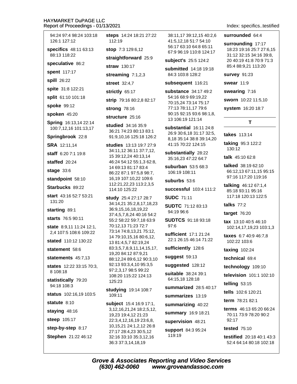| 94:24 97:4 98:24 103:18<br>126:1 127:12            | steps 14:24 18:21 27:22<br>112:19                                                                                                              |  |
|----------------------------------------------------|------------------------------------------------------------------------------------------------------------------------------------------------|--|
| specifics 48:11 63:13                              | stop 7:3 129:6,12                                                                                                                              |  |
| 88:13 118:22                                       | straightforward 25:9                                                                                                                           |  |
| speculative 86:2                                   | <b>straw</b> 130:17                                                                                                                            |  |
| spent 117:17                                       | streaming 7:1,2,3                                                                                                                              |  |
| spill 26:22                                        | street 32:4,7                                                                                                                                  |  |
| spite 31:8 122:21                                  | strictly 65:17<br>strip 79:16 80:2,8 82:17                                                                                                     |  |
| split 61:10 101:18                                 |                                                                                                                                                |  |
| spoke 99:12                                        | strong 78:16                                                                                                                                   |  |
| spoken 45:20                                       | structure 25:16                                                                                                                                |  |
| Spring 16:13,14 22:14<br>100:7,12,16 101:13,17     | studied 34:16 35:9<br>36:21 74:23 80:13 83:1<br>91:9,10,16 125:18 126:2                                                                        |  |
| Springbrook 22:8                                   |                                                                                                                                                |  |
| SRA 12:11,14                                       | studies 13:13 19:7 27:9                                                                                                                        |  |
| <b>staff</b> 6:20 7:1 19:8                         | 34:11,12 36:11 37:7,12,<br>15 39:12,24 40:13,14                                                                                                |  |
| staffed 20:24                                      | 46:24 54:12 55:1,3 62:8,<br>14 69:13 81:17 83:4<br>86:22 87:1 97:5,8 98:7,<br>16,19 107:10,22 109:6<br>112:21,22,23 113:2,3,5<br>114:10 125:22 |  |
| stage 33:6                                         |                                                                                                                                                |  |
| standpoint 58:10                                   |                                                                                                                                                |  |
| Starbucks 89:22                                    |                                                                                                                                                |  |
| start 43:16 52:7 53:21<br>131:20                   | study 25:4 27:17 28:7<br>34:14,21 35:2,8,17,18,23<br>36:9,15,16,18,19,22                                                                       |  |
| starting 89:1                                      |                                                                                                                                                |  |
| <b>starts</b> 76:5 90:11                           | 37:4,5,7,8,24 40:16 54:2<br>55:2 58:22 59:7,18 63:9                                                                                            |  |
| state 8:9,11 11:24 12:1,<br>2,4 107:5 108:6 109:22 | 70:12,13 71:23 72:7<br>73:14 74:8,13,21 75:12,<br>14 79:10,15,16 80:6,12,<br>13 81:4,5,7 82:19,24                                              |  |
| <b>stated</b> 110:12 130:22                        |                                                                                                                                                |  |
| statement 58:6                                     | 83:3,5,7,8,9,11,14,15,17,<br>19,20 84:12 87:9,21<br>88:12,24 89:6,12 90:3,10                                                                   |  |
| statements $45:7,13$                               |                                                                                                                                                |  |
| states 12:22 33:15 70:3,<br>8 108:18               | 92:13 93:3,4,10 95:3,5<br>97:2,3,17 98:5 99:22<br>108:20 115:22 124:13<br>125:23                                                               |  |
| statistically 79:20<br>94:18 108:3                 |                                                                                                                                                |  |
| status 102:16,19 103:5                             | studying 19:14 108:7<br>109:11                                                                                                                 |  |
| statute 8:10                                       | subject 15:4 16:9 17:1,                                                                                                                        |  |
| staying 48:16                                      | 3, 12, 16, 21, 24 18: 2, 5, 12,<br>19,23 19:4,12 21:23<br>22:3,4,12,16,19 23:6,8,<br>10, 15, 21 24: 1, 2, 12 26: 8                             |  |
| steep 105:17                                       |                                                                                                                                                |  |
| step-by-step 8:17                                  |                                                                                                                                                |  |
| Stephen 21:22 46:12                                | 27:17 28:4,23 30:5,12<br>32:16 33:10 35:3,12,16<br>36:3 37:3,14,18,19                                                                          |  |

38:11,17 39:12,15 40:2,6 41:5.12.18 51:7 54:10 56:17 63:10 64:8 65:11 67:9 96:19 110:8 124:17

subject's 25:5 124:2

submitted 14:18 19:18 84:3 103:8 128:2

subsequent 116:21

```
substance 34:17 49:2
54:16 68:9 69:19,22
70:15,24 73:14 75:17
77:13 78:11,17 79:6
90:15 92:15 93:6 98:1,8,
13 106:19 121:14
```
substantial 16:11 24:8 26:9 30:6,18 31:17 32:5, 8,18 35:14 38:8 39:14,20 41:15 70:22 124:15

substantially 28:22 35:16,23 47:22 64:7

suburban 53:5 68:3 106:19 108:11

suburbs 53:6

successful 103:4 111:2

**SUDC 71:11** 

**SUDTC 71:12 83:13** 94:19 96:6

**SUDTCS** 91:18 93:18  $97:6$ 

sufficient 17:1 21:24 22:1 26:15 46:14 71:22

sufficiently 128:6

suggest 59:13

suggested 128:12

suitable 38:24 39:1 64:15.18 128:18

summarized 28:5 40:17

summarizes 13:19

summarizing 40:22

summary 16:9 18:21

supervision 48:21 support 84:3 95:24 119:19

## Index: specifics..testified

surrounded 64:4

surrounding 17:17 18:23 19:16 25:7 27:6,15 31:12 32:15 34:16 39:8, 20 40:19 41:8 70:9 71:3 85:4 88:9,21 113:20

survey 91:23

swear 11:9

swearing 7:16

sworn 10:22 11:5,10

system 16:20 18:7

## T

takes 113:14

**taking 95:3 122:2** 130:12

talk 45:10 62:8

talked 38:19 62:10 66:12,13 67:11,15 95:15 97:16 117:20 119:16

**talking** 46:12 67:1,4 85:18 93:11 95:16 117:18 120:13 122:5

talks  $77:2$ 

target 76:20

tax 13:10 40:5 46:10 102:14,17,19,23 103:1,3

taxes 6:7 40:9 46:7,8 102:22 103:6

taxing 102:24

technical 69:4

technology 109:10

television 101:1 102:10

telling  $53:15$ 

tells 102:6 120:21

term 78:21 82:1

terms 46:13 65:20 66:24 70:11 73:9 78:20 90:2 92:17

**tested** 75:10

**testified** 20:18 40:1 43:3 52:4 64:14 80:18 102:18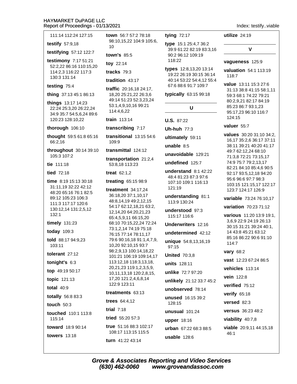111:14 112:24 127:15

testify  $57:9,18$ 

testifying 57:12 122:7

testimony 7:17 51:21 52:2,22 86:16 110:15,20 114:2.3 116:22 117:3 130:3 131:14

#### testing 75:4

thing 37:13 45:1 86:13

things 13:17 14:23 22:24 25:3,20 26:22,24 34:9 35:7 54:5.6.24 89:6 120:23 128:10,22

thorough 106:10

thought 59:5 61:8 65:16 66:2,16

throughout 30:14 39:10 105:3 107:2

tie  $111:18$ 

tied 72:18

time 8:19 15:13 30:18 31:11,19 32:22 42:12 48:20 65:16 76:1 82:5 89:12 105:23 106:3 111:3 117:17 120:6 130:12,14 131:2,5,12  $132:1$ 

timely 131:23

today 109:3

told 88:17 94:9,23 103:11

tolerant 27:12

tonight's 6:3

top 49:19 50:17

topic 121:13

total  $40:9$ 

totally 56:8 83:3

touch 50:3

touched 110:1 113:8 115:14

toward 18:9 90:14

**towers** 13:18

town 56:7 57:2 78:18 98:10,15,22 104:9 105:6,  $1<sub>0</sub>$ 

town's 85:5

toy 22:14

tracks  $79:3$ 

tradition  $43:17$ 

traffic 20:16,18 24:17, 18,20 25:21,22 26:3,6 49:14 51:23 52:3,23,24 53:1,4,9,10,16 99:21 114:4,6,22

train 113:14

transcribing 7:17

transitional  $13:1554:6$ 109:9

transmittal 124:12

transportation 21:2.4 53:8,18 113:23

treat  $62:1.2$ 

treating 65:15 98:9

treatment  $34:17,24$ 36:18,20 37:1,10,17 48:8.14.19 49:2.12.15 54:17 62:12,18,21 63:2, 12,14,20 64:20,21,23 65:4.5.9.11 66:15.20 68:10 70:15,22,24 72:24 73:1,2,14 74:19 75:18 76:15 77:14 78:11.17 79:6 90:16,18 91:1,4,7,9, 10,20 92:10,15 93:7 98:2,9,13 100:14,18,22 101:21 106:19 109:14,17 113:12,18 118:3,13,18, 20.21.23 119:1.2.3.5.9. 10,11,13,18 120:2,8,15, 17,20 121:2,4,6,8,14 122:9 123:11 treatments 63:13

trees 64:4,12 trial  $7:18$ 

tried 55:20 57:3

true 51:16 88:3 102:17 108:17 113:15 115:5 turn 41:22 43:14

tying  $72:17$ 

type 15:1 25:4,7 36:2 39:9 61:22 82:19 83:3,16 90:2 96:12 109:19 118:22

types 12:8,13,20 13:14 19:22 26:19 30:15 36:14 40:14 53:22 54:4,12 55:4 67:6 88:6 91:7 109:7

typically 63:15 99:18

## $\mathbf{U}$

**U.S. 87:22** 

**Uh-huh 77:3** 

ultimately 59:11

unable  $8:5$ 

unavoidable 129:21

undefined 125:7

understand  $8:142:22$ 48:4 81:23 87:3 97:6 107:10 109:1 116:13  $121:19$ 

understanding 81:1 113:9 130:24

understood 97:3 115:17 116:6

Underwriters 12:16

undetermined 42:12

unique 54:8,13,16,19  $97:15$ 

**United 70:3.8** 

units 128:11

unlike 72:7 97:20

unlikely 21:12 33:7 45:2

unobserved 78:14

unused 16:15 39:2 128:15

unusual 101:24

upper 18:16 urban 67:22 68:3 88:5

usable  $128:6$ 

utilize  $24:19$ 

 $\mathbf v$ 

Index: testify..viable

vagueness 125:9

valuation 54:1 113:19  $118:7$ 

value 13:11 15:3 27:6 31:13 38:8 41:15 58:1,11 59:3 68:1 74:22 79:21 80:2,9,21 82:17 84:19 85:23 86:7 93:1.23 95:17,23 96:10 116:7 124:15

valuer 55:7

values 30:20 31:10 34:2. 16,17 35:2,6 36:17 37:11 38:11 39:21 40:20 41:17 49:7 62:12.24 68:10 71:3,8 72:21 73:15,17 74:9 75:7 79:2,13,17 82:21 84:10 85:4.6 90:5 92:17 93:5,12,18 94:20 95:6 96:6 97:7 98:3 103:15 121:15.17 122:17 123:7 124:17 126:9

variable 73:24 76:10.17

variation 70:23 71:12

various 11:20 13:9 19:1, 3,6,9 22:9 24:19 26:13 30:15 31:21 39:24 40:1, 14 43:8 45:21 63:12 85:16 86:22 90:6 91:10 114:7

**vary** 68:2

vast 12:23 67:24 86:5 vehicles 113:14 vein 122:8

verified 75:12

verify  $65:18$ 

versed 82:3

versus 36:23 48:2

viability  $40:7,8$ 

viable 20:9,11 44:15,18  $46:1$